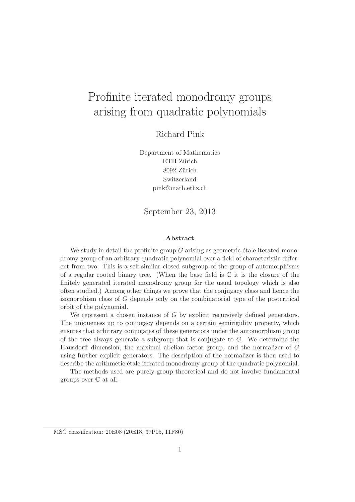# Profinite iterated monodromy groups arising from quadratic polynomials

Richard Pink

Department of Mathematics ETH Zürich 8092 Zürich Switzerland pink@math.ethz.ch

September 23, 2013

#### Abstract

We study in detail the profinite group  $G$  arising as geometric étale iterated monodromy group of an arbitrary quadratic polynomial over a field of characteristic different from two. This is a self-similar closed subgroup of the group of automorphisms of a regular rooted binary tree. (When the base field is  $\mathbb C$  it is the closure of the finitely generated iterated monodromy group for the usual topology which is also often studied.) Among other things we prove that the conjugacy class and hence the isomorphism class of G depends only on the combinatorial type of the postcritical orbit of the polynomial.

We represent a chosen instance of G by explicit recursively defined generators. The uniqueness up to conjugacy depends on a certain semirigidity property, which ensures that arbitrary conjugates of these generators under the automorphism group of the tree always generate a subgroup that is conjugate to G. We determine the Hausdorff dimension, the maximal abelian factor group, and the normalizer of G using further explicit generators. The description of the normalizer is then used to describe the arithmetic étale iterated monodromy group of the quadratic polynomial.

The methods used are purely group theoretical and do not involve fundamental groups over C at all.

MSC classification: 20E08 (20E18, 37P05, 11F80)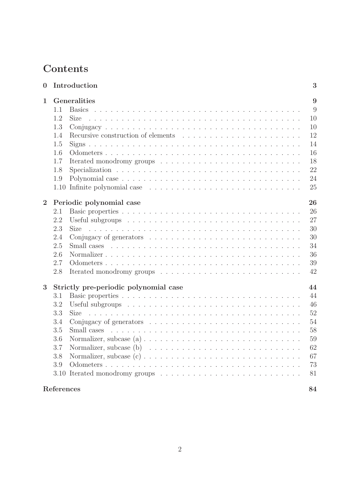## Contents

| $\bf{0}$       |                                | Introduction                                                                                                                         | 3  |  |
|----------------|--------------------------------|--------------------------------------------------------------------------------------------------------------------------------------|----|--|
| 1              |                                | Generalities                                                                                                                         | 9  |  |
|                | 1.1                            |                                                                                                                                      | 9  |  |
|                | 1.2                            | <b>Size</b>                                                                                                                          | 10 |  |
|                | 1.3                            |                                                                                                                                      | 10 |  |
|                | 1.4                            |                                                                                                                                      | 12 |  |
|                | 1.5                            |                                                                                                                                      | 14 |  |
|                | 1.6                            |                                                                                                                                      | 16 |  |
|                | 1.7                            |                                                                                                                                      | 18 |  |
|                | 1.8                            |                                                                                                                                      | 22 |  |
|                | 1.9                            |                                                                                                                                      | 24 |  |
|                |                                |                                                                                                                                      | 25 |  |
| $\overline{2}$ | Periodic polynomial case<br>26 |                                                                                                                                      |    |  |
|                | 2.1                            |                                                                                                                                      | 26 |  |
|                | 2.2                            |                                                                                                                                      | 27 |  |
|                | 2.3                            | <b>Size</b><br><u>. A series and a series and a series and a series and a series and a series and a series and a series and a se</u> | 30 |  |
|                | 2.4                            |                                                                                                                                      | 30 |  |
|                | 2.5                            |                                                                                                                                      | 34 |  |
|                | 2.6                            |                                                                                                                                      | 36 |  |
|                | 2.7                            |                                                                                                                                      | 39 |  |
|                | 2.8                            |                                                                                                                                      | 42 |  |
| 3              |                                | Strictly pre-periodic polynomial case                                                                                                | 44 |  |
|                | 3.1                            |                                                                                                                                      | 44 |  |
|                | 3.2                            |                                                                                                                                      | 46 |  |
|                | 3.3                            | Size                                                                                                                                 | 52 |  |
|                | 3.4                            |                                                                                                                                      | 54 |  |
|                | 3.5                            |                                                                                                                                      | 58 |  |
|                | 3.6                            |                                                                                                                                      | 59 |  |
|                | 3.7                            |                                                                                                                                      | 62 |  |
|                | 3.8                            |                                                                                                                                      | 67 |  |
|                | 3.9                            |                                                                                                                                      | 73 |  |
|                |                                |                                                                                                                                      | 81 |  |
|                |                                |                                                                                                                                      |    |  |
|                | References                     |                                                                                                                                      | 84 |  |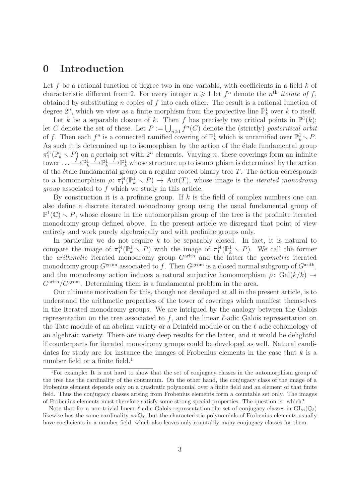## 0 Introduction

Let f be a rational function of degree two in one variable, with coefficients in a field  $k$  of characteristic different from 2. For every integer  $n \geq 1$  let  $f^n$  denote the  $n<sup>th</sup>$  iterate of f, obtained by substituting n copies of f into each other. The result is a rational function of degree  $2^n$ , which we view as a finite morphism from the projective line  $\mathbb{P}^1_k$  over k to itself.

Let  $\bar{k}$  be a separable closure of k. Then f has precisely two critical points in  $\mathbb{P}^1(\bar{k})$ ; let C denote the set of these. Let  $P := \bigcup_{n\geq 1} f^n(C)$  denote the (strictly) postcritical orbit of f. Then each  $f^n$  is a connected ramified covering of  $\mathbb{P}_k^1$  which is unramified over  $\mathbb{P}_k^1 \setminus P$ . As such it is determined up to isomorphism by the action of the étale fundamental group  $\pi_1^{\text{\'et}}(\mathbb{P}_k^1 \setminus P)$  on a certain set with  $2^n$  elements. Varying n, these coverings form an infinite tower  $\ldots \longrightarrow \mathbb{P}^1_k$  $\mathop{\longrightarrow}\limits^f\mathbb{P}^1_k$  $f \rightarrow \mathbb{P}_k^1$  whose structure up to isomorphism is determined by the action of the étale fundamental group on a regular rooted binary tree  $T$ . The action corresponds to a homomorphism  $\rho: \pi_1^{\text{\'et}}(\mathbb{P}_k^1 \setminus P) \to \text{Aut}(T)$ , whose image is the *iterated monodromy* group associated to f which we study in this article.

By construction it is a profinite group. If  $k$  is the field of complex numbers one can also define a discrete iterated monodromy group using the usual fundamental group of  $\mathbb{P}^1(\mathbb{C}) \setminus P$ , whose closure in the automorphism group of the tree is the profinite iterated monodromy group defined above. In the present article we disregard that point of view entirely and work purely algebraically and with profinite groups only.

In particular we do not require  $k$  to be separably closed. In fact, it is natural to compare the image of  $\pi_1^{\text{\'et}}(\mathbb{P}_k^1 \setminus P)$  with the image of  $\pi_1^{\text{\'et}}(\mathbb{P}_k^1 \setminus P)$ . We call the former the *arithmetic* iterated monodromy group  $G<sup>arith</sup>$  and the latter the *geometric* iterated monodromy group  $G^{\text{geom}}$  associated to f. Then  $G^{\text{geom}}$  is a closed normal subgroup of  $G^{\text{arith}}$ , and the monodromy action induces a natural surjective homomorphism  $\bar{\rho}$ : Gal( $\bar{k}/k$ )  $\rightarrow$  $G^{\text{arith}}/G^{\text{geom}}$ . Determining them is a fundamental problem in the area.

Our ultimate motivation for this, though not developed at all in the present article, is to understand the arithmetic properties of the tower of coverings which manifest themselves in the iterated monodromy groups. We are intrigued by the analogy between the Galois representation on the tree associated to f, and the linear  $\ell$ -adic Galois representation on the Tate module of an abelian variety or a Drinfeld module or on the  $\ell$ -adic cohomology of an algebraic variety. There are many deep results for the latter, and it would be delightful if counterparts for iterated monodromy groups could be developed as well. Natural candidates for study are for instance the images of Frobenius elements in the case that  $k$  is a number field or a finite field.<sup>1</sup>

<sup>1</sup>For example: It is not hard to show that the set of conjugacy classes in the automorphism group of the tree has the cardinality of the continuum. On the other hand, the conjugacy class of the image of a Frobenius element depends only on a quadratic polynomial over a finite field and an element of that finite field. Thus the conjugacy classes arising from Frobenius elements form a countable set only. The images of Frobenius elements must therefore satisfy some strong special properties. The question is: which?

Note that for a non-trivial linear  $\ell$ -adic Galois representation the set of conjugacy classes in  $GL_n(\mathbb{Q}_\ell)$ likewise has the same cardinality as  $\mathbb{Q}_{\ell}$ , but the characteristic polynomials of Frobenius elements usually have coefficients in a number field, which also leaves only countably many conjugacy classes for them.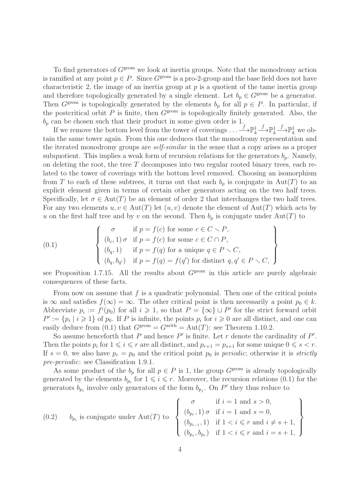To find generators of  $G^{\text{geom}}$  we look at inertia groups. Note that the monodromy action is ramified at any point  $p \in P$ . Since  $G^{\text{geom}}$  is a pro-2-group and the base field does not have characteristic 2, the image of an inertia group at  $p$  is a quotient of the tame inertia group and therefore topologically generated by a single element. Let  $b_p \in G^{\text{geom}}$  be a generator. Then  $G^{\text{geom}}$  is topologically generated by the elements  $b_p$  for all  $p \in P$ . In particular, if the postcritical orbit  $P$  is finite, then  $G^{\text{geom}}$  is topologically finitely generated. Also, the  $b_p$  can be chosen such that their product in some given order is 1.

If we remove the bottom level from the tower of coverings  $\dots \longrightarrow^f\mathbb{P}^1_k$  $\xrightarrow{f} \mathbb{P}^1_k$  $\stackrel{f}{\longrightarrow} \mathbb{P}^1_k$  we obtain the same tower again. From this one deduces that the monodromy representation and the iterated monodromy groups are self-similar in the sense that a copy arises as a proper subquotient. This implies a weak form of recursion relations for the generators  $b_p$ . Namely, on deleting the root, the tree  $T$  decomposes into two regular rooted binary trees, each related to the tower of coverings with the bottom level removed. Choosing an isomorphism from T to each of these subtrees, it turns out that each  $b_p$  is conjugate in Aut(T) to an explicit element given in terms of certain other generators acting on the two half trees. Specifically, let  $\sigma \in \text{Aut}(T)$  be an element of order 2 that interchanges the two half trees. For any two elements  $u, v \in Aut(T)$  let  $(u, v)$  denote the element of  $Aut(T)$  which acts by u on the first half tree and by v on the second. Then  $b_p$  is conjugate under Aut(T) to

(0.1) 
$$
\begin{cases}\n\sigma & \text{if } p = f(c) \text{ for some } c \in C \setminus P, \\
(b_c, 1) \sigma & \text{if } p = f(c) \text{ for some } c \in C \cap P, \\
(b_q, 1) & \text{if } p = f(q) \text{ for a unique } q \in P \setminus C, \\
(b_q, b_{q'}) & \text{if } p = f(q) = f(q') \text{ for distinct } q, q' \in P \setminus C,\n\end{cases}
$$

see Proposition 1.7.15. All the results about  $G^{\text{geom}}$  in this article are purely algebraic consequences of these facts.

From now on assume that  $f$  is a quadratic polynomial. Then one of the critical points is  $\infty$  and satisfies  $f(\infty) = \infty$ . The other critical point is then necessarily a point  $p_0 \in k$ . Abbreviate  $p_i := f^i(p_0)$  for all  $i \geq 1$ , so that  $P = {\infty} \sqcup P'$  for the strict forward orbit  $P' := \{p_i \mid i \geq 1\}$  of  $p_0$ . If P is infinite, the points  $p_i$  for  $i \geq 0$  are all distinct, and one can easily deduce from (0.1) that  $G^{\text{geom}} = G^{\text{arith}} = \text{Aut}(T)$ : see Theorem 1.10.2.

So assume henceforth that  $P$  and hence  $P'$  is finite. Let  $r$  denote the cardinality of  $P'$ . Then the points  $p_i$  for  $1 \leq i \leq r$  are all distinct, and  $p_{r+1} = p_{s+1}$  for some unique  $0 \leq s < r$ . If  $s = 0$ , we also have  $p_r = p_0$  and the critical point  $p_0$  is *periodic*; otherwise it is *strictly* pre-periodic: see Classification 1.9.1.

As some product of the  $b_p$  for all  $p \in P$  is 1, the group  $G^{\text{geom}}$  is already topologically generated by the elements  $b_{p_i}$  for  $1 \leq i \leq r$ . Moreover, the recursion relations (0.1) for the generators  $b_{p_i}$  involve only generators of the form  $b_{p_j}$ . On P' they thus reduce to

(0.2) 
$$
b_{p_i}
$$
 is conjugate under Aut $(T)$  to 
$$
\begin{cases} \sigma & \text{if } i = 1 \text{ and } s > 0, \\ (b_{p_r}, 1) \sigma & \text{if } i = 1 \text{ and } s = 0, \\ (b_{p_{i-1}}, 1) & \text{if } 1 < i \leq r \text{ and } i \neq s+1, \\ (b_{p_s}, b_{p_r}) & \text{if } 1 < i \leq r \text{ and } i = s+1, \end{cases}
$$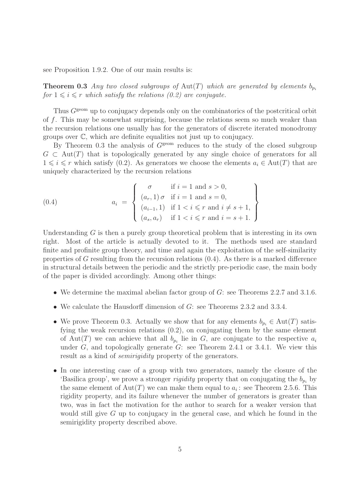see Proposition 1.9.2. One of our main results is:

**Theorem 0.3** Any two closed subgroups of Aut(T) which are generated by elements  $b_p$ . for  $1 \leq i \leq r$  which satisfy the relations (0.2) are conjugate.

Thus  $G^{\text{geom}}$  up to conjugacy depends only on the combinatorics of the postcritical orbit of f. This may be somewhat surprising, because the relations seem so much weaker than the recursion relations one usually has for the generators of discrete iterated monodromy groups over C, which are definite equalities not just up to conjugacy.

By Theorem 0.3 the analysis of  $G<sup>geom</sup>$  reduces to the study of the closed subgroup  $G \subset \text{Aut}(T)$  that is topologically generated by any single choice of generators for all  $1 \leq i \leq r$  which satisfy (0.2). As generators we choose the elements  $a_i \in \text{Aut}(T)$  that are uniquely characterized by the recursion relations

(0.4) 
$$
a_{i} = \begin{cases} \sigma & \text{if } i = 1 \text{ and } s > 0, \\ (a_{r}, 1) \sigma & \text{if } i = 1 \text{ and } s = 0, \\ (a_{i-1}, 1) & \text{if } 1 < i \leq r \text{ and } i \neq s+1, \\ (a_{s}, a_{r}) & \text{if } 1 < i \leq r \text{ and } i = s+1. \end{cases}
$$

Understanding  $G$  is then a purely group theoretical problem that is interesting in its own right. Most of the article is actually devoted to it. The methods used are standard finite and profinite group theory, and time and again the exploitation of the self-similarity properties of G resulting from the recursion relations  $(0.4)$ . As there is a marked difference in structural details between the periodic and the strictly pre-periodic case, the main body of the paper is divided accordingly. Among other things:

- We determine the maximal abelian factor group of  $G$ : see Theorems 2.2.7 and 3.1.6.
- We calculate the Hausdorff dimension of G: see Theorems 2.3.2 and 3.3.4.
- We prove Theorem 0.3. Actually we show that for any elements  $b_{p_i} \in \text{Aut}(T)$  satisfying the weak recursion relations (0.2), on conjugating them by the same element of Aut(T) we can achieve that all  $b_{p_i}$  lie in G, are conjugate to the respective  $a_i$ under  $G$ , and topologically generate  $G$ : see Theorem 2.4.1 or 3.4.1. We view this result as a kind of *semirigidity* property of the generators.
- In one interesting case of a group with two generators, namely the closure of the 'Basilica group', we prove a stronger *rigidity* property that on conjugating the  $b_{p_i}$  by the same element of  $Aut(T)$  we can make them equal to  $a_i$ : see Theorem 2.5.6. This rigidity property, and its failure whenever the number of generators is greater than two, was in fact the motivation for the author to search for a weaker version that would still give  $G$  up to conjugacy in the general case, and which he found in the semirigidity property described above.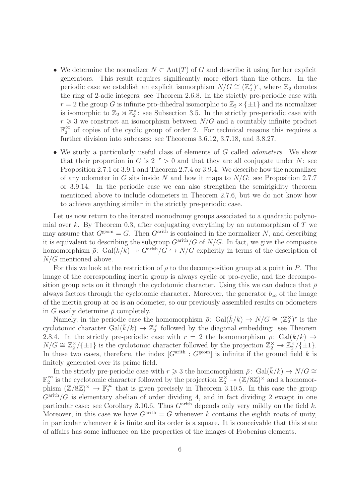- We determine the normalizer  $N \subset Aut(T)$  of G and describe it using further explicit generators. This result requires significantly more effort than the others. In the periodic case we establish an explicit isomorphism  $N/G \cong (\mathbb{Z}_2^{\times})^r$ , where  $\mathbb{Z}_2$  denotes the ring of 2-adic integers: see Theorem 2.6.8. In the strictly pre-periodic case with  $r = 2$  the group G is infinite pro-dihedral isomorphic to  $\mathbb{Z}_2 \rtimes {\pm 1}$  and its normalizer is isomorphic to  $\mathbb{Z}_2 \rtimes \mathbb{Z}_2^{\times}$ : see Subsection 3.5. In the strictly pre-periodic case with  $r \geq 3$  we construct an isomorphism between  $N/G$  and a countably infinite product  $\mathbb{F}_2^\infty$  $\frac{\infty}{2}$  of copies of the cyclic group of order 2. For technical reasons this requires a further division into subcases: see Theorems 3.6.12, 3.7.18, and 3.8.27.
- We study a particularly useful class of elements of G called *odometers*. We show that their proportion in G is  $2^{-r} > 0$  and that they are all conjugate under N: see Proposition 2.7.1 or 3.9.1 and Theorem 2.7.4 or 3.9.4. We describe how the normalizer of any odometer in G sits inside N and how it maps to  $N/G$ : see Proposition 2.7.7 or 3.9.14. In the periodic case we can also strengthen the semirigidity theorem mentioned above to include odometers in Theorem 2.7.6, but we do not know how to achieve anything similar in the strictly pre-periodic case.

Let us now return to the iterated monodromy groups associated to a quadratic polynomial over k. By Theorem 0.3, after conjugating everything by an automorphism of  $T$  we may assume that  $G^{\text{geom}} = G$ . Then  $G^{\text{arith}}$  is contained in the normalizer N, and describing it is equivalent to describing the subgroup  $G^{\text{arith}}/G$  of  $N/G$ . In fact, we give the composite homomorphism  $\bar{\rho}$ : Gal( $\bar{k}/k$ )  $\rightarrow$  G<sup>arith</sup>/ $G \rightarrow N/G$  explicitly in terms of the description of N/G mentioned above.

For this we look at the restriction of  $\rho$  to the decomposition group at a point in P. The image of the corresponding inertia group is always cyclic or pro-cyclic, and the decomposition group acts on it through the cyclotomic character. Using this we can deduce that  $\bar{\rho}$ always factors through the cyclotomic character. Moreover, the generator  $b_{\infty}$  of the image of the inertia group at  $\infty$  is an odometer, so our previously assembled results on odometers in G easily determine  $\bar{\rho}$  completely.

Namely, in the periodic case the homomorphism  $\bar{\rho}$ : Gal $(\bar{k}/k) \rightarrow N/G \cong (\mathbb{Z}_2^{\times})^r$  is the cyclotomic character Gal $(\bar{k}/k) \to \mathbb{Z}_2^{\times}$  followed by the diagonal embedding: see Theorem 2.8.4. In the strictly pre-periodic case with  $r = 2$  the homomorphism  $\bar{\rho}$ : Gal( $\bar{k}/k$ )  $\rightarrow$  $N/G \cong \mathbb{Z}_2^{\times}/\{\pm 1\}$  is the cyclotomic character followed by the projection  $\mathbb{Z}_2^{\times} \to \mathbb{Z}_2^{\times}/\{\pm 1\}$ . In these two cases, therefore, the index  $[G^{\text{arith}} : G^{\text{geom}}]$  is infinite if the ground field k is finitely generated over its prime field.

In the strictly pre-periodic case with  $r \geq 3$  the homomorphism  $\bar{\rho}$ : Gal( $\bar{k}/k$ ) →  $N/G \cong$  $\mathbb{F}_2^\infty$  $\frac{\infty}{2}$  is the cyclotomic character followed by the projection  $\mathbb{Z}_2^{\times} \to (\mathbb{Z}/8\mathbb{Z})^{\times}$  and a homomorphism  $(\mathbb{Z}/8\mathbb{Z})^{\times} \to \mathbb{F}_2^{\infty}$  $\frac{\infty}{2}$  that is given precisely in Theorem 3.10.5. In this case the group  $G^{\text{arith}}/G$  is elementary abelian of order dividing 4, and in fact dividing 2 except in one particular case: see Corollary 3.10.6. Thus  $G<sup>arith</sup>$  depends only very mildly on the field k. Moreover, in this case we have  $G^{\text{arith}} = G$  whenever k contains the eighth roots of unity, in particular whenever  $k$  is finite and its order is a square. It is conceivable that this state of affairs has some influence on the properties of the images of Frobenius elements.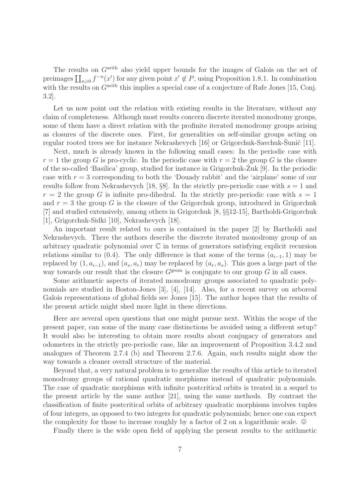The results on  $G<sup>arith</sup>$  also yield upper bounds for the images of Galois on the set of preimages  $\prod_{n\geqslant 0} f^{-n}(x')$  for any given point  $x' \notin P$ , using Proposition 1.8.1. In combination with the results on  $G<sup>arith</sup>$  this implies a special case of a conjecture of Rafe Jones [15, Conj. 3.2].

Let us now point out the relation with existing results in the literature, without any claim of completeness. Although most results concern discrete iterated monodromy groups, some of them have a direct relation with the profinite iterated monodromy groups arising as closures of the discrete ones. First, for generalities on self-similar groups acting on regular rooted trees see for instance Nekrashevych  $[16]$  or Grigorchuk-Savchuk-Sunić  $[11]$ .

Next, much is already known in the following small cases: In the periodic case with  $r = 1$  the group G is pro-cyclic. In the periodic case with  $r = 2$  the group G is the closure of the so-called 'Basilica' group, studied for instance in Grigorchuk-Zuk  $[9]$ . In the periodic case with  $r = 3$  corresponding to both the 'Douady rabbit' and the 'airplane' some of our results follow from Nekrashevych [18,  $\S$ 8]. In the strictly pre-periodic case with  $s = 1$  and  $r = 2$  the group G is infinite pro-dihedral. In the strictly pre-periodic case with  $s = 1$ and  $r = 3$  the group G is the closure of the Grigorchuk group, introduced in Grigorchuk [7] and studied extensively, among others in Grigorchuk [8, §§12-15], Bartholdi-Grigorchuk [1], Grigorchuk-Sidki [10], Nekrashevych [18].

An important result related to ours is contained in the paper [2] by Bartholdi and Nekrashevych. There the authors describe the discrete iterated monodromy group of an arbitrary quadratic polynomial over C in terms of generators satisfying explicit recursion relations similar to (0.4). The only difference is that some of the terms  $(a_{i-1}, 1)$  may be replaced by  $(1, a_{i-1})$ , and  $(a_s, a_r)$  may be replaced by  $(a_r, a_s)$ . This goes a large part of the way towards our result that the closure  $G^{\text{geom}}$  is conjugate to our group G in all cases.

Some arithmetic aspects of iterated monodromy groups associated to quadratic polynomials are studied in Boston-Jones [3], [4], [14]. Also, for a recent survey on arboreal Galois representations of global fields see Jones [15]. The author hopes that the results of the present article might shed more light in these directions.

Here are several open questions that one might pursue next. Within the scope of the present paper, can some of the many case distinctions be avoided using a different setup? It would also be interesting to obtain more results about conjugacy of generators and odometers in the strictly pre-periodic case, like an improvement of Proposition 3.4.2 and analogues of Theorem 2.7.4 (b) and Theorem 2.7.6. Again, such results might show the way towards a cleaner overall structure of the material.

Beyond that, a very natural problem is to generalize the results of this article to iterated monodromy groups of rational quadratic morphisms instead of quadratic polynomials. The case of quadratic morphisms with infinite postcritical orbits is treated in a sequel to the present article by the same author [21], using the same methods. By contrast the classification of finite postcritical orbits of arbitrary quadratic morphisms involves tuples of four integers, as opposed to two integers for quadratic polynomials; hence one can expect the complexity for those to increase roughly by a factor of 2 on a logarithmic scale.  $\odot$ 

Finally there is the wide open field of applying the present results to the arithmetic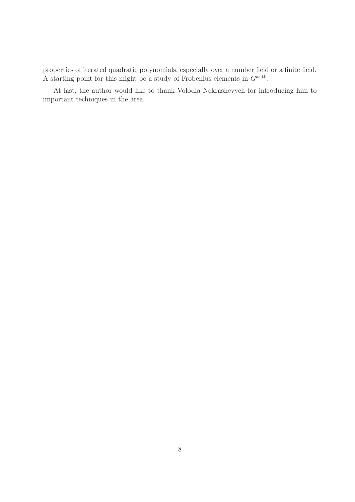properties of iterated quadratic polynomials, especially over a number field or a finite field. A starting point for this might be a study of Frobenius elements in  $G<sup>arith</sup>$ .

At last, the author would like to thank Volodia Nekrashevych for introducing him to important techniques in the area.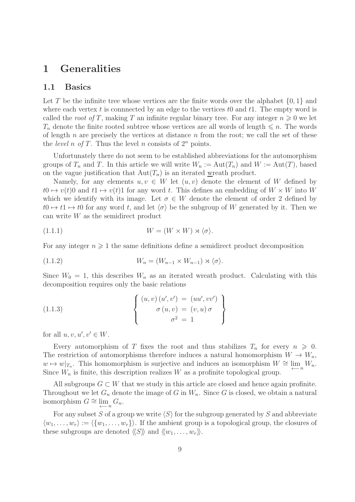## 1 Generalities

#### 1.1 Basics

Let T be the infinite tree whose vertices are the finite words over the alphabet  $\{0, 1\}$  and where each vertex t is connnected by an edge to the vertices to and the empty word is called the root of T, making T an infinite regular binary tree. For any integer  $n \geq 0$  we let  $T_n$  denote the finite rooted subtree whose vertices are all words of length  $\leq n$ . The words of length  $n$  are precisely the vertices at distance  $n$  from the root; we call the set of these the *level* n of T. Thus the level n consists of  $2^n$  points.

Unfortunately there do not seem to be established abbreviations for the automorphism groups of  $T_n$  and T. In this article we will write  $W_n := Aut(T_n)$  and  $W := Aut(T)$ , based on the vague justification that  $Aut(T_n)$  is an iterated wreath product.

Namely, for any elements  $u, v \in W$  let  $(u, v)$  denote the element of W defined by  $t0 \mapsto v(t)0$  and  $t1 \mapsto v(t)1$  for any word t. This defines an embedding of  $W \times W$  into W which we identify with its image. Let  $\sigma \in W$  denote the element of order 2 defined by  $t0 \mapsto t1 \mapsto t0$  for any word t, and let  $\langle \sigma \rangle$  be the subgroup of W generated by it. Then we can write W as the semidirect product

$$
(1.1.1) \t\t W = (W \times W) \rtimes \langle \sigma \rangle.
$$

For any integer  $n \geqslant 1$  the same definitions define a semidirect product decomposition

$$
(1.1.2) \t\t W_n = (W_{n-1} \times W_{n-1}) \rtimes \langle \sigma \rangle.
$$

Since  $W_0 = 1$ , this describes  $W_n$  as an iterated wreath product. Calculating with this decomposition requires only the basic relations

(1.1.3) 
$$
\begin{cases} (u,v)(u',v') = (uu',vv') \\ \sigma(u,v) = (v,u)\sigma \\ \sigma^2 = 1 \end{cases}
$$

for all  $u, v, u', v' \in W$ .

Every automorphism of T fixes the root and thus stabilizes  $T_n$  for every  $n \geq 0$ . The restriction of automorphisms therefore induces a natural homomorphism  $W \to W_n$ ,  $w \mapsto w|_{T_n}$ . This homomorphism is surjective and induces an isomorphism  $W \cong \lim_{\leftarrow n} W_n$ . Since  $W_n$  is finite, this description realizes W as a profinite topological group.

All subgroups  $G \subset W$  that we study in this article are closed and hence again profinite. Throughout we let  $G_n$  denote the image of G in  $W_n$ . Since G is closed, we obtain a natural isomorphism  $G \cong \lim_{n \to \infty} G_n$ .

For any subset S of a group we write  $\langle S \rangle$  for the subgroup generated by S and abbreviate  $\langle w_1, \ldots, w_r \rangle := \langle \{w_1, \ldots, w_r\} \rangle$ . If the ambient group is a topological group, the closures of these subgroups are denoted  $\langle\langle S \rangle\rangle$  and  $\langle\langle w_1, \ldots, w_r \rangle\rangle$ .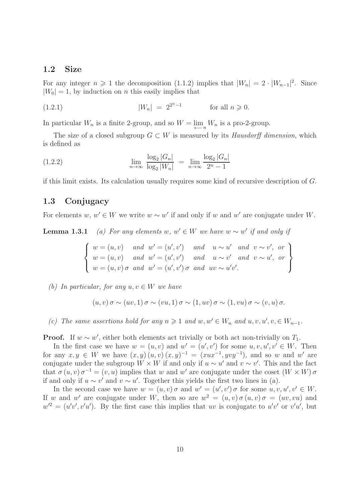#### 1.2 Size

For any integer  $n \geq 1$  the decomposition (1.1.2) implies that  $|W_n| = 2 \cdot |W_{n-1}|^2$ . Since  $|W_0| = 1$ , by induction on *n* this easily implies that

(1.2.1) 
$$
|W_n| = 2^{2^n - 1}
$$
 for all  $n \ge 0$ .

In particular  $W_n$  is a finite 2-group, and so  $W = \lim_{n \to \infty} W_n$  is a pro-2-group.

The size of a closed subgroup  $G \subset W$  is measured by its Hausdorff dimension, which is defined as

(1.2.2) 
$$
\lim_{n \to \infty} \frac{\log_2 |G_n|}{\log_2 |W_n|} = \lim_{n \to \infty} \frac{\log_2 |G_n|}{2^n - 1}
$$

if this limit exists. Its calculation usually requires some kind of recursive description of G.

#### 1.3 Conjugacy

For elements  $w, w' \in W$  we write  $w \sim w'$  if and only if w and w' are conjugate under W.

**Lemma 1.3.1** (a) For any elements w,  $w' \in W$  we have  $w \sim w'$  if and only if

$$
\begin{cases}\nw = (u, v) \quad and \quad w' = (u', v') \quad and \quad u \sim u' \quad and \quad v \sim v', \text{ or} \\
w = (u, v) \quad and \quad w' = (u', v') \quad and \quad u \sim v' \quad and \quad v \sim u', \text{ or} \\
w = (u, v) \sigma \quad and \quad w' = (u', v') \sigma \quad and \quad uv \sim u'v'.\n\end{cases}
$$

(b) In particular, for any  $u, v \in W$  we have

$$
(u, v) \sigma \sim (uv, 1) \sigma \sim (vu, 1) \sigma \sim (1, uv) \sigma \sim (1, vu) \sigma \sim (v, u) \sigma.
$$

(c) The same assertions hold for any  $n \geq 1$  and  $w, w' \in W_n$  and  $u, v, u', v \in W_{n-1}$ .

**Proof.** If  $w \sim w'$ , either both elements act trivially or both act non-trivially on  $T_1$ .

In the first case we have  $w = (u, v)$  and  $w' = (u', v')$  for some  $u, v, u', v' \in W$ . Then for any  $x, y \in W$  we have  $(x, y)(u, v)(x, y)^{-1} = (xux^{-1}, yvy^{-1})$ , and so w and w' are conjugate under the subgroup  $W \times W$  if and only if  $u \sim u'$  and  $v \sim v'$ . This and the fact that  $\sigma(u, v) \sigma^{-1} = (v, u)$  implies that w and w' are conjugate under the coset  $(W \times W) \sigma$ if and only if  $u \sim v'$  and  $v \sim u'$ . Together this yields the first two lines in (a).

In the second case we have  $w = (u, v) \sigma$  and  $w' = (u', v') \sigma$  for some  $u, v, u', v' \in W$ . If w and w' are conjugate under W, then so are  $w^2 = (u, v) \sigma(u, v) \sigma(w, vu)$  and  $w'^2 = (u'v', v'u')$ . By the first case this implies that uv is conjugate to  $u'v'$  or  $v'u'$ , but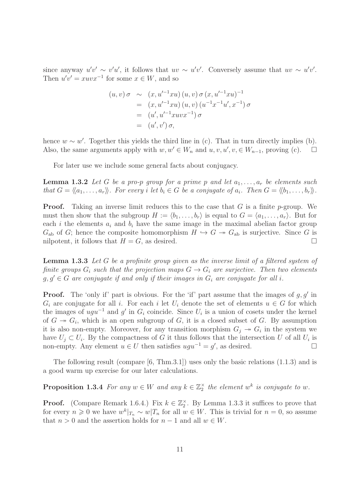since anyway  $u'v' \sim v'u'$ , it follows that  $uv \sim u'v'$ . Conversely assume that  $uv \sim u'v'$ . Then  $u'v' = xuvx^{-1}$  for some  $x \in W$ , and so

$$
(u, v) \sigma \sim (x, u'^{-1}xu) (u, v) \sigma (x, u'^{-1}xu)^{-1}
$$
  
=  $(x, u'^{-1}xu) (u, v) (u^{-1}x^{-1}u', x^{-1}) \sigma$   
=  $(u', u'^{-1}xuvx^{-1}) \sigma$   
=  $(u', v') \sigma$ ,

hence  $w \sim w'$ . Together this yields the third line in (c). That in turn directly implies (b). Also, the same arguments apply with  $w, w' \in W_n$  and  $u, v, u', v \in W_{n-1}$ , proving (c).  $\Box$ 

For later use we include some general facts about conjugacy.

**Lemma 1.3.2** Let G be a pro-p group for a prime p and let  $a_1, \ldots, a_r$  be elements such that  $G = \langle\!\langle a_1, \ldots, a_r \rangle\!\rangle$ . For every i let  $b_i \in G$  be a conjugate of  $a_i$ . Then  $G = \langle\!\langle b_1, \ldots, b_r \rangle\!\rangle$ .

**Proof.** Taking an inverse limit reduces this to the case that  $G$  is a finite p-group. We must then show that the subgroup  $H := \langle b_1, \ldots, b_r \rangle$  is equal to  $G = \langle a_1, \ldots, a_r \rangle$ . But for each i the elements  $a_i$  and  $b_i$  have the same image in the maximal abelian factor group  $G_{ab}$  of G; hence the composite homomorphism  $H \hookrightarrow G \twoheadrightarrow G_{ab}$  is surjective. Since G is nilpotent, it follows that  $H = G$ , as desired.

Lemma 1.3.3 Let G be a profinite group given as the inverse limit of a filtered system of finite groups  $G_i$  such that the projection maps  $G \to G_i$  are surjective. Then two elements  $g, g' \in G$  are conjugate if and only if their images in  $G_i$  are conjugate for all i.

**Proof.** The 'only if' part is obvious. For the 'if' part assume that the images of  $g, g'$  in  $G_i$  are conjugate for all i. For each i let  $U_i$  denote the set of elements  $u \in G$  for which the images of  $ugu^{-1}$  and  $g'$  in  $G_i$  coincide. Since  $U_i$  is a union of cosets under the kernel of  $G \rightarrow G_i$ , which is an open subgroup of G, it is a closed subset of G. By assumption it is also non-empty. Moreover, for any transition morphism  $G_j \rightarrow G_i$  in the system we have  $U_j \subset U_i$ . By the compactness of G it thus follows that the intersection U of all  $U_i$  is non-empty. Any element  $u \in U$  then satisfies  $ugu^{-1} = g'$ , as desired.  $□$ 

The following result (compare  $[6, Thm.3.1]$ ) uses only the basic relations  $(1.1.3)$  and is a good warm up exercise for our later calculations.

**Proposition 1.3.4** For any  $w \in W$  and any  $k \in \mathbb{Z}_2^{\times}$  the element  $w^k$  is conjugate to  $w$ .

**Proof.** (Compare Remark 1.6.4.) Fix  $k \in \mathbb{Z}_2^{\times}$ . By Lemma 1.3.3 it suffices to prove that for every  $n \geq 0$  we have  $w^k|_{T_n} \sim w|_{T_n}$  for all  $w \in W$ . This is trivial for  $n = 0$ , so assume that  $n > 0$  and the assertion holds for  $n - 1$  and all  $w \in W$ .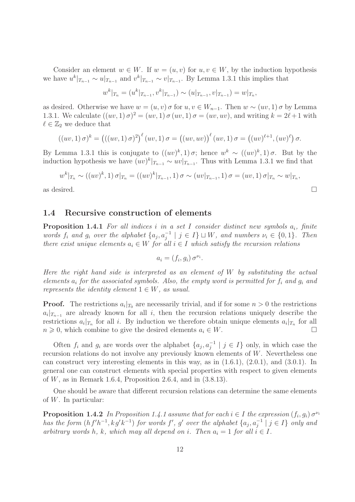Consider an element  $w \in W$ . If  $w = (u, v)$  for  $u, v \in W$ , by the induction hypothesis we have  $u^k|_{T_{n-1}} \sim u|_{T_{n-1}}$  and  $v^k|_{T_{n-1}} \sim v|_{T_{n-1}}$ . By Lemma 1.3.1 this implies that

$$
w^{k}|_{T_{n}} = (u^{k}|_{T_{n-1}}, v^{k}|_{T_{n-1}}) \sim (u|_{T_{n-1}}, v|_{T_{n-1}}) = w|_{T_{n}},
$$

as desired. Otherwise we have  $w = (u, v) \sigma$  for  $u, v \in W_{n-1}$ . Then  $w \sim (uv, 1) \sigma$  by Lemma 1.3.1. We calculate  $((uv, 1) \sigma)^2 = (uv, 1) \sigma (uv, 1) \sigma = (uv, uv)$ , and writing  $k = 2\ell + 1$  with  $\ell \in \mathbb{Z}_2$  we deduce that

$$
((uv,1)\,\sigma)^k = (((uv,1)\,\sigma)^2)^{\ell}(uv,1)\,\sigma = ((uv,uv))^{\ell}(uv,1)\,\sigma = ((uv)^{\ell+1},(uv)^{\ell})\,\sigma.
$$

By Lemma 1.3.1 this is conjugate to  $((uv)^k, 1) \sigma$ ; hence  $w^k \sim ((uv)^k, 1) \sigma$ . But by the induction hypothesis we have  $(uv)^k|_{T_{n-1}} \sim uv|_{T_{n-1}}$ . Thus with Lemma 1.3.1 we find that

$$
w^{k}|_{T_{n}} \sim ((uv)^{k}, 1) \sigma|_{T_{n}} = ((uv)^{k}|_{T_{n-1}}, 1) \sigma \sim (uv|_{T_{n-1}}, 1) \sigma = (uv, 1) \sigma|_{T_{n}} \sim w|_{T_{n}},
$$

as desired.  $\Box$ 

#### 1.4 Recursive construction of elements

**Proposition 1.4.1** For all indices i in a set I consider distinct new symbols  $a_i$ , finite words  $f_i$  and  $g_i$  over the alphabet  $\{a_j, a_j^{-1} \mid j \in I\} \sqcup W$ , and numbers  $\nu_i \in \{0,1\}$ . Then there exist unique elements  $a_i \in W$  for all  $i \in I$  which satisfy the recursion relations

$$
a_i = (f_i, g_i) \sigma^{\nu_i}.
$$

Here the right hand side is interpreted as an element of  $W$  by substituting the actual elements  $a_i$  for the associated symbols. Also, the empty word is permitted for  $f_i$  and  $g_i$  and represents the identity element  $1 \in W$ , as usual.

**Proof.** The restrictions  $a_i|_{T_0}$  are necessarily trivial, and if for some  $n > 0$  the restrictions  $a_i|_{T_{n-1}}$  are already known for all i, then the recursion relations uniquely describe the restrictions  $a_i|_{T_n}$  for all i. By induction we therefore obtain unique elements  $a_i|_{T_n}$  for all  $n \geq 0$ , which combine to give the desired elements  $a_i \in W$ .

Often  $f_i$  and  $g_i$  are words over the alphabet  $\{a_j, a_j^{-1} \mid j \in I\}$  only, in which case the recursion relations do not involve any previously known elements of  $W$ . Nevertheless one can construct very interesting elements in this way, as in  $(1.6.1)$ ,  $(2.0.1)$ , and  $(3.0.1)$ . In general one can construct elements with special properties with respect to given elements of  $W$ , as in Remark 1.6.4, Proposition 2.6.4, and in  $(3.8.13)$ .

One should be aware that different recursion relations can determine the same elements of  $W$ . In particular:

**Proposition 1.4.2** In Proposition 1.4.1 assume that for each  $i \in I$  the expression  $(f_i, g_i) \sigma^{\nu_i}$ has the form  $(hf'h^{-1}, kg'k^{-1})$  for words  $f'$ , g' over the alphabet  $\{a_j, a_j^{-1} \mid j \in I\}$  only and arbitrary words h, k, which may all depend on i. Then  $a_i = 1$  for all  $i \in I$ .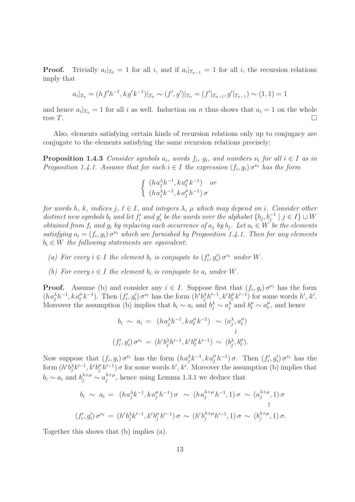**Proof.** Trivially  $a_i|_{T_0} = 1$  for all i, and if  $a_i|_{T_{n-1}} = 1$  for all i, the recursion relations imply that

$$
a_i|_{T_n} = (hf'h^{-1}, kg'k^{-1})|_{T_n} \sim (f', g')|_{T_n} = (f'|_{T_{n-1}}, g'|_{T_{n-1}}) \sim (1, 1) = 1
$$

and hence  $a_i|_{T_n} = 1$  for all i as well. Induction on n thus shows that  $a_i = 1$  on the whole tree  $T$ .

Also, elements satisfying certain kinds of recursion relations only up to conjugacy are conjugate to the elements satisfying the same recursion relations precisely:

**Proposition 1.4.3** Consider symbols  $a_i$ , words  $f_i$ ,  $g_i$ , and numbers  $\nu_i$  for all  $i \in I$  as in Proposition 1.4.1. Assume that for each  $i \in I$  the expression  $(f_i, g_i) \sigma^{\nu_i}$  has the form

$$
\begin{cases} (ha_j^{\lambda}h^{-1}, ka_{\ell}^{\mu}k^{-1}) & or \\ (ha_j^{\lambda}k^{-1}, ka_j^{\mu}h^{-1}) \sigma \end{cases}
$$

for words h, k, indices j,  $\ell \in I$ , and integers  $\lambda$ ,  $\mu$  which may depend on i. Consider other distinct new symbols  $b_i$  and let  $f'_i$  and  $g'_i$  be the words over the alphabet  $\{b_j, b_j^{-1} \mid j \in I\} \sqcup W$ obtained from  $f_i$  and  $g_i$  by replacing each occurrence of  $a_j$  by  $b_j$ . Let  $a_i \in W$  be the elements satisfying  $a_i = (f_i, g_i) \sigma^{\nu_i}$  which are furnished by Proposition 1.4.1. Then for any elements  $b_i \in W$  the following statements are equivalent:

- (a) For every  $i \in I$  the element  $b_i$  is conjugate to  $(f'_i, g'_i) \sigma^{\nu_i}$  under W.
- (b) For every  $i \in I$  the element  $b_i$  is conjugate to  $a_i$  under W.

**Proof.** Assume (b) and consider any  $i \in I$ . Suppose first that  $(f_i, g_i) \sigma^{\nu_i}$  has the form  $(ha_j^{\lambda}h^{-1}, ka_\ell^{\mu}k^{-1})$ . Then  $(f_i', g_i')\sigma^{\nu_i}$  has the form  $(h'b_j^{\lambda}h'^{-1}, k'b_\ell^{\mu})$  $\ell^{(k'-1)}$  for some words  $h', k'.$ Moreover the assumption (b) implies that  $b_i \sim a_i$  and  $b_j^{\lambda} \sim a_j^{\lambda}$  and  $b_{\ell}^{\mu} \sim a_{\ell}^{\mu}$  $\ell$ <sup>*u*</sup>, and hence

$$
b_i \sim a_i = (ha_j^{\lambda}h^{-1}, ka_{\ell}^{\mu}k^{-1}) \sim (a_j^{\lambda}, a_{\ell}^{\mu})
$$
  

$$
(f_i', g_i') \sigma^{\nu_i} = (h'b_j^{\lambda}h'^{-1}, k'b_{\ell}^{\mu}k'^{-1}) \sim (b_j^{\lambda}, b_{\ell}^{\mu}).
$$

Now suppose that  $(f_i, g_i) \sigma^{\nu_i}$  has the form  $(ha_j^{\lambda}k^{-1}, ka_j^{\mu}h^{-1}) \sigma$ . Then  $(f'_i, g'_i) \sigma^{\nu_i}$  has the form  $(h'b_j^{\lambda}k'^{-1}, k'b_j^{\mu}h'^{-1})\sigma$  for some words  $h', k'$ . Moreover the assumption (b) implies that  $b_i \sim a_i$  and  $b_j^{\lambda+\mu} \sim a_j^{\lambda+\mu}$  $j_j^{\lambda+\mu}$ , hence using Lemma 1.3.1 we deduce that

$$
b_i \sim a_i = (h a_j^{\lambda} k^{-1}, k a_j^{\mu} h^{-1}) \sigma \sim (h a_j^{\lambda + \mu} h^{-1}, 1) \sigma \sim (a_j^{\lambda + \mu}, 1) \sigma
$$
  

$$
(f'_i, g'_i) \sigma^{\nu_i} = (h' b_j^{\lambda} k'^{-1}, k' b_j^{\mu} h'^{-1}) \sigma \sim (h' b_j^{\lambda + \mu} h'^{-1}, 1) \sigma \sim (b_j^{\lambda + \mu}, 1) \sigma.
$$

Together this shows that (b) implies (a).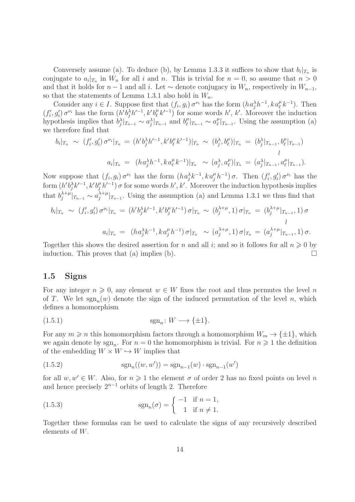Conversely assume (a). To deduce (b), by Lemma 1.3.3 it suffices to show that  $b_i|_{T_n}$  is conjugate to  $a_i|_{T_n}$  in  $W_n$  for all i and n. This is trivial for  $n = 0$ , so assume that  $n > 0$ and that it holds for  $n-1$  and all i. Let  $\sim$  denote conjugacy in  $W_n$ , respectively in  $W_{n-1}$ , so that the statements of Lemma 1.3.1 also hold in  $W_n$ .

Consider any  $i \in I$ . Suppose first that  $(f_i, g_i) \sigma^{\nu_i}$  has the form  $(h a_j^{\lambda} h^{-1}, k a_{\ell}^{\mu} k^{-1})$ . Then  $(f'_i, g'_i) \sigma^{\nu_i}$  has the form  $(h'b_j^{\lambda}h'^{-1}, k'b''_{\ell})$  $(\ell, k'^{-1})$  for some words  $h', k'$ . Moreover the induction hypothesis implies that  $b_j^{\lambda}|_{T_{n-1}} \sim a_j^{\lambda}|_{T_{n-1}}$  and  $b_{\ell}^{\mu}$  $_{\ell}^{\mu}|_{T_{n-1}} \sim a_{\ell}^{\mu}$  $_{\ell}^{\mu}|_{T_{n-1}}$ . Using the assumption (a) we therefore find that

$$
b_i|_{T_n} \sim (f'_i, g'_i) \sigma^{\nu_i}|_{T_n} = (h'b_j^{\lambda}h'^{-1}, k'b''_{\ell}k'^{-1})|_{T_n} \sim (b_j^{\lambda}, b_{\ell}^{\mu})|_{T_n} = (b_j^{\lambda}|_{T_{n-1}}, b_{\ell}^{\mu}|_{T_{n-1}})
$$
  

$$
a_i|_{T_n} = (ha_j^{\lambda}h^{-1}, ka_{\ell}^{\mu}k^{-1})|_{T_n} \sim (a_j^{\lambda}, a_{\ell}^{\mu})|_{T_n} = (a_j^{\lambda}|_{T_{n-1}}, a_{\ell}^{\mu}|_{T_{n-1}}).
$$

Now suppose that  $(f_i, g_i) \sigma^{\nu_i}$  has the form  $(ha_j^{\lambda}k^{-1}, ka_j^{\mu}h^{-1}) \sigma$ . Then  $(f'_i, g'_i) \sigma^{\nu_i}$  has the form  $(h'b_j^{\lambda}k'^{-1}, k'b_j^{\mu}h'^{-1})\sigma$  for some words  $h', k'$ . Moreover the induction hypothesis implies that  $b_i^{\lambda+\mu}$  $\int_{j}^{\lambda+\mu}|_{T_{n-1}} \sim a_j^{\lambda+\mu}$  $\int_{j}^{\lambda+\mu}|_{T_{n-1}}$ . Using the assumption (a) and Lemma 1.3.1 we thus find that

$$
b_i|_{T_n} \sim (f'_i, g'_i) \sigma^{\nu_i}|_{T_n} = (h'b_j^{\lambda}k'^{-1}, k'b_j^{\mu}h'^{-1}) \sigma|_{T_n} \sim (b_j^{\lambda+\mu}, 1) \sigma|_{T_n} = (b_j^{\lambda+\mu}|_{T_{n-1}}, 1) \sigma
$$
  

$$
a_i|_{T_n} = (ha_j^{\lambda}k^{-1}, ka_j^{\mu}h^{-1}) \sigma|_{T_n} \sim (a_j^{\lambda+\mu}, 1) \sigma|_{T_n} = (a_j^{\lambda+\mu}|_{T_{n-1}}, 1) \sigma.
$$

Together this shows the desired assertion for n and all i; and so it follows for all  $n \geq 0$  by induction. This proves that (a) implies (b).  $\Box$ 

#### 1.5 Signs

For any integer  $n \geq 0$ , any element  $w \in W$  fixes the root and thus permutes the level n of T. We let  $sgn_n(w)$  denote the sign of the induced permutation of the level n, which defines a homomorphism

$$
\operatorname{sgn}_n: W \longrightarrow \{\pm 1\}.
$$

For any  $m \geq n$  this homomorphism factors through a homomorphism  $W_m \to {\pm 1}$ , which we again denote by  $sgn_n$ . For  $n=0$  the homomorphism is trivial. For  $n \geq 1$  the definition of the embedding  $W \times W \hookrightarrow W$  implies that

(1.5.2) 
$$
sgn_n((w, w')) = sgn_{n-1}(w) \cdot sgn_{n-1}(w')
$$

for all  $w, w' \in W$ . Also, for  $n \geq 1$  the element  $\sigma$  of order 2 has no fixed points on level n and hence precisely  $2^{n-1}$  orbits of length 2. Therefore

(1.5.3) 
$$
\operatorname{sgn}_n(\sigma) = \begin{cases} -1 & \text{if } n = 1, \\ 1 & \text{if } n \neq 1. \end{cases}
$$

Together these formulas can be used to calculate the signs of any recursively described elements of W.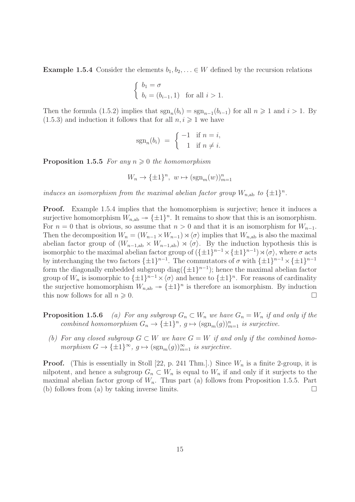Example 1.5.4 Consider the elements  $b_1, b_2, \ldots \in W$  defined by the recursion relations

$$
\begin{cases} b_1 = \sigma \\ b_i = (b_{i-1}, 1) \text{ for all } i > 1. \end{cases}
$$

Then the formula (1.5.2) implies that  $sgn_n(b_i) = sgn_{n-1}(b_{i-1})$  for all  $n \ge 1$  and  $i > 1$ . By  $(1.5.3)$  and induction it follows that for all  $n, i \geqslant 1$  we have

$$
sgn_n(b_i) = \begin{cases} -1 & \text{if } n = i, \\ 1 & \text{if } n \neq i. \end{cases}
$$

**Proposition 1.5.5** For any  $n \geq 0$  the homomorphism

$$
W_n \to {\{\pm 1\}}^n, w \mapsto (\operatorname{sgn}_m(w))_{m=1}^n
$$

induces an isomorphism from the maximal abelian factor group  $W_{n,ab}$  to  $\{\pm 1\}^n$ .

**Proof.** Example 1.5.4 implies that the homomorphism is surjective; hence it induces a surjective homomorphism  $W_{n,ab} \to {\pm 1}^n$ . It remains to show that this is an isomorphism. For  $n = 0$  that is obvious, so assume that  $n > 0$  and that it is an isomorphism for  $W_{n-1}$ . Then the decomposition  $W_n = (W_{n-1} \times W_{n-1}) \rtimes \langle \sigma \rangle$  implies that  $W_{n,ab}$  is also the maximal abelian factor group of  $(W_{n-1,ab} \times W_{n-1,ab}) \rtimes \langle \sigma \rangle$ . By the induction hypothesis this is isomorphic to the maximal abelian factor group of  $(\{\pm 1\}^{n-1} \times \{\pm 1\}^{n-1}) \rtimes \langle \sigma \rangle$ , where  $\sigma$  acts by interchanging the two factors  $\{\pm 1\}^{n-1}$ . The commutators of  $\sigma$  with  $\{\pm 1\}^{n-1} \times \{\pm 1\}^{n-1}$ form the diagonally embedded subgroup diag( $\{\pm 1\}^{n-1}$ ); hence the maximal abelian factor group of  $W_n$  is isomorphic to  $\{\pm 1\}^{n-1} \times \langle \sigma \rangle$  and hence to  $\{\pm 1\}^n$ . For reasons of cardinality the surjective homomorphism  $W_{n,ab} \to {\pm 1}^n$  is therefore an isomorphism. By induction this now follows for all  $n \geqslant 0$ .

**Proposition 1.5.6** (a) For any subgroup  $G_n \subset W_n$  we have  $G_n = W_n$  if and only if the combined homomorphism  $G_n \to {\{\pm 1\}}^n$ ,  $g \mapsto (\text{sgn}_m(g))_{m=1}^n$  is surjective.

(b) For any closed subgroup  $G \subset W$  we have  $G = W$  if and only if the combined homomorphism  $G \to {\{\pm 1\}}^{\infty}$ ,  $g \mapsto (\text{sgn}_m(g))_{m=1}^{\infty}$  is surjective.

**Proof.** (This is essentially in Stoll [22, p. 241 Thm.].) Since  $W_n$  is a finite 2-group, it is nilpotent, and hence a subgroup  $G_n \subset W_n$  is equal to  $W_n$  if and only if it surjects to the maximal abelian factor group of  $W_n$ . Thus part (a) follows from Proposition 1.5.5. Part (b) follows from (a) by taking inverse limits.  $\square$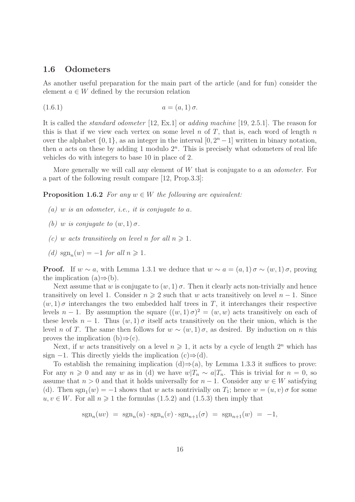#### 1.6 Odometers

As another useful preparation for the main part of the article (and for fun) consider the element  $a \in W$  defined by the recursion relation

(1.6.1) 
$$
a = (a, 1) \sigma.
$$

It is called the standard odometer [12, Ex.1] or adding machine [19, 2.5.1]. The reason for this is that if we view each vertex on some level n of  $T$ , that is, each word of length  $n$ over the alphabet  $\{0, 1\}$ , as an integer in the interval  $[0, 2<sup>n</sup> - 1]$  written in binary notation, then  $a$  acts on these by adding 1 modulo  $2<sup>n</sup>$ . This is precisely what odometers of real life vehicles do with integers to base 10 in place of 2.

More generally we will call any element of  $W$  that is conjugate to  $a$  an *odometer*. For a part of the following result compare [12, Prop.3.3]:

**Proposition 1.6.2** For any  $w \in W$  the following are equivalent:

- (a) w is an odometer, i.e., it is conjugate to a.
- (b) w is conjugate to  $(w, 1)$   $\sigma$ .
- (c) w acts transitively on level n for all  $n \geq 1$ .
- (d)  $sgn_n(w) = -1$  for all  $n \ge 1$ .

**Proof.** If  $w \sim a$ , with Lemma 1.3.1 we deduce that  $w \sim a = (a, 1) \sigma \sim (w, 1) \sigma$ , proving the implication  $(a) \Rightarrow (b)$ .

Next assume that w is conjugate to  $(w, 1)$   $\sigma$ . Then it clearly acts non-trivially and hence transitively on level 1. Consider  $n \geq 2$  such that w acts transitively on level  $n-1$ . Since  $(w, 1)$  σ interchanges the two embedded half trees in T, it interchanges their respective levels  $n-1$ . By assumption the square  $((w,1)\sigma)^2 = (w,w)$  acts transitively on each of these levels  $n-1$ . Thus  $(w, 1)$   $\sigma$  itself acts transitively on the their union, which is the level n of T. The same then follows for  $w \sim (w, 1) \sigma$ , as desired. By induction on n this proves the implication  $(b) \Rightarrow (c)$ .

Next, if w acts transitively on a level  $n \geq 1$ , it acts by a cycle of length  $2^n$  which has sign  $-1$ . This directly yields the implication  $(c) \Rightarrow (d)$ .

To establish the remaining implication  $(d) \Rightarrow (a)$ , by Lemma 1.3.3 it suffices to prove: For any  $n \geq 0$  and any w as in (d) we have  $w|T_n \sim a|T_n$ . This is trivial for  $n = 0$ , so assume that  $n > 0$  and that it holds universally for  $n - 1$ . Consider any  $w \in W$  satisfying (d). Then  $sgn_1(w) = -1$  shows that w acts nontrivially on  $T_1$ ; hence  $w = (u, v)$  of for some  $u, v \in W$ . For all  $n \geq 1$  the formulas (1.5.2) and (1.5.3) then imply that

$$
\operatorname{sgn}_n(uv) = \operatorname{sgn}_n(u) \cdot \operatorname{sgn}_n(v) \cdot \operatorname{sgn}_{n+1}(\sigma) = \operatorname{sgn}_{n+1}(w) = -1,
$$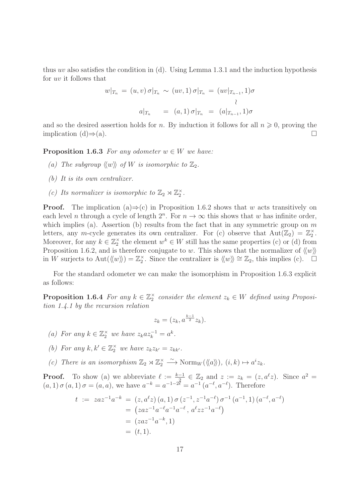thus uv also satisfies the condition in  $(d)$ . Using Lemma 1.3.1 and the induction hypothesis for uv it follows that

$$
w|_{T_n} = (u, v) \sigma|_{T_n} \sim (uv, 1) \sigma|_{T_n} = (uv|_{T_{n-1}}, 1) \sigma
$$

$$
a|_{T_n} = (a, 1) \sigma|_{T_n} = (a|_{T_{n-1}}, 1) \sigma
$$

and so the desired assertion holds for n. By induction it follows for all  $n \geq 0$ , proving the implication  $(d) \Rightarrow (a)$ .

**Proposition 1.6.3** For any odometer  $w \in W$  we have:

- (a) The subgroup  $\langle \langle w \rangle \rangle$  of W is isomorphic to  $\mathbb{Z}_2$ .
- (b) It is its own centralizer.
- (c) Its normalizer is isomorphic to  $\mathbb{Z}_2 \rtimes \mathbb{Z}_2^{\times}$ .

**Proof.** The implication (a)⇒(c) in Proposition 1.6.2 shows that w acts transitively on each level *n* through a cycle of length  $2^n$ . For  $n \to \infty$  this shows that w has infinite order, which implies (a). Assertion (b) results from the fact that in any symmetric group on  $m$ letters, any m-cycle generates its own centralizer. For (c) observe that  $Aut(\mathbb{Z}_2) = \mathbb{Z}_2^{\times}$ . Moreover, for any  $k \in \mathbb{Z}_2^{\times}$  the element  $w^k \in W$  still has the same properties (c) or (d) from Proposition 1.6.2, and is therefore conjugate to w. This shows that the normalizer of  $\langle w \rangle$ in W surjects to Aut $(\langle w \rangle) = \mathbb{Z}_2^{\times}$ . Since the centralizer is  $\langle w \rangle \cong \mathbb{Z}_2$ , this implies (c).

For the standard odometer we can make the isomorphism in Proposition 1.6.3 explicit as follows:

**Proposition 1.6.4** For any  $k \in \mathbb{Z}_2^{\times}$  consider the element  $z_k \in W$  defined using Proposition 1.4.1 by the recursion relation

$$
z_k = (z_k, a^{\frac{k-1}{2}} z_k).
$$

(a) For any  $k \in \mathbb{Z}_2^{\times}$  we have  $z_k a z_k^{-1} = a^k$ .

- (b) For any  $k, k' \in \mathbb{Z}_2^{\times}$  we have  $z_k z_{k'} = z_{kk'}$ .
- (c) There is an isomorphism  $\mathbb{Z}_2 \rtimes \mathbb{Z}_2^{\times} \stackrel{\sim}{\longrightarrow} \text{Norm}_W(\langle\langle a \rangle\rangle), (i,k) \mapsto a^i z_k$ .

**Proof.** To show (a) we abbreviate  $\ell := \frac{k-1}{2} \in \mathbb{Z}_2$  and  $z := z_k = (z, a^{\ell}z)$ . Since  $a^2 =$  $(a, 1) \sigma(a, 1) \sigma = (a, a)$ , we have  $a^{-k} = a^{-1-2\ell} = a^{-1} (a^{-\ell}, a^{-\ell})$ . Therefore

$$
t := za z^{-1} a^{-k} = (z, a^{\ell} z) (a, 1) \sigma (z^{-1}, z^{-1} a^{-\ell}) \sigma^{-1} (a^{-1}, 1) (a^{-\ell}, a^{-\ell})
$$
  
=  $(zaz^{-1} a^{-\ell} a^{-1} a^{-\ell}, a^{\ell} zz^{-1} a^{-\ell})$   
=  $(zaz^{-1} a^{-k}, 1)$   
=  $(t, 1).$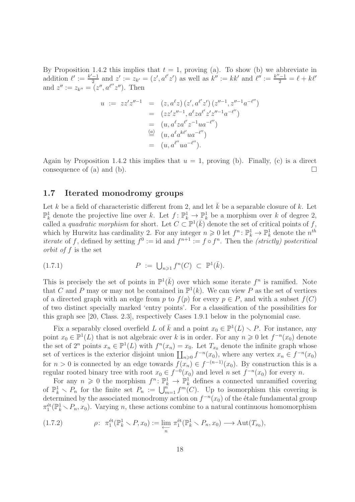By Proposition 1.4.2 this implies that  $t = 1$ , proving (a). To show (b) we abbreviate in addition  $\ell' := \frac{k'-1}{2}$  $\frac{-1}{2}$  and  $z' := z_{k'} = (z', a^{l'}z')$  as well as  $k'' := kk'$  and  $\ell'' := \frac{k''-1}{2} = \ell + k\ell'$ and  $z'':= z_{k''} = (z'', a^{\ell''}z'').$  Then

$$
u := zz'z''^{-1} = (z, a^{\ell}z)(z', a^{\ell'}z')(z''^{-1}, z''^{-1}a^{-\ell''})
$$
  
\n
$$
= (zz'z''^{-1}, a^{\ell}za^{\ell'}z'z''^{-1}a^{-\ell''})
$$
  
\n
$$
= (u, a^{\ell}za^{\ell'}z^{-1}ua^{-\ell''})
$$
  
\n
$$
\stackrel{\text{(a)}}{=} (u, a^{\ell}a^{k\ell'}ua^{-\ell''})
$$
  
\n
$$
= (u, a^{\ell''}ua^{-\ell''}).
$$

Again by Proposition 1.4.2 this implies that  $u = 1$ , proving (b). Finally, (c) is a direct consequence of (a) and (b).  $\Box$ 

#### 1.7 Iterated monodromy groups

Let k be a field of characteristic different from 2, and let  $\bar{k}$  be a separable closure of k. Let  $\mathbb{P}_k^1$  denote the projective line over k. Let  $f: \mathbb{P}_k^1 \to \mathbb{P}_k^1$  be a morphism over k of degree 2, called a quadratic morphism for short. Let  $C \subset \mathbb{P}^1(\overline{k})$  denote the set of critical points of f, which by Hurwitz has cardinality 2. For any integer  $n \geq 0$  let  $f^n: \mathbb{P}_k^1 \to \mathbb{P}_k^1$  denote the  $n^{th}$ *iterate* of f, defined by setting  $f^0 := id$  and  $f^{n+1} := f \circ f^n$ . Then the *(strictly)* postcritical orbit of f is the set

$$
(1.7.1) \t\t P := \bigcup_{n \geq 1} f^n(C) \subset \mathbb{P}^1(\bar{k}).
$$

This is precisely the set of points in  $\mathbb{P}^1(\bar{k})$  over which some iterate  $f^n$  is ramified. Note that C and P may or may not be contained in  $\mathbb{P}^1(k)$ . We can view P as the set of vertices of a directed graph with an edge from p to  $f(p)$  for every  $p \in P$ , and with a subset  $f(C)$ of two distinct specially marked 'entry points'. For a classification of the possibilities for this graph see [20, Class. 2.3], respectively Cases 1.9.1 below in the polynomial case.

Fix a separably closed overfield L of  $\bar{k}$  and a point  $x_0 \in \mathbb{P}^1(L) \setminus P$ . For instance, any point  $x_0 \in \mathbb{P}^1(L)$  that is not algebraic over k is in order. For any  $n \geq 0$  let  $f^{-n}(x_0)$  denote the set of  $2^n$  points  $x_n \in \mathbb{P}^1(L)$  with  $f^n(x_n) = x_0$ . Let  $T_{x_0}$  denote the infinite graph whose set of vertices is the exterior disjoint union  $\prod_{n\geqslant 0} f^{-n}(x_0)$ , where any vertex  $x_n \in f^{-n}(x_0)$ for  $n > 0$  is connected by an edge towards  $f(x_n) \in f^{-(n-1)}(x_0)$ . By construction this is a regular rooted binary tree with root  $x_0 \in f^{-0}(x_0)$  and level n set  $f^{-n}(x_0)$  for every n.

For any  $n \geq 0$  the morphism  $f^n: \mathbb{P}_k^1 \to \mathbb{P}_k^1$  defines a connected unramified covering of  $\mathbb{P}_k^1 \setminus P_n$  for the finite set  $P_n := \bigcup_{m=1}^n f^m(C)$ . Up to isomorphism this covering is determined by the associated monodromy action on  $f^{-n}(x_0)$  of the étale fundamental group  $\pi_1^{\text{\'et}}(\mathbb{P}_k^1 \setminus P_n, x_0)$ . Varying n, these actions combine to a natural continuous homomorphism

(1.7.2) 
$$
\rho: \ \pi_1^{\text{\'et}}(\mathbb{P}_k^1 \setminus P, x_0) := \varprojlim_n \ \pi_1^{\text{\'et}}(\mathbb{P}_k^1 \setminus P_n, x_0) \longrightarrow \text{Aut}(T_{x_0}),
$$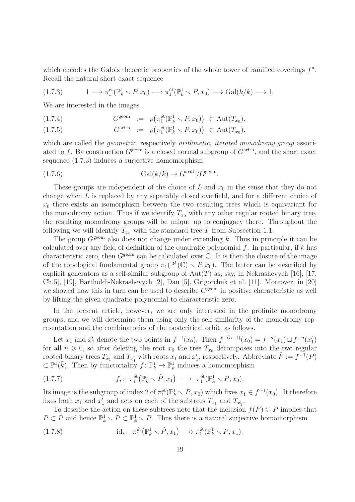which encodes the Galois theoretic properties of the whole tower of ramified coverings  $f^n$ . Recall the natural short exact sequence

$$
(1.7.3) \t1 \longrightarrow \pi_1^{\text{\'et}}(\mathbb{P}_{\bar{k}}^1 \setminus P, x_0) \longrightarrow \pi_1^{\text{\'et}}(\mathbb{P}_{k}^1 \setminus P, x_0) \longrightarrow \text{Gal}(\bar{k}/k) \longrightarrow 1.
$$

We are interested in the images

(1.7.4) 
$$
G^{\text{geom}} := \rho\big(\pi_1^{\text{\'et}}(\mathbb{P}_{\bar{k}}^1 \setminus P, x_0)\big) \subset \text{Aut}(T_{x_0}),
$$

$$
(1.7.5) \tGarith := \rho(\pi_1^{\text{\'et}}(\mathbb{P}_k^1 \setminus P, x_0)) \subset \text{Aut}(T_{x_0}),
$$

which are called the *geometric*, respectively *arithmetic*, *iterated monodromy group* associated to f. By construction  $G^{\text{geom}}$  is a closed normal subgroup of  $G^{\text{arith}}$ , and the short exact sequence (1.7.3) induces a surjective homomorphism

(1.7.6) 
$$
\mathrm{Gal}(\bar{k}/k) \twoheadrightarrow G^{\mathrm{arith}}/G^{\mathrm{geom}}.
$$

These groups are independent of the choice of  $L$  and  $x_0$  in the sense that they do not change when L is replaced by any separably closed overfield, and for a different choice of  $x_0$  there exists an isomorphism between the two resulting trees which is equivariant for the monodromy action. Thus if we identify  $T_{x_0}$  with any other regular rooted binary tree, the resulting monodromy groups will be unique up to conjugacy there. Throughout the following we will identify  $T_{x_0}$  with the standard tree T from Subsection 1.1.

The group  $G^{\text{geom}}$  also does not change under extending k. Thus in principle it can be calculated over any field of definition of the quadratic polynomial  $f$ . In particular, if k has characteristic zero, then  $G^{\text{geom}}$  can be calculated over  $\mathbb C$ . It is then the closure of the image of the topological fundamental group  $\pi_1(\mathbb{P}^1(\mathbb{C}) \setminus P, x_0)$ . The latter can be described by explicit generators as a self-similar subgroup of  $Aut(T)$  as, say, in Nekrashevych [16], [17, Ch.5], [19], Bartholdi-Nekrashevych [2], Dau [5], Grigorchuk et al. [11]. Moreover, in [20] we showed how this in turn can be used to describe  $G^{\text{geom}}$  in positive characteristic as well by lifting the given quadratic polynomial to characteristic zero.

In the present article, however, we are only interested in the profinite monodromy groups, and we will determine them using only the self-similarity of the monodromy representation and the combinatorics of the postcritical orbit, as follows.

Let  $x_1$  and  $x'_1$  denote the two points in  $f^{-1}(x_0)$ . Then  $f^{-(n+1)}(x_0) = f^{-n}(x_1) \sqcup f^{-n}(x'_1)$ for all  $n \geq 0$ , so after deleting the root  $x_0$  the tree  $T_{x_0}$  decomposes into the two regular rooted binary trees  $T_{x_1}$  and  $T_{x'_1}$  with roots  $x_1$  and  $x'_1$ , respectively. Abbreviate  $\tilde{P} := f^{-1}(P)$  $\subset \mathbb{P}^1(\bar{k})$ . Then by functoriality  $f: \mathbb{P}_k^1 \to \mathbb{P}_k^1$  induces a homomorphism

(1.7.7) 
$$
f_*\colon \pi_1^{\text{\'et}}(\mathbb{P}_k^1 \setminus \tilde{P}, x_1) \longrightarrow \pi_1^{\text{\'et}}(\mathbb{P}_k^1 \setminus P, x_0).
$$

Its image is the subgroup of index 2 of  $\pi_1^{\text{\'et}}(\mathbb{P}_k^1 \setminus P, x_0)$  which fixes  $x_1 \in f^{-1}(x_0)$ . It therefore fixes both  $x_1$  and  $x'_1$  and acts on each of the subtrees  $T_{x_1}$  and  $T_{x'_1}$ .

To describe the action on these subtrees note that the inclusion  $f(P) \subset P$  implies that  $P \subset \tilde{P}$  and hence  $\mathbb{P}^1_k \setminus \tilde{P} \subset \mathbb{P}^1_k \setminus P$ . Thus there is a natural surjective homomorphism

(1.7.8) 
$$
\mathrm{id}_* \colon \pi_1^{\mathrm{\'et}}(\mathbb{P}_k^1 \smallsetminus \tilde{P}, x_1) \longrightarrow \pi_1^{\mathrm{\'et}}(\mathbb{P}_k^1 \smallsetminus P, x_1).
$$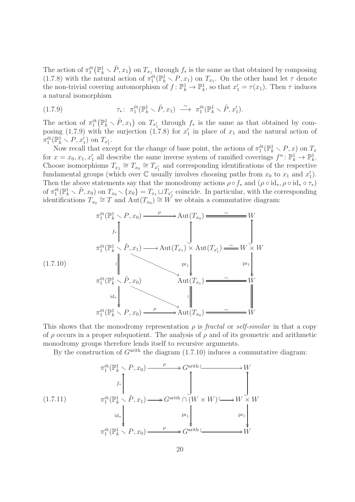The action of  $\pi_1^{\text{\'et}}(\mathbb{P}_k^1 \setminus \tilde{P}, x_1)$  on  $T_{x_1}$  through  $f_*$  is the same as that obtained by composing (1.7.8) with the natural action of  $\pi_1^{\text{\'et}}(\mathbb{P}_k^1 \setminus P, x_1)$  on  $T_{x_1}$ . On the other hand let  $\tau$  denote the non-trivial covering automorphism of  $f: \mathbb{P}_k^1 \to \mathbb{P}_k^1$ , so that  $x'_1 = \tau(x_1)$ . Then  $\tau$  induces a natural isomorphism

(1.7.9) 
$$
\tau_* \colon \pi_1^{\text{\'et}}(\mathbb{P}_k^1 \setminus \tilde{P}, x_1) \xrightarrow{\sim} \pi_1^{\text{\'et}}(\mathbb{P}_k^1 \setminus \tilde{P}, x_1').
$$

The action of  $\pi_1^{\text{\'et}}(\mathbb{P}_k^1 \setminus \tilde{P}, x_1)$  on  $T_{x'_1}$  through  $f_*$  is the same as that obtained by composing (1.7.9) with the surjection (1.7.8) for  $x'_1$  in place of  $x_1$  and the natural action of  $\pi_1^{\text{\'et}}(\mathbb{P}_k^1 \setminus P, x_1')$  on  $T_{x_1'}$ .

Now recall that except for the change of base point, the actions of  $\pi_1^{\text{\'et}}(\mathbb{P}_k^1 \setminus P, x)$  on  $T_x$ for  $x = x_0, x_1, x'_1$  all describe the same inverse system of ramified coverings  $f^n : \mathbb{P}_k^1 \to \mathbb{P}_k^1$ . Choose isomorphisms  $T_{x_1} \cong T_{x_0} \cong T_{x'_1}$  and corresponding identifications of the respective fundamental groups (which over  $\mathbb C$  usually involves choosing paths from  $x_0$  to  $x_1$  and  $x_1'$ ). Then the above statements say that the monodromy actions  $\rho \circ f_*$  and  $(\rho \circ id_*, \rho \circ id_* \circ \tau_*)$ of  $\pi_1^{\text{\'et}}(\mathbb{P}_k^1 \setminus \tilde{P}, x_0)$  on  $T_{x_0} \setminus \{x_0\} = T_{x_1} \sqcup T_{x'_1}$  coincide. In particular, with the corresponding identifications  $T_{x_0} \cong T$  and  $\text{Aut}(T_{x_0}) \cong W$  we obtain a commutative diagram:

$$
\pi_1^{\text{\'et}}(\mathbb{P}_k^1 \setminus P, x_0) \xrightarrow{\rho} \text{Aut}(T_{x_0}) \xrightarrow{\sim} \widetilde{H}_{x_0}^{\text{\'et}}(\mathbb{P}_k^1 \setminus \widetilde{P}, x_1) \xrightarrow{\sim} \text{Aut}(T_{x_1}) \times \text{Aut}(T_{x_1'}) \xrightarrow{\sim} W \times W
$$
\n
$$
\pi_1^{\text{\'et}}(\mathbb{P}_k^1 \setminus \widetilde{P}, x_0) \xrightarrow{\text{Aut}(T_{x_1})} \begin{array}{c}\text{pr}_1 \\ \downarrow \downarrow \end{array}
$$
\n
$$
\pi_1^{\text{\'et}}(\mathbb{P}_k^1 \setminus P, x_0) \xrightarrow{\rho} \text{Aut}(T_{x_0}) \xrightarrow{\sim} \widetilde{H}_{x_0}^{\text{\'et}}(\mathbb{P}_k^1 \setminus P, x_0) \xrightarrow{\rho} \text{Aut}(T_{x_0}) \xrightarrow{\sim} \widetilde{H}_{x_0}
$$

This shows that the monodromy representation  $\rho$  is fractal or self-similar in that a copy of  $\rho$  occurs in a proper subquotient. The analysis of  $\rho$  and of its geometric and arithmetic monodromy groups therefore lends itself to recursive arguments.

By the construction of  $G<sup>arith</sup>$  the diagram  $(1.7.10)$  induces a commutative diagram:

(1.7.11) π ´et 1 (P 1 <sup>k</sup> r P , x0) ρ //Garith /W π ´et 1 (P 1 <sup>k</sup> r P , x ˜ 1) f∗ OO // id∗ Garith ∩ (W × W) ? OO pr<sup>1</sup> /W × W ? OO pr<sup>1</sup> π ´et 1 (P 1 <sup>k</sup> r P , x0) ρ //Garith /W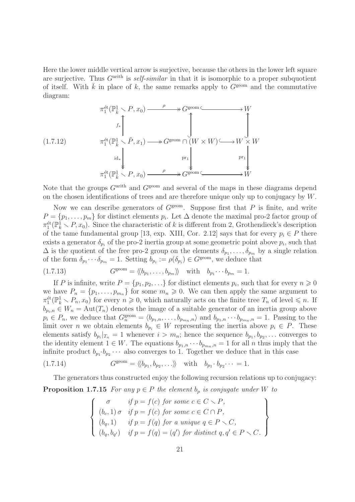Here the lower middle vertical arrow is surjective, because the others in the lower left square are surjective. Thus  $G<sup>arith</sup>$  is self-similar in that it is isomorphic to a proper subquotient of itself. With  $\bar{k}$  in place of k, the same remarks apply to  $G^{\text{geom}}$  and the commutative diagram:

$$
\pi_1^{\text{\'et}}(\mathbb{P}_{\bar{k}}^1 \setminus P, x_0) \xrightarrow{\rho} G^{\text{geom}} \hookrightarrow W
$$
\n
$$
f_* \uparrow \qquad \qquad f_* \uparrow \qquad \qquad f^{\text{\'et}}(\mathbb{P}_{\bar{k}}^1 \setminus \tilde{P}, x_1) \longrightarrow G^{\text{geom}} \cap (W \times W) \hookrightarrow W \times W
$$
\n
$$
\pi_1^{\text{\'et}}(\mathbb{P}_{\bar{k}}^1 \setminus P, x_0) \xrightarrow{\rho} G^{\text{geom}} \downarrow \qquad \qquad \text{pr}_1 \downarrow \qquad \qquad \text{pr}_1 \downarrow \qquad \qquad \text{pr}_1 \downarrow \qquad \qquad \text{pr}_2 \downarrow \qquad \qquad \downarrow \qquad \qquad \downarrow
$$
\n
$$
\pi_1^{\text{\'et}}(\mathbb{P}_{\bar{k}}^1 \setminus P, x_0) \xrightarrow{\rho} \qquad \qquad \downarrow \qquad \qquad \downarrow
$$

Note that the groups  $G<sup>arith</sup>$  and  $G<sup>geom</sup>$  and several of the maps in these diagrams depend on the chosen identifications of trees and are therefore unique only up to conjugacy by W.

Now we can describe generators of  $G<sup>geom</sup>$ . Suppose first that P is finite, and write  $P = \{p_1, \ldots, p_m\}$  for distinct elements  $p_i$ . Let  $\Delta$  denote the maximal pro-2 factor group of  $\pi_1^{\text{\'et}}(\mathbb{P}_k^1 \setminus P, x_0)$ . Since the characteristic of k is different from 2, Grothendieck's description of the tame fundamental group [13, exp. XIII, Cor. 2.12] says that for every  $p_i \in P$  there exists a generator  $\delta_{p_i}$  of the pro-2 inertia group at some geometric point above  $p_i$ , such that  $\Delta$  is the quotient of the free pro-2 group on the elements  $\delta_{p_1}, \ldots, \delta_{p_m}$  by a single relation of the form  $\delta_{p_1}\cdots\delta_{p_m}=1$ . Setting  $b_{p_i}:=\rho(\delta_{p_i})\in G^{\text{geom}}$ , we deduce that

(1.7.13) 
$$
G^{\text{geom}} = \langle \langle b_{p_1}, \dots, b_{p_m} \rangle \rangle \quad \text{with} \quad b_{p_1} \cdots b_{p_m} = 1.
$$

If P is infinite, write  $P = \{p_1, p_2, \ldots\}$  for distinct elements  $p_i$ , such that for every  $n \geq 0$ we have  $P_n = \{p_1, \ldots, p_{m_n}\}\$ for some  $m_n \geq 0$ . We can then apply the same argument to  $\pi_1^{\text{\'et}}(\mathbb{P}_k^1 \setminus P_n, x_0)$  for every  $n \geqslant 0$ , which naturally acts on the finite tree  $T_n$  of level  $\leqslant n$ . If  $b_{p_i,n} \in W_n = \text{Aut}(T_n)$  denotes the image of a suitable generator of an inertia group above  $p_i \in P_n$ , we deduce that  $G_n^{\text{geom}} = \langle b_{p_1,n}, \ldots, b_{p_{m_n},n} \rangle$  and  $b_{p_1,n} \cdots b_{p_{m_n},n} = 1$ . Passing to the limit over n we obtain elements  $b_{p_i} \in W$  representing the inertia above  $p_i \in P$ . These elements satisfy  $b_{p_i}|_{T_n} = 1$  whenever  $i > m_n$ ; hence the sequence  $b_{p_1}, b_{p_2}, \ldots$  converges to the identity element  $1 \in W$ . The equations  $b_{p_1,n} \cdots b_{p_{m_n},n} = 1$  for all n thus imply that the infinite product  $b_{p_1} \cdot b_{p_2} \cdots$  also converges to 1. Together we deduce that in this case

$$
(1.7.14) \tGgeom = \langle\langle b_{p_1}, b_{p_2}, \ldots \rangle\rangle \twith \t b_{p_1} \cdot b_{p_2} \cdots = 1.
$$

The generators thus constructed enjoy the following recursion relations up to conjugacy:

**Proposition 1.7.15** For any  $p \in P$  the element  $b_p$  is conjugate under W to

$$
\begin{cases}\n\sigma & \text{if } p = f(c) \text{ for some } c \in C \setminus P, \\
(b_c, 1) \sigma & \text{if } p = f(c) \text{ for some } c \in C \cap P, \\
(b_q, 1) & \text{if } p = f(q) \text{ for a unique } q \in P \setminus C, \\
(b_q, b_{q'}) & \text{if } p = f(q) = (q') \text{ for distinct } q, q' \in P \setminus C.\n\end{cases}
$$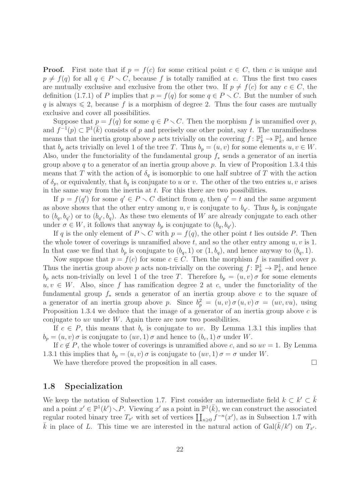**Proof.** First note that if  $p = f(c)$  for some critical point  $c \in C$ , then c is unique and  $p \neq f(q)$  for all  $q \in P \setminus C$ , because f is totally ramified at c. Thus the first two cases are mutually exclusive and exclusive from the other two. If  $p \neq f(c)$  for any  $c \in C$ , the definition (1.7.1) of P implies that  $p = f(q)$  for some  $q \in P \setminus C$ . But the number of such q is always  $\leq 2$ , because f is a morphism of degree 2. Thus the four cases are mutually exclusive and cover all possibilities.

Suppose that  $p = f(q)$  for some  $q \in P \setminus C$ . Then the morphism f is unramified over p, and  $f^{-1}(p) \subset \mathbb{P}^1(\overline{k})$  consists of p and precisely one other point, say t. The unramifiedness means that the inertia group above p acts trivially on the covering  $f: \mathbb{P}^1_k \to \mathbb{P}^1_k$ , and hence that  $b_p$  acts trivially on level 1 of the tree T. Thus  $b_p = (u, v)$  for some elements  $u, v \in W$ . Also, under the functoriality of the fundamental group  $f_*$  sends a generator of an inertia group above q to a generator of an inertia group above  $p$ . In view of Proposition 1.3.4 this means that T with the action of  $\delta_q$  is isomorphic to one half subtree of T with the action of  $\delta_p$ , or equivalently, that  $b_q$  is conjugate to u or v. The other of the two entries u, v arises in the same way from the inertia at  $t$ . For this there are two possibilities.

If  $p = f(q')$  for some  $q' \in P \setminus C$  distinct from q, then  $q' = t$  and the same argument as above shows that the other entry among  $u, v$  is conjugate to  $b_{q'}$ . Thus  $b_p$  is conjugate to  $(b_q, b_{q'})$  or to  $(b_{q'}, b_q)$ . As these two elements of W are already conjugate to each other under  $\sigma \in W$ , it follows that anyway  $b_p$  is conjugate to  $(b_q, b_{q'})$ .

If q is the only element of  $P \setminus C$  with  $p = f(q)$ , the other point t lies outside P. Then the whole tower of coverings is unramified above t, and so the other entry among  $u, v$  is 1. In that case we find that  $b_p$  is conjugate to  $(b_q, 1)$  or  $(1, b_q)$ , and hence anyway to  $(b_q, 1)$ .

Now suppose that  $p = f(c)$  for some  $c \in C$ . Then the morphism f is ramified over p. Thus the inertia group above p acts non-trivially on the covering  $f: \mathbb{P}_k^1 \to \mathbb{P}_k^1$ , and hence  $b_p$  acts non-trivially on level 1 of the tree T. Therefore  $b_p = (u, v) \sigma$  for some elements  $u, v \in W$ . Also, since f has ramification degree 2 at c, under the functoriality of the fundamental group  $f_*$  sends a generator of an inertia group above c to the square of a generator of an inertia group above p. Since  $b_p^2 = (u, v) \sigma(u, v) \sigma(w, vu)$ , using Proposition 1.3.4 we deduce that the image of a generator of an inertia group above c is conjugate to  $uv$  under  $W$ . Again there are now two possibilities.

If  $c \in P$ , this means that  $b_c$  is conjugate to uv. By Lemma 1.3.1 this implies that  $b_p = (u, v) \sigma$  is conjugate to  $(uv, 1) \sigma$  and hence to  $(b_c, 1) \sigma$  under W.

If  $c \notin P$ , the whole tower of coverings is unramified above c, and so  $uv = 1$ . By Lemma 1.3.1 this implies that  $b_p = (u, v) \sigma$  is conjugate to  $(uv, 1) \sigma = \sigma$  under W.

We have therefore proved the proposition in all cases.  $\Box$ 

#### 1.8 Specialization

We keep the notation of Subsection 1.7. First consider an intermediate field  $k \subset k' \subset \overline{k}$ and a point  $x' \in \mathbb{P}^1(k') \setminus P$ . Viewing  $x'$  as a point in  $\mathbb{P}^1(\bar{k})$ , we can construct the associated regular rooted binary tree  $T_{x'}$  with set of vertices  $\prod_{n\geqslant 0} f^{-n}(x')$ , as in Subsection 1.7 with  $\bar{k}$  in place of L. This time we are interested in the natural action of Gal( $\bar{k}/k'$ ) on  $T_{x'}$ .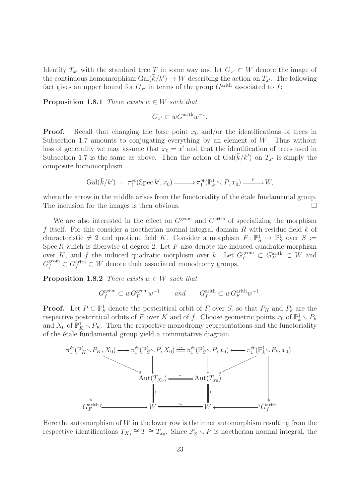Identify  $T_{x'}$  with the standard tree T in some way and let  $G_{x'} \subset W$  denote the image of the continuous homomorphism  $Gal(\bar{k}/k') \rightarrow W$  describing the action on  $T_{x'}$ . The following fact gives an upper bound for  $G_{x'}$  in terms of the group  $G^{\text{arith}}$  associated to f:

**Proposition 1.8.1** There exists  $w \in W$  such that

$$
G_{x'} \subset wG^{\text{arith}}w^{-1}.
$$

**Proof.** Recall that changing the base point  $x_0$  and/or the identifications of trees in Subsection 1.7 amounts to conjugating everything by an element of  $W$ . Thus without loss of generality we may assume that  $x_0 = x'$  and that the identification of trees used in Subsection 1.7 is the same as above. Then the action of  $Gal(\bar{k}/k')$  on  $T_{x'}$  is simply the composite homomorphism

$$
\mathrm{Gal}(\bar{k}/k') = \pi_1^{\mathrm{\acute{e}t}}(\mathrm{Spec}\, k', x_0) \longrightarrow \pi_1^{\mathrm{\acute{e}t}}(\mathbb{P}_k^1 \setminus P, x_0) \xrightarrow{\rho} W,
$$

where the arrow in the middle arises from the functoriality of the etale fundamental group. The inclusion for the images is then obvious.

We are also interested in the effect on  $G^{\text{geom}}$  and  $G^{\text{arith}}$  of specializing the morphism f itself. For this consider a noetherian normal integral domain  $R$  with residue field  $k$  of characteristic  $\neq 2$  and quotient field K. Consider a morphism  $F: \mathbb{P}^1_S \to \mathbb{P}^1_S$  over  $S :=$ Spec  $R$  which is fiberwise of degree 2. Let  $F$  also denote the induced quadratic morphism over K, and f the induced quadratic morphism over k. Let  $G_F^{\text{geom}} \subset G_F^{\text{arith}} \subset W$  and  $G_f^{\text{geom}} \subset G_f^{\text{arith}} \subset W$  denote their associated monodromy groups.

**Proposition 1.8.2** There exists  $w \in W$  such that

$$
G_f^{\text{geom}} \subset wG_F^{\text{geom}} w^{-1} \quad \text{and} \quad G_f^{\text{arith}} \subset wG_F^{\text{arith}} w^{-1}.
$$

**Proof.** Let  $P \subset \mathbb{P}_{S}^1$  denote the postcritical orbit of F over S, so that  $P_K$  and  $P_k$  are the respective postcritical orbits of F over K and of f. Choose geometric points  $x_0$  of  $\mathbb{P}_k^1 \setminus P_k$ and  $X_0$  of  $\mathbb{P}^1_K \setminus P_K$ . Then the respective monodromy representations and the functoriality of the étale fundamental group yield a commutative diagram



Here the automorphism of  $W$  in the lower row is the inner automorphism resulting from the respective identifications  $T_{X_0} \cong T \cong T_{x_0}$ . Since  $\mathbb{P}^1_S \setminus P$  is noetherian normal integral, the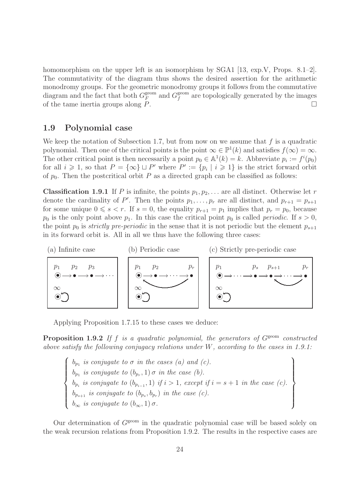homomorphism on the upper left is an isomorphism by SGA1 [13, exp.V, Props. 8.1–2]. The commutativity of the diagram thus shows the desired assertion for the arithmetic monodromy groups. For the geometric monodromy groups it follows from the commutative diagram and the fact that both  $G_F^{\text{geom}}$  $\frac{g}{F}$  and  $G_f^{\text{geom}}$  $f_f^{\text{geom}}$  are topologically generated by the images of the tame inertia groups along  $P$ .

#### 1.9 Polynomial case

We keep the notation of Subsection 1.7, but from now on we assume that  $f$  is a quadratic polynomial. Then one of the critical points is the point  $\infty \in \mathbb{P}^1(k)$  and satisfies  $f(\infty) = \infty$ . The other critical point is then necessarily a point  $p_0 \in \mathbb{A}^1(k) = k$ . Abbreviate  $p_i := f^i(p_0)$ for all  $i \geq 1$ , so that  $P = {\infty} \sqcup P'$  where  $P' := {p_i | i \geq 1}$  is the strict forward orbit of  $p_0$ . Then the postcritical orbit P as a directed graph can be classified as follows:

**Classification 1.9.1** If P is infinite, the points  $p_1, p_2, \ldots$  are all distinct. Otherwise let r denote the cardinality of P'. Then the points  $p_1, \ldots, p_r$  are all distinct, and  $p_{r+1} = p_{s+1}$ for some unique  $0 \le s < r$ . If  $s = 0$ , the equality  $p_{r+1} = p_1$  implies that  $p_r = p_0$ , because  $p_0$  is the only point above  $p_1$ . In this case the critical point  $p_0$  is called *periodic*. If  $s > 0$ , the point  $p_0$  is *strictly pre-periodic* in the sense that it is not periodic but the element  $p_{s+1}$ in its forward orbit is. All in all we thus have the following three cases:



Applying Proposition 1.7.15 to these cases we deduce:

**Proposition 1.9.2** If f is a quadratic polynomial, the generators of  $G^{geom}$  constructed above satisfy the following conjugacy relations under W, according to the cases in 1.9.1:

$$
\begin{cases}\n b_{p_1} \text{ is conjugate to } \sigma \text{ in the cases (a) and (c).} \\
 b_{p_1} \text{ is conjugate to } (b_{p_r}, 1) \sigma \text{ in the case (b).} \\
 b_{p_i} \text{ is conjugate to } (b_{p_{i-1}}, 1) \text{ if } i > 1, \text{ except if } i = s+1 \text{ in the case (c).} \\
 b_{p_{s+1}} \text{ is conjugate to } (b_{p_s}, b_{p_r}) \text{ in the case (c).} \\
 b_{\infty} \text{ is conjugate to } (b_{\infty}, 1) \sigma.\n\end{cases}
$$

Our determination of  $G<sup>geom</sup>$  in the quadratic polynomial case will be based solely on the weak recursion relations from Proposition 1.9.2. The results in the respective cases are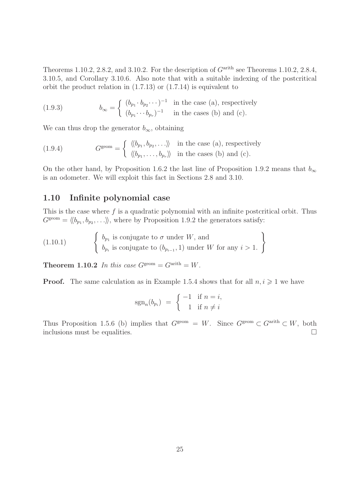Theorems 1.10.2, 2.8.2, and 3.10.2. For the description of  $G<sup>arith</sup>$  see Theorems 1.10.2, 2.8.4, 3.10.5, and Corollary 3.10.6. Also note that with a suitable indexing of the postcritical orbit the product relation in (1.7.13) or (1.7.14) is equivalent to

(1.9.3) 
$$
b_{\infty} = \begin{cases} (b_{p_1} \cdot b_{p_2} \cdots)^{-1} & \text{in the case (a), respectively} \\ (b_{p_1} \cdots b_{p_r})^{-1} & \text{in the cases (b) and (c).} \end{cases}
$$

We can thus drop the generator  $b_{\infty}$ , obtaining

(1.9.4) 
$$
G^{\text{geom}} = \begin{cases} \langle \langle b_{p_1}, b_{p_2}, \ldots \rangle \rangle & \text{in the case (a), respectively} \\ \langle \langle b_{p_1}, \ldots, b_{p_r} \rangle \rangle & \text{in the cases (b) and (c).} \end{cases}
$$

On the other hand, by Proposition 1.6.2 the last line of Proposition 1.9.2 means that  $b_{\infty}$ is an odometer. We will exploit this fact in Sections 2.8 and 3.10.

#### 1.10 Infinite polynomial case

This is the case where  $f$  is a quadratic polynomial with an infinite postcritical orbit. Thus  $G^{\text{geom}} = \langle b_{p_1}, b_{p_2}, \ldots \rangle$ , where by Proposition 1.9.2 the generators satisfy:

(1.10.1) 
$$
\left\{\n \begin{array}{l}\n b_{p_1} \text{ is conjugate to } \sigma \text{ under } W, \text{ and} \\
 b_{p_i} \text{ is conjugate to } (b_{p_{i-1}}, 1) \text{ under } W \text{ for any } i > 1.\n \end{array}\n\right\}
$$

**Theorem 1.10.2** In this case  $G^{\text{geom}} = G^{\text{arith}} = W$ .

**Proof.** The same calculation as in Example 1.5.4 shows that for all  $n, i \geq 1$  we have

$$
sgn_n(b_{p_i}) = \begin{cases} -1 & \text{if } n = i, \\ 1 & \text{if } n \neq i \end{cases}
$$

Thus Proposition 1.5.6 (b) implies that  $G^{\text{geom}} = W$ . Since  $G^{\text{geom}} \subset G^{\text{arith}} \subset W$ , both inclusions must be equalities.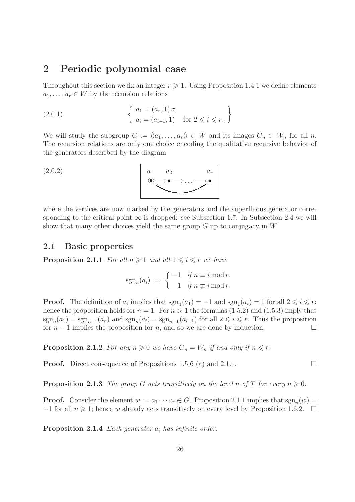## 2 Periodic polynomial case

Throughout this section we fix an integer  $r \geq 1$ . Using Proposition 1.4.1 we define elements  $a_1, \ldots, a_r \in W$  by the recursion relations

(2.0.1) 
$$
\begin{cases} a_1 = (a_r, 1) \sigma, \\ a_i = (a_{i-1}, 1) \text{ for } 2 \leq i \leq r. \end{cases}
$$

We will study the subgroup  $G := \langle\langle a_1, \ldots, a_r \rangle\rangle \subset W$  and its images  $G_n \subset W_n$  for all n. The recursion relations are only one choice encoding the qualitative recursive behavior of the generators described by the diagram

$$
(2.0.2) \qquad \qquad a_1 \qquad a_2 \qquad a_r
$$

where the vertices are now marked by the generators and the superfluous generator corresponding to the critical point  $\infty$  is dropped: see Subsection 1.7. In Subsection 2.4 we will show that many other choices yield the same group  $G$  up to conjugacy in  $W$ .

#### 2.1 Basic properties

**Proposition 2.1.1** For all  $n \geq 1$  and all  $1 \leq i \leq r$  we have

$$
sgn_n(a_i) = \begin{cases} -1 & \text{if } n \equiv i \bmod r, \\ 1 & \text{if } n \not\equiv i \bmod r. \end{cases}
$$

**Proof.** The definition of  $a_i$  implies that  $sgn_1(a_1) = -1$  and  $sgn_1(a_i) = 1$  for all  $2 \leq i \leq r$ ; hence the proposition holds for  $n = 1$ . For  $n > 1$  the formulas (1.5.2) and (1.5.3) imply that  $sgn_n(a_1) = sgn_{n-1}(a_r)$  and  $sgn_n(a_i) = sgn_{n-1}(a_{i-1})$  for all  $2 \leq i \leq r$ . Thus the proposition for  $n-1$  implies the proposition for n, and so we are done by induction.

**Proposition 2.1.2** For any  $n \geq 0$  we have  $G_n = W_n$  if and only if  $n \leq r$ .

**Proof.** Direct consequence of Propositions 1.5.6 (a) and 2.1.1.

**Proposition 2.1.3** The group G acts transitively on the level n of T for every  $n \geq 0$ .

**Proof.** Consider the element  $w := a_1 \cdots a_r \in G$ . Proposition 2.1.1 implies that  $sgn_n(w) =$  $-1$  for all  $n \geq 1$ ; hence w already acts transitively on every level by Proposition 1.6.2.  $\Box$ 

**Proposition 2.1.4** Each generator  $a_i$  has infinite order.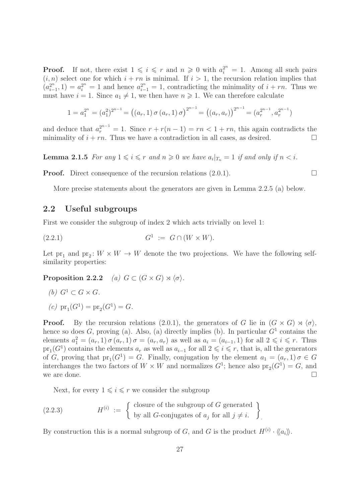**Proof.** If not, there exist  $1 \leq i \leq r$  and  $n \geq 0$  with  $a_i^{2^n} = 1$ . Among all such pairs  $(i, n)$  select one for which  $i + rn$  is minimal. If  $i > 1$ , the recursion relation implies that  $\left(a_i^{2^n}\right)$  $a_{i-1}^{2^n}$ , 1) =  $a_i^{2^n}$  = 1 and hence  $a_{i-1}^{2^n}$  = 1, contradicting the minimality of  $i + rn$ . Thus we must have  $i = 1$ . Since  $a_1 \neq 1$ , we then have  $n \geq 1$ . We can therefore calculate

$$
1 = a_1^{2^n} = (a_1^2)^{2^{n-1}} = ((a_r, 1) \sigma (a_r, 1) \sigma)^{2^{n-1}} = ((a_r, a_r))^{2^{n-1}} = (a_r^{2^{n-1}}, a_r^{2^{n-1}})
$$

and deduce that  $a_r^{2^{n-1}} = 1$ . Since  $r + r(n-1) = rn < 1 + rn$ , this again contradicts the minimality of  $i + rn$ . Thus we have a contradiction in all cases, as desired.

**Lemma 2.1.5** For any  $1 \leq i \leq r$  and  $n \geq 0$  we have  $a_i|_{T_n} = 1$  if and only if  $n < i$ .

**Proof.** Direct consequence of the recursion relations  $(2.0.1)$ .

More precise statements about the generators are given in Lemma 2.2.5 (a) below.

#### 2.2 Useful subgroups

First we consider the subgroup of index 2 which acts trivially on level 1:

$$
(2.2.1) \tG1 := G \cap (W \times W).
$$

Let  $pr_1$  and  $pr_2$ :  $W \times W \rightarrow W$  denote the two projections. We have the following selfsimilarity properties:

**Proposition 2.2.2** (a)  $G \subset (G \times G) \rtimes \langle \sigma \rangle$ .

(b) 
$$
G^1 \subset G \times G
$$
.

(c) 
$$
pr_1(G^1) = pr_2(G^1) = G.
$$

**Proof.** By the recursion relations (2.0.1), the generators of G lie in  $(G \times G) \rtimes \langle \sigma \rangle$ , hence so does G, proving (a). Also, (a) directly implies (b). In particular  $G<sup>1</sup>$  contains the elements  $a_1^2 = (a_r, 1) \sigma (a_r, 1) \sigma = (a_r, a_r)$  as well as  $a_i = (a_{i-1}, 1)$  for all  $2 \leq i \leq r$ . Thus  $pr_1(G<sup>1</sup>)$  contains the elements  $a_r$  as well as  $a_{i-1}$  for all  $2 \leq i \leq r$ , that is, all the generators of G, proving that  $pr_1(G^1) = G$ . Finally, conjugation by the element  $a_1 = (a_r, 1) \sigma \in G$ interchanges the two factors of  $W \times W$  and normalizes  $G^1$ ; hence also  $pr_2(G^1) = G$ , and we are done.

Next, for every  $1 \leq i \leq r$  we consider the subgroup

(2.2.3) 
$$
H^{(i)} := \left\{ \begin{array}{l} \text{closure of the subgroup of } G \text{ generated} \\ \text{by all } G\text{-conjugates of } a_j \text{ for all } j \neq i. \end{array} \right\}
$$

By construction this is a normal subgroup of G, and G is the product  $H^{(i)} \cdot \langle\!\langle a_i \rangle\!\rangle$ .

.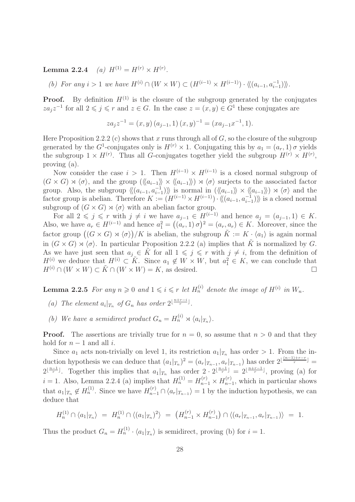Lemma 2.2.4 (a)  $H^{(1)} = H^{(r)} \times H^{(r)}$ .

(b) For any  $i > 1$  we have  $H^{(i)} \cap (W \times W) \subset (H^{(i-1)} \times H^{(i-1)}) \cdot \langle\langle (a_{i-1}, a_{i-1}^{-1}) \rangle\rangle$ .

**Proof.** By definition  $H^{(1)}$  is the closure of the subgroup generated by the conjugates  $z a_j z^{-1}$  for all  $2 \leq j \leq r$  and  $z \in G$ . In the case  $z = (x, y) \in G<sup>1</sup>$  these conjugates are

$$
za_j z^{-1} = (x, y) (a_{j-1}, 1) (x, y)^{-1} = (xa_{j-1}x^{-1}, 1).
$$

Here Proposition 2.2.2 (c) shows that x runs through all of  $G$ , so the closure of the subgroup generated by the  $G^1$ -conjugates only is  $H^{(r)} \times 1$ . Conjugating this by  $a_1 = (a_r, 1) \sigma$  yields the subgroup  $1 \times H^{(r)}$ . Thus all G-conjugates together yield the subgroup  $H^{(r)} \times H^{(r)}$ , proving (a).

Now consider the case  $i > 1$ . Then  $H^{(i-1)} \times H^{(i-1)}$  is a closed normal subgroup of  $(G \times G) \rtimes \langle \sigma \rangle$ , and the group  $(\langle \langle a_{i-1} \rangle \rangle \times \langle \langle a_{i-1} \rangle \rangle) \rtimes \langle \sigma \rangle$  surjects to the associated factor group. Also, the subgroup  $\langle\langle (a_{i-1}, a_{i-1}^{-1})\rangle\rangle$  is normal in  $(\langle\langle a_{i-1}\rangle\rangle \times \langle\langle a_{i-1}\rangle\rangle) \rtimes \langle\sigma\rangle$  and the factor group is abelian. Therefore  $K := (H^{(i-1)} \times H^{(i-1)}) \cdot \langle\langle (a_{i-1}, a_{i-1}^{-1}) \rangle\rangle$  is a closed normal subgroup of  $(G \times G) \rtimes \langle \sigma \rangle$  with an abelian factor group.

For all  $2 \leq j \leq r$  with  $j \neq i$  we have  $a_{j-1} \in H^{(i-1)}$  and hence  $a_j = (a_{j-1}, 1) \in K$ . Also, we have  $a_r \in H^{(i-1)}$  and hence  $a_1^2 = ((a_r, 1) \sigma)^2 = (a_r, a_r) \in K$ . Moreover, since the factor group  $((G \times G) \rtimes \langle \sigma \rangle)/K$  is abelian, the subgroup  $\tilde{K} := K \cdot \langle a_1 \rangle$  is again normal in  $(G \times G) \rtimes \langle \sigma \rangle$ . In particular Proposition 2.2.2 (a) implies that K is normalized by G. As we have just seen that  $a_j \in \tilde{K}$  for all  $1 \leqslant j \leqslant r$  with  $j \neq i$ , from the definition of  $H^{(i)}$  we deduce that  $H^{(i)} \subset \tilde{K}$ . Since  $a_1 \notin W \times W$ , but  $a_1^2 \in K$ , we can conclude that  $H^{(i)} \cap (W \times W) \subset \tilde{K} \cap (W \times W) = K$ , as desired.

**Lemma 2.2.5** For any  $n \ge 0$  and  $1 \le i \le r$  let  $H_n^{(i)}$  denote the image of  $H^{(i)}$  in  $W_n$ .

- (a) The element  $a_i|_{T_n}$  of  $G_n$  has order  $2^{\lfloor \frac{n+r-i}{r} \rfloor}$ .
- (b) We have a semidirect product  $G_n = H_n^{(i)} \rtimes \langle a_i |_{T_n} \rangle$ .

**Proof.** The assertions are trivially true for  $n = 0$ , so assume that  $n > 0$  and that they hold for  $n-1$  and all *i*.

Since  $a_1$  acts non-trivially on level 1, its restriction  $a_1|_{T_n}$  has order > 1. From the induction hypothesis we can deduce that  $(a_1|_{T_n})^2 = (a_r|_{T_{n-1}}, a_r|_{T_{n-1}})$  has order  $2^{\lfloor \frac{(n-1)+r-r}{r} \rfloor} =$  $2^{\lfloor \frac{n-1}{r} \rfloor}$ . Together this implies that  $a_1|_{T_n}$  has order  $2 \cdot 2^{\lfloor \frac{n-1}{r} \rfloor} = 2^{\lfloor \frac{n+r-1}{r} \rfloor}$ , proving (a) for  $i = 1$ . Also, Lemma 2.2.4 (a) implies that  $H_n^{(1)} = H_{n-1}^{(r)} \times H_{n-1}^{(r)}$  $_{n-1}^{(r)}$ , which in particular shows that  $a_1|_{T_n} \notin H_n^{(1)}$ . Since we have  $H_{n-1}^{(r)} \cap \langle a_r |_{T_{n-1}} \rangle = 1$  by the induction hypothesis, we can deduce that

$$
H_n^{(1)} \cap \langle a_1 |_{T_n} \rangle = H_n^{(1)} \cap \langle (a_1 |_{T_n})^2 \rangle = \left( H_{n-1}^{(r)} \times H_{n-1}^{(r)} \right) \cap \langle (a_r |_{T_{n-1}}, a_r |_{T_{n-1}}) \rangle = 1.
$$

Thus the product  $G_n = H_n^{(1)} \cdot \langle a_1 |_{T_n} \rangle$  is semidirect, proving (b) for  $i = 1$ .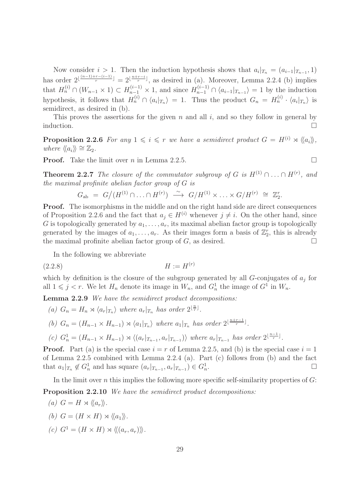Now consider  $i > 1$ . Then the induction hypothesis shows that  $a_i|_{T_n} = (a_{i-1}|_{T_{n-1}}, 1)$ has order  $2^{\lfloor \frac{(n-1)+r-(i-1)}{r} \rfloor} = 2^{\lfloor \frac{n+r-i}{r} \rfloor}$ , as desired in (a). Moreover, Lemma 2.2.4 (b) implies that  $H_n^{(i)} \cap (W_{n-1} \times 1) \subset H_{n-1}^{(i-1)} \times 1$ , and since  $H_{n-1}^{(i-1)} \cap \langle a_{i-1}|_{T_{n-1}} \rangle = 1$  by the induction hypothesis, it follows that  $H_n^{(i)} \cap \langle a_i |_{T_n} \rangle = 1$ . Thus the product  $G_n = H_n^{(i)} \cdot \langle a_i |_{T_n} \rangle$  is semidirect, as desired in (b).

This proves the assertions for the given  $n$  and all  $i$ , and so they follow in general by induction.  $\Box$ 

**Proposition 2.2.6** For any  $1 \leq i \leq r$  we have a semidirect product  $G = H^{(i)} \rtimes \langle\langle a_i \rangle\rangle$ , where  $\langle \langle a_i \rangle \rangle \cong \mathbb{Z}_2$ .

**Proof.** Take the limit over *n* in Lemma 2.2.5.

**Theorem 2.2.7** The closure of the commutator subgroup of G is  $H^{(1)} \cap \ldots \cap H^{(r)}$ , and the maximal profinite abelian factor group of G is

$$
G_{\rm ab} = G/(H^{(1)} \cap \ldots \cap H^{(r)}) \stackrel{\sim}{\longrightarrow} G/H^{(1)} \times \ldots \times G/H^{(r)} \cong \mathbb{Z}_2^r.
$$

**Proof.** The isomorphisms in the middle and on the right hand side are direct consequences of Proposition 2.2.6 and the fact that  $a_i \in H^{(i)}$  whenever  $j \neq i$ . On the other hand, since G is topologically generated by  $a_1, \ldots, a_r$ , its maximal abelian factor group is topologically generated by the images of  $a_1, \ldots, a_r$ . As their images form a basis of  $\mathbb{Z}_2^r$ , this is already the maximal profinite abelian factor group of  $G$ , as desired.

In the following we abbreviate

$$
(2.2.8)\qquad \qquad H := H^{(r)}
$$

which by definition is the closure of the subgroup generated by all  $G$ -conjugates of  $a_j$  for all  $1 \leq j < r$ . We let  $H_n$  denote its image in  $W_n$ , and  $G_n^1$  the image of  $G^1$  in  $W_n$ .

Lemma 2.2.9 We have the semidirect product decompositions:

(a)  $G_n = H_n \rtimes \langle a_r |_{T_n} \rangle$  where  $a_r |_{T_n}$  has order  $2^{\lfloor \frac{n}{r} \rfloor}$ .

(b) 
$$
G_n = (H_{n-1} \times H_{n-1}) \rtimes \langle a_1 |_{T_n} \rangle
$$
 where  $a_1 |_{T_n}$  has order  $2^{\lfloor \frac{n+r-1}{r} \rfloor}$ .

(c) 
$$
G_n^1 = (H_{n-1} \times H_{n-1}) \rtimes \langle (a_r |_{T_{n-1}}, a_r |_{T_{n-1}}) \rangle
$$
 where  $a_r |_{T_{n-1}}$  has order  $2^{\lfloor \frac{n-1}{r} \rfloor}$ .

**Proof.** Part (a) is the special case  $i = r$  of Lemma 2.2.5, and (b) is the special case  $i = 1$ of Lemma 2.2.5 combined with Lemma 2.2.4 (a). Part (c) follows from (b) and the fact that  $a_1|_{T_n} \notin G_n^1$  and has square  $(a_r|_{T_{n-1}}, a_r|_{T_{n-1}}) \in G_n^1$ . — Первый процесс в серверності в процесс в серверності в серверності в серверності в серверності в серверно<br>Первої в серверності в серверності в серверності в серверності в серверності в серверності в серверності в се

In the limit over n this implies the following more specific self-similarity properties of  $G$ :

Proposition 2.2.10 We have the semidirect product decompositions:

(a) 
$$
G = H \rtimes \langle\langle a_r \rangle\rangle
$$
.  
\n(b)  $G = (H \times H) \rtimes \langle\langle a_1 \rangle\rangle$ .  
\n(c)  $G^1 = (H \times H) \rtimes \langle\langle (a_r, a_r) \rangle\rangle$ .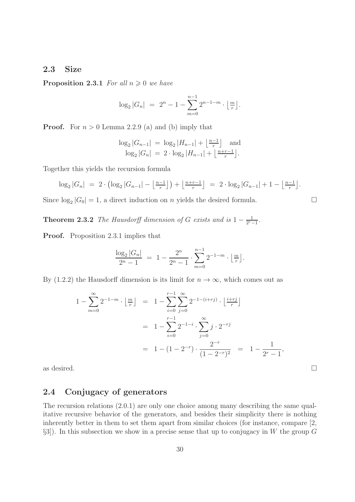#### 2.3 Size

**Proposition 2.3.1** For all  $n \geq 0$  we have

$$
\log_2|G_n| = 2^n - 1 - \sum_{m=0}^{n-1} 2^{n-1-m} \cdot \left\lfloor \frac{m}{r} \right\rfloor.
$$

**Proof.** For  $n > 0$  Lemma 2.2.9 (a) and (b) imply that

$$
\log_2|G_{n-1}| = \log_2|H_{n-1}| + \left\lfloor \frac{n-1}{r} \right\rfloor \text{ and } \log_2|G_n| = 2 \cdot \log_2|H_{n-1}| + \left\lfloor \frac{n+r-1}{r} \right\rfloor.
$$

Together this yields the recursion formula

$$
\log_2|G_n| = 2 \cdot \left(\log_2|G_{n-1}| - \left\lfloor \frac{n-1}{r} \right\rfloor\right) + \left\lfloor \frac{n+r-1}{r} \right\rfloor = 2 \cdot \log_2|G_{n-1}| + 1 - \left\lfloor \frac{n-1}{r} \right\rfloor.
$$

Since  $log_2 |G_0| = 1$ , a direct induction on *n* yields the desired formula.

**Theorem 2.3.2** The Hausdorff dimension of G exists and is  $1 - \frac{1}{2r}$ .  $\frac{1}{2^{r}-1}$ .

Proof. Proposition 2.3.1 implies that

$$
\frac{\log_2|G_n|}{2^n-1} = 1 - \frac{2^n}{2^n-1} \cdot \sum_{m=0}^{n-1} 2^{-1-m} \cdot \lfloor \frac{m}{r} \rfloor.
$$

By (1.2.2) the Hausdorff dimension is its limit for  $n \to \infty$ , which comes out as

$$
1 - \sum_{m=0}^{\infty} 2^{-1-m} \cdot \left\lfloor \frac{m}{r} \right\rfloor = 1 - \sum_{i=0}^{r-1} \sum_{j=0}^{\infty} 2^{-1-(i+rj)} \cdot \left\lfloor \frac{i+rj}{r} \right\rfloor
$$
  
= 
$$
1 - \sum_{i=0}^{r-1} 2^{-1-i} \cdot \sum_{j=0}^{\infty} j \cdot 2^{-rj}
$$
  
= 
$$
1 - (1 - 2^{-r}) \cdot \frac{2^{-r}}{(1 - 2^{-r})^2} = 1 - \frac{1}{2^r - 1},
$$

as desired.  $\Box$ 

### 2.4 Conjugacy of generators

The recursion relations (2.0.1) are only one choice among many describing the same qualitative recursive behavior of the generators, and besides their simplicity there is nothing inherently better in them to set them apart from similar choices (for instance, compare [2,  $\S3$ ). In this subsection we show in a precise sense that up to conjugacy in W the group G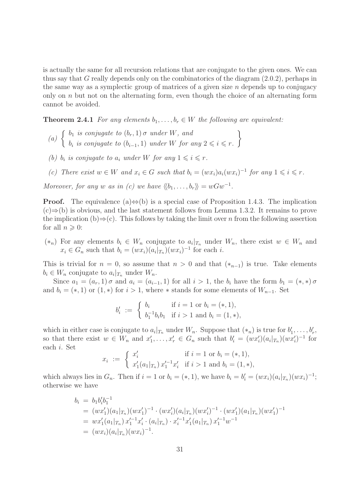is actually the same for all recursion relations that are conjugate to the given ones. We can thus say that G really depends only on the combinatorics of the diagram (2.0.2), perhaps in the same way as a symplectic group of matrices of a given size  $n$  depends up to conjugacy only on  $n$  but not on the alternating form, even though the choice of an alternating form cannot be avoided.

**Theorem 2.4.1** For any elements  $b_1, \ldots, b_r \in W$  the following are equivalent:

- (a)  $\begin{cases} b_1 \text{ is conjugate to } (b_r, 1) \sigma \text{ under } W, \text{ and} \end{cases}$  $b_i$  is conjugate to  $(b_{i-1}, 1)$  under W for any  $2 \leq i \leq r$ .  $\mathcal{L}$
- (b)  $b_i$  is conjugate to  $a_i$  under W for any  $1 \leq i \leq r$ .
- (c) There exist  $w \in W$  and  $x_i \in G$  such that  $b_i = (wx_i)a_i(wx_i)^{-1}$  for any  $1 \leq i \leq r$ .

Moreover, for any w as in (c) we have  $\langle b_1, \ldots, b_r \rangle = wGw^{-1}$ .

**Proof.** The equivalence (a) $\Leftrightarrow$ (b) is a special case of Proposition 1.4.3. The implication  $(c) \Rightarrow (b)$  is obvious, and the last statement follows from Lemma 1.3.2. It remains to prove the implication (b)⇒(c). This follows by taking the limit over n from the following assertion for all  $n \geqslant 0$ :

 $(*_n)$  For any elements  $b_i \in W_n$  conjugate to  $a_i|_{T_n}$  under  $W_n$ , there exist  $w ∈ W_n$  and  $x_i \in G_n$  such that  $b_i = (wx_i)(a_i|_{T_n})(wx_i)^{-1}$  for each i.

This is trivial for  $n = 0$ , so assume that  $n > 0$  and that  $(*_{n-1})$  is true. Take elements  $b_i \in W_n$  conjugate to  $a_i|_{T_n}$  under  $W_n$ .

Since  $a_1 = (a_r, 1) \sigma$  and  $a_i = (a_{i-1}, 1)$  for all  $i > 1$ , the  $b_i$  have the form  $b_1 = (*, *) \sigma$ and  $b_i = (*, 1)$  or  $(1, *)$  for  $i > 1$ , where  $*$  stands for some elements of  $W_{n-1}$ . Set

$$
b'_i := \begin{cases} b_i & \text{if } i = 1 \text{ or } b_i = (*, 1), \\ b_1^{-1}b_ib_1 & \text{if } i > 1 \text{ and } b_i = (1, *) \end{cases}
$$

which in either case is conjugate to  $a_i|_{T_n}$  under  $W_n$ . Suppose that  $(*_n)$  is true for  $b'_1, \ldots, b'_r$ , so that there exist  $w \in W_n$  and  $x'_1, \ldots, x'_r \in G_n$  such that  $b'_i = (wx'_i)(a_i|x_n)(wx'_i)^{-1}$  for each i. Set

$$
x_i := \begin{cases} x'_i & \text{if } i = 1 \text{ or } b_i = (*, 1), \\ x'_1(a_1|_{T_n}) x'_1{}^{-1} x'_i & \text{if } i > 1 \text{ and } b_i = (1, *), \end{cases}
$$

which always lies in  $G_n$ . Then if  $i = 1$  or  $b_i = (*, 1)$ , we have  $b_i = b'_i = (wx_i)(a_i|_{T_n})(wx_i)^{-1}$ ; otherwise we have

$$
b_i = b_1 b_i' b_1^{-1}
$$
  
=  $(wx'_1)(a_1|_{T_n})(wx'_1)^{-1} \cdot (wx'_i)(a_i|_{T_n})(wx'_i)^{-1} \cdot (wx'_1)(a_1|_{T_n})(wx'_1)^{-1}$   
=  $wx'_1(a_1|_{T_n}) x'_1^{-1}x'_i \cdot (a_i|_{T_n}) \cdot x'_i^{-1}x'_1(a_1|_{T_n}) x'_1^{-1}w^{-1}$   
=  $(wx_i)(a_i|_{T_n})(wx_i)^{-1}$ .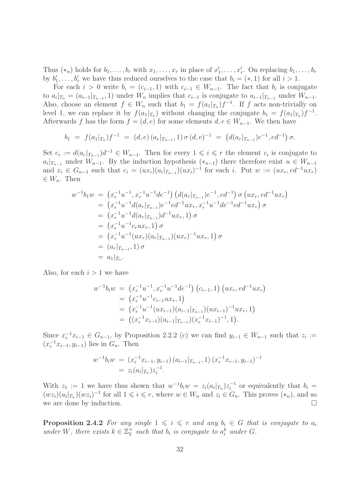Thus  $(*_n)$  holds for  $b_1, \ldots, b_r$  with  $x_1, \ldots, x_r$  in place of  $x'_1, \ldots, x'_r$ . On replacing  $b_1, \ldots, b_r$ by  $b'_1, \ldots, b'_r$  we have thus reduced ourselves to the case that  $b_i = (*, 1)$  for all  $i > 1$ .

For each  $i > 0$  write  $b_i = (c_{i-1}, 1)$  with  $c_{i-1} \in W_{n-1}$ . The fact that  $b_i$  is conjugate to  $a_i|_{T_n} = (a_{i-1}|_{T_{n-1}}, 1)$  under  $W_n$  implies that  $c_{i-1}$  is conjugate to  $a_{i-1}|_{T_{n-1}}$  under  $W_{n-1}$ . Also, choose an element  $f \in W_n$  such that  $b_1 = f(a_1 |_{T_n}) f^{-1}$ . If f acts non-trivially on level 1, we can replace it by  $f(a_1|_{T_n})$  without changing the conjugate  $b_1 = f(a_1|_{T_n})f^{-1}$ . Afterwards f has the form  $f = (d, e)$  for some elements  $d, e \in W_{n-1}$ . We then have

$$
b_1 = f(a_1|_{T_n})f^{-1} = (d,e)(a_r|_{T_{n-1}},1) \sigma(d,e)^{-1} = (d(a_r|_{T_{n-1}})e^{-1},ed^{-1}) \sigma.
$$

Set  $c_r := d(a_r |_{T_{n-1}}) d^{-1} \in W_{n-1}$ . Then for every  $1 \leqslant i \leqslant r$  the element  $c_i$  is conjugate to  $a_i|_{T_{n-1}}$  under  $W_{n-1}$ . By the induction hypothesis  $(*_{n-1})$  there therefore exist  $u \in W_{n-1}$ and  $x_i \in G_{n-1}$  such that  $c_i = (ux_i)(a_i|_{T_{n-1}})(ux_i)^{-1}$  for each i. Put  $w := (ux_r, ed^{-1}ux_r)$  $\in W_n$ . Then

$$
w^{-1}b_1w = (x_r^{-1}u^{-1}, x_r^{-1}u^{-1}de^{-1}) (d(a_r|_{T_{n-1}})e^{-1}, ed^{-1}) \sigma (ux_r, ed^{-1}ux_r)
$$
  
\n
$$
= (x_r^{-1}u^{-1}d(a_r|_{T_{n-1}})e^{-1}ed^{-1}ux_r, x_r^{-1}u^{-1}de^{-1}ed^{-1}ux_r) \sigma
$$
  
\n
$$
= (x_r^{-1}u^{-1}d(a_r|_{T_{n-1}})d^{-1}ux_r, 1) \sigma
$$
  
\n
$$
= (x_r^{-1}u^{-1}c_rux_r, 1) \sigma
$$
  
\n
$$
= (x_r^{-1}u^{-1}(ux_r)(a_r|_{T_{n-1}})(ux_r)^{-1}ux_r, 1) \sigma
$$
  
\n
$$
= (a_r|_{T_{n-1}}, 1) \sigma
$$
  
\n
$$
= a_1|_{T_n}.
$$

Also, for each  $i > 1$  we have

$$
w^{-1}b_i w = (x_r^{-1}u^{-1}, x_r^{-1}u^{-1}de^{-1}) (c_{i-1}, 1) (ux_r, ed^{-1}ux_r)
$$
  
=  $(x_r^{-1}u^{-1}c_{i-1}ux_r, 1)$   
=  $(x_r^{-1}u^{-1}(ux_{i-1})(a_{i-1}|_{T_{n-1}})(ux_{i-1})^{-1}ux_r, 1)$   
=  $((x_r^{-1}x_{i-1})(a_{i-1}|_{T_{n-1}})(x_r^{-1}x_{i-1})^{-1}, 1).$ 

Since  $x_r^{-1}x_{i-1} \in G_{n-1}$ , by Proposition 2.2.2 (c) we can find  $y_{i-1} \in W_{n-1}$  such that  $z_i :=$  $(x_r^{-1}x_{i-1}, y_{i-1})$  lies in  $G_n$ . Then

$$
w^{-1}b_i w = (x_r^{-1}x_{i-1}, y_{i-1}) (a_{i-1}|_{T_{n-1}}, 1) (x_r^{-1}x_{i-1}, y_{i-1})^{-1}
$$
  
=  $z_i(a_i|_{T_n}) z_i^{-1}$ .

With  $z_1 := 1$  we have thus shown that  $w^{-1}b_iw = z_i(a_i|x_n)z_i^{-1}$  or equivalently that  $b_i =$  $(wz_i)(a_i|_{T_n})(wz_i)^{-1}$  for all  $1 \leq i \leq r$ , where  $w \in W_n$  and  $z_i \in G_n$ . This proves  $(*_n)$ , and so we are done by induction.

**Proposition 2.4.2** For any single  $1 \leq i \leq r$  and any  $b_i \in G$  that is conjugate to  $a_i$ under W, there exists  $k \in \mathbb{Z}_2^{\times}$  such that  $b_i$  is conjugate to  $a_i^k$  under G.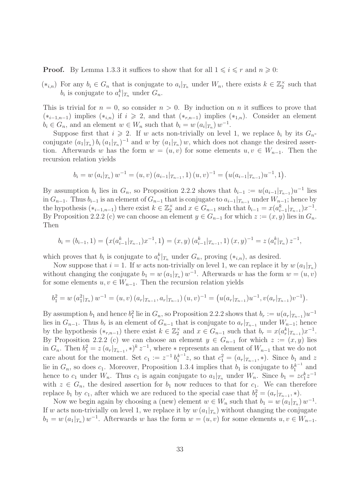**Proof.** By Lemma 1.3.3 it suffices to show that for all  $1 \leq i \leq r$  and  $n \geq 0$ :

 $(*_{i,n})$  For any  $b_i \in G_n$  that is conjugate to  $a_i |_{T_n}$  under  $W_n$ , there exists  $k \in \mathbb{Z}_2^{\times}$  such that  $b_i$  is conjugate to  $a_i^k|_{T_n}$  under  $G_n$ .

This is trivial for  $n = 0$ , so consider  $n > 0$ . By induction on n it suffices to prove that  $(*_{i-1,n-1})$  implies  $(*_{i,n})$  if  $i \geq 2$ , and that  $(*_{r,n-1})$  implies  $(*_{1,n})$ . Consider an element  $b_i \in G_n$ , and an element  $w \in W_n$  such that  $b_i = w(a_i |_{T_n}) w^{-1}$ .

Suppose first that  $i \geq 2$ . If w acts non-trivially on level 1, we replace  $b_i$  by its  $G_n$ conjugate  $(a_1|_{T_n}) b_i (a_1|_{T_n})^{-1}$  and w by  $(a_1|_{T_n}) w$ , which does not change the desired assertion. Afterwards w has the form  $w = (u, v)$  for some elements  $u, v \in W_{n-1}$ . Then the recursion relation yields

$$
b_i = w(a_i |_{T_n}) w^{-1} = (u, v) (a_{i-1} |_{T_{n-1}}, 1) (u, v)^{-1} = (u(a_{i-1} |_{T_{n-1}}) u^{-1}, 1).
$$

By assumption  $b_i$  lies in  $G_n$ , so Proposition 2.2.2 shows that  $b_{i-1} := u(a_{i-1}|_{T_{n-1}})u^{-1}$  lies in  $G_{n-1}$ . Thus  $b_{i-1}$  is an element of  $G_{n-1}$  that is conjugate to  $a_{i-1}|_{T_{n-1}}$  under  $W_{n-1}$ ; hence by the hypothesis  $(*_{i-1,n-1})$  there exist  $k \in \mathbb{Z}_2^{\times}$  and  $x \in G_{n-1}$  such that  $b_{i-1} = x(a_{i-1}^k |_{T_{n-1}}) x^{-1}$ . By Proposition 2.2.2 (c) we can choose an element  $y \in G_{n-1}$  for which  $z := (x, y)$  lies in  $G_n$ . Then

$$
b_i = (b_{i-1}, 1) = (x(a_{i-1}^k |_{T_{n-1}})x^{-1}, 1) = (x, y) (a_{i-1}^k |_{T_{n-1}}, 1) (x, y)^{-1} = z (a_i^k |_{T_n}) z^{-1},
$$

which proves that  $b_i$  is conjugate to  $a_i^k|_{T_n}$  under  $G_n$ , proving  $(*_{i,n})$ , as desired.

Now suppose that  $i = 1$ . If w acts non-trivially on level 1, we can replace it by  $w(a_1|_{T_n})$ without changing the conjugate  $b_1 = w(a_1|_{T_n}) w^{-1}$ . Afterwards w has the form  $w = (u, v)$ for some elements  $u, v \in W_{n-1}$ . Then the recursion relation yields

$$
b_1^2 = w(a_1^2|_{T_n}) w^{-1} = (u, v) (a_r|_{T_{n-1}}, a_r|_{T_{n-1}}) (u, v)^{-1} = (u(a_r|_{T_{n-1}})u^{-1}, v(a_r|_{T_{n-1}})v^{-1}).
$$

By assumption  $b_1$  and hence  $b_1^2$  lie in  $G_n$ , so Proposition 2.2.2 shows that  $b_r := u(a_r | T_{n-1}) u^{-1}$ lies in  $G_{n-1}$ . Thus  $b_r$  is an element of  $G_{n-1}$  that is conjugate to  $a_r|_{T_{n-1}}$  under  $W_{n-1}$ ; hence by the hypothesis  $(*_{r,n-1})$  there exist  $k \in \mathbb{Z}_2^{\times}$  and  $x \in G_{n-1}$  such that  $b_r = x(a_r^k |_{T_{n-1}}) x^{-1}$ . By Proposition 2.2.2 (c) we can choose an element  $y \in G_{n-1}$  for which  $z := (x, y)$  lies in  $G_n$ . Then  $b_1^2 = z(a_r |_{T_{n-1}}, \cdot)^k z^{-1}$ , where  $\cdot$  represents an element of  $W_{n-1}$  that we do not care about for the moment. Set  $c_1 := z^{-1} b_1^{k-1} z$ , so that  $c_1^2 = (a_r |_{T_{n-1}}, *)$ . Since  $b_1$  and z lie in  $G_n$ , so does  $c_1$ . Moreover, Proposition 1.3.4 implies that  $b_1$  is conjugate to  $b_1^{k^{-1}}$  and hence to  $c_1$  under  $W_n$ . Thus  $c_1$  is again conjugate to  $a_1|_{T_n}$  under  $W_n$ . Since  $b_1 = z c_1^k z^{-1}$ with  $z \in G_n$ , the desired assertion for  $b_1$  now reduces to that for  $c_1$ . We can therefore replace  $b_1$  by  $c_1$ , after which we are reduced to the special case that  $b_1^2 = (a_r|_{T_{n-1}}, *)$ .

Now we begin again by choosing a (new) element  $w \in W_n$  such that  $b_1 = w(a_1|_{T_n}) w^{-1}$ . If w acts non-trivially on level 1, we replace it by  $w(a_1|_{T_n})$  without changing the conjugate  $b_1 = w(a_1|_{T_n}) w^{-1}$ . Afterwards w has the form  $w = (u, v)$  for some elements  $u, v \in W_{n-1}$ .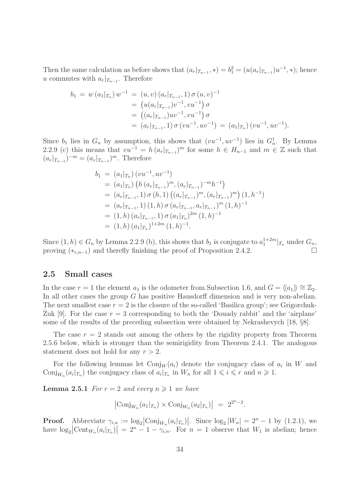Then the same calculation as before shows that  $(a_r|_{T_{n-1}}, *) = b_1^2 = (u(a_r|_{T_{n-1}})u^{-1}, *)$ ; hence u commutes with  $a_r|_{T_{n-1}}$ . Therefore

$$
b_1 = w(a_1|_{T_n}) w^{-1} = (u, v) (a_r|_{T_{n-1}}, 1) \sigma(u, v)^{-1}
$$
  
=  $(u(a_r|_{T_{n-1}})v^{-1}, vu^{-1}) \sigma$   
=  $((a_r|_{T_{n-1}})uv^{-1}, vu^{-1}) \sigma$   
=  $(a_r|_{T_{n-1}}, 1) \sigma(vu^{-1}, uv^{-1}) = (a_1|_{T_n}) (vu^{-1}, uv^{-1}).$ 

Since  $b_1$  lies in  $G_n$  by assumption, this shows that  $(vu^{-1}, uv^{-1})$  lies in  $G_n^1$ . By Lemma 2.2.9 (c) this means that  $vu^{-1} = h (a_r |_{T_{n-1}})^m$  for some  $h \in H_{n-1}$  and  $m \in \mathbb{Z}$  such that  $(a_r|_{T_{n-1}})^{-m} = (a_r|_{T_{n-1}})^m$ . Therefore

$$
b_1 = (a_1|_{T_n}) (vu^{-1}, uv^{-1})
$$
  
\n
$$
= (a_1|_{T_n}) (h (a_r|_{T_{n-1}})^m, (a_r|_{T_{n-1}})^{-m}h^{-1})
$$
  
\n
$$
= (a_r|_{T_{n-1}}, 1) \sigma (h, 1) ((a_r|_{T_{n-1}})^m, (a_r|_{T_{n-1}})^m) (1, h^{-1})
$$
  
\n
$$
= (a_r|_{T_{n-1}}, 1) (1, h) \sigma (a_r|_{T_{n-1}}, a_r|_{T_{n-1}})^m (1, h)^{-1}
$$
  
\n
$$
= (1, h) (a_r|_{T_{n-1}}, 1) \sigma (a_1|_{T_n})^{2m} (1, h)^{-1}
$$
  
\n
$$
= (1, h) (a_1|_{T_n})^{1+2m} (1, h)^{-1}.
$$

Since  $(1, h) \in G_n$  by Lemma 2.2.9 (b), this shows that  $b_1$  is conjugate to  $a_1^{1+2m}|_{T_n}$  under  $G_n$ , proving  $(*_{r,n-1})$  and therefly finishing the proof of Proposition 2.4.2.

#### 2.5 Small cases

In the case  $r = 1$  the element  $a_1$  is the odometer from Subsection 1.6, and  $G = \langle \langle a_1 \rangle \rangle \cong \mathbb{Z}_2$ . In all other cases the group G has positive Hausdorff dimension and is very non-abelian. The next smallest case  $r = 2$  is the closure of the so-called 'Basilica group'; see Grigorchuk-Zuk [9]. For the case  $r = 3$  corresponding to both the 'Douady rabbit' and the 'airplane' some of the results of the preceding subsection were obtained by Nekrashevych [18, §8].

The case  $r = 2$  stands out among the others by the rigidity property from Theorem 2.5.6 below, which is stronger than the semirigidity from Theorem 2.4.1. The analogous statement does not hold for any  $r > 2$ .

For the following lemmas let  $\text{Conj}_W(a_i)$  denote the conjugacy class of  $a_i$  in W and Conj<sub>W<sub>n</sub></sub> $(a_i|_{T_n})$  the conjugacy class of  $a_i|_{T_n}$  in  $W_n$  for all  $1 \leq i \leq r$  and  $n \geq 1$ .

**Lemma 2.5.1** For  $r = 2$  and every  $n \ge 1$  we have

$$
|\text{Conj}_{W_n}(a_1|_{T_n}) \times \text{Conj}_{W_n}(a_2|_{T_n})| = 2^{2^n - 2}.
$$

**Proof.** Abbreviate  $\gamma_{i,n} := \log_2 \left| \text{Conj}_{W_n}(a_i |_{T_n}) \right|$ . Since  $\log_2 |W_n| = 2^n - 1$  by (1.2.1), we have  $\log_2 \left| \text{Cent}_{W_n}(a_i|_{T_n}) \right| = 2^n - 1 - \gamma_{i,n}$ . For  $n = 1$  observe that  $W_1$  is abelian; hence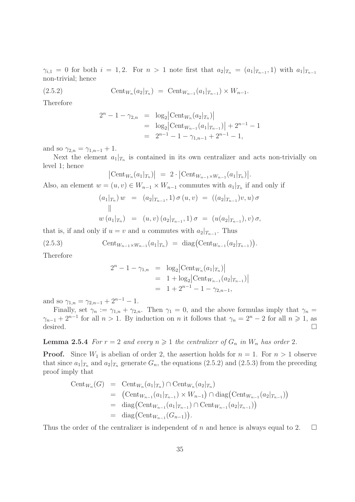$\gamma_{i,1} = 0$  for both  $i = 1,2$ . For  $n > 1$  note first that  $a_2|_{T_n} = (a_1|_{T_{n-1}}, 1)$  with  $a_1|_{T_{n-1}}$ non-trivial; hence

(2.5.2) 
$$
\text{Cent}_{W_n}(a_2|_{T_n}) = \text{Cent}_{W_{n-1}}(a_1|_{T_{n-1}}) \times W_{n-1}.
$$

Therefore

$$
2^{n} - 1 - \gamma_{2,n} = \log_2 \left| \text{Cent}_{W_n}(a_2 |_{T_n}) \right|
$$
  
=  $\log_2 \left| \text{Cent}_{W_{n-1}}(a_1 |_{T_{n-1}}) \right| + 2^{n-1} - 1$   
=  $2^{n-1} - 1 - \gamma_{1,n-1} + 2^{n-1} - 1$ ,

and so  $\gamma_{2,n} = \gamma_{1,n-1} + 1$ .

Next the element  $a_1|_{T_n}$  is contained in its own centralizer and acts non-trivially on level 1; hence

$$
\left|\operatorname{Cent}_{W_n}(a_1|_{T_n})\right| = 2 \cdot \left|\operatorname{Cent}_{W_{n-1} \times W_{n-1}}(a_1|_{T_n})\right|.
$$

Also, an element  $w = (u, v) \in W_{n-1} \times W_{n-1}$  commutes with  $a_1|_{T_n}$  if and only if

$$
(a_1|_{T_n}) w = (a_2|_{T_{n-1}}, 1) \sigma (u, v) = ((a_2|_{T_{n-1}})v, u) \sigma
$$
  
||  

$$
w (a_1|_{T_n}) = (u, v) (a_2|_{T_{n-1}}, 1) \sigma = (u(a_2|_{T_{n-1}}), v) \sigma,
$$

that is, if and only if  $u = v$  and u commutes with  $a_2|_{T_{n-1}}$ . Thus

(2.5.3) 
$$
\text{Cent}_{W_{n-1}\times W_{n-1}}(a_1|_{T_n}) = \text{diag}(\text{Cent}_{W_{n-1}}(a_2|_{T_{n-1}})).
$$

Therefore

$$
2^{n} - 1 - \gamma_{1,n} = \log_2 \left| \text{Cent}_{W_n}(a_1 |_{T_n}) \right|
$$
  
= 1 + \log\_2 \left| \text{Cent}\_{W\_{n-1}}(a\_2 |\_{T\_{n-1}}) \right|  
= 1 + 2^{n-1} - 1 - \gamma\_{2,n-1},

and so  $\gamma_{1,n} = \gamma_{2,n-1} + 2^{n-1} - 1$ .

Finally, set  $\gamma_n := \gamma_{1,n} + \gamma_{2,n}$ . Then  $\gamma_1 = 0$ , and the above formulas imply that  $\gamma_n =$  $\gamma_{n-1} + 2^{n-1}$  for all  $n > 1$ . By induction on n it follows that  $\gamma_n = 2^n - 2$  for all  $n \geq 1$ , as desired.  $\Box$ 

**Lemma 2.5.4** For  $r = 2$  and every  $n \geq 1$  the centralizer of  $G_n$  in  $W_n$  has order 2.

**Proof.** Since  $W_1$  is abelian of order 2, the assertion holds for  $n = 1$ . For  $n > 1$  observe that since  $a_1|_{T_n}$  and  $a_2|_{T_n}$  generate  $G_n$ , the equations (2.5.2) and (2.5.3) from the preceding proof imply that

Cent<sub>*W<sub>n</sub>*</sub>(G) = Cent<sub>*W<sub>n</sub>*</sub>(a<sub>1</sub>|<sub>*T<sub>n</sub>*</sub>) 
$$
\cap
$$
 Cent<sub>*W<sub>n</sub>*</sub>(a<sub>2</sub>|<sub>*T<sub>n</sub>*</sub>)  
\n= (Cent<sub>*W<sub>n-1</sub>*</sub>(a<sub>1</sub>|<sub>*T<sub>n-1</sub>*</sub>) × *W<sub>n-1</sub>*)  $\cap$  diag(Cent<sub>*W<sub>n-1</sub>*</sub>(a<sub>2</sub>|<sub>*T<sub>n-1</sub>*</sub>)  
\n= diag(Cent<sub>*W<sub>n-1</sub>*</sub>(a<sub>1</sub>|<sub>*T<sub>n-1</sub>*</sub>)  $\cap$  Cent<sub>*W<sub>n-1</sub>*</sub>(a<sub>2</sub>|<sub>*T<sub>n-1</sub>*</sub>)  
\n= diag(Cent<sub>*W<sub>n-1</sub>*</sub>(G<sub>*n-1*</sub>)).

Thus the order of the centralizer is independent of n and hence is always equal to 2.  $\Box$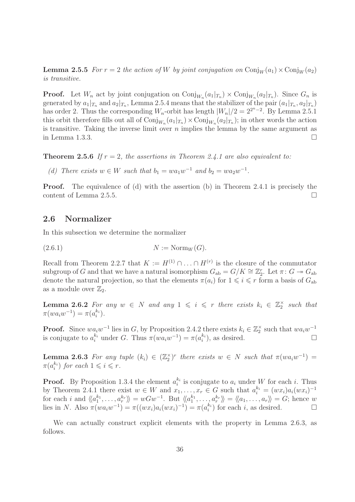**Lemma 2.5.5** For  $r = 2$  the action of W by joint conjugation on  $Conj_{W}(a_{1}) \times Conj_{W}(a_{2})$ is transitive.

**Proof.** Let  $W_n$  act by joint conjugation on  $\text{Conj}_{W_n}(a_1|_{T_n}) \times \text{Conj}_{W_n}(a_2|_{T_n})$ . Since  $G_n$  is generated by  $a_1|_{T_n}$  and  $a_2|_{T_n}$ , Lemma 2.5.4 means that the stabilizer of the pair  $(a_1|_{T_n}, a_2|_{T_n})$ has order 2. Thus the corresponding  $W_n$ -orbit has length  $|W_n|/2 = 2^{2^n-2}$ . By Lemma 2.5.1 this orbit therefore fills out all of  $\text{Conj}_{W_n}(a_1|_{T_n}) \times \text{Conj}_{W_n}(a_2|_{T_n})$ ; in other words the action is transitive. Taking the inverse limit over  $n$  implies the lemma by the same argument as in Lemma 1.3.3.

**Theorem 2.5.6** If  $r = 2$ , the assertions in Theorem 2.4.1 are also equivalent to:

(d) There exists  $w \in W$  such that  $b_1 = wa_1w^{-1}$  and  $b_2 = wa_2w^{-1}$ .

Proof. The equivalence of (d) with the assertion (b) in Theorem 2.4.1 is precisely the content of Lemma 2.5.5.

#### 2.6 Normalizer

In this subsection we determine the normalizer

 $(N := \text{Norm}_W(G)).$ 

Recall from Theorem 2.2.7 that  $K := H^{(1)} \cap \ldots \cap H^{(r)}$  is the closure of the commutator subgroup of G and that we have a natural isomorphism  $G_{ab} = G/K \cong \mathbb{Z}_2^r$ . Let  $\pi: G \twoheadrightarrow G_{ab}$ denote the natural projection, so that the elements  $\pi(a_i)$  for  $1 \leq i \leq r$  form a basis of  $G_{ab}$ as a module over  $\mathbb{Z}_2$ .

**Lemma 2.6.2** For any  $w \in N$  and any  $1 \leqslant i \leqslant r$  there exists  $k_i \in \mathbb{Z}_2^{\times}$  such that  $\pi(w a_i w^{-1}) = \pi(a_i^{k_i}).$ 

**Proof.** Since  $wa_iw^{-1}$  lies in G, by Proposition 2.4.2 there exists  $k_i \in \mathbb{Z}_2^{\times}$  such that  $wa_iw^{-1}$ is conjugate to  $a_i^{k_i}$  under G. Thus  $\pi(w a_i w^{-1}) = \pi(a_i^{k_i})$ , as desired.

**Lemma 2.6.3** For any tuple  $(k_i) \in (\mathbb{Z}_2^{\times})^r$  there exists  $w \in N$  such that  $\pi(wa_iw^{-1}) =$  $\pi(a_i^{k_i})$  for each  $1 \leqslant i \leqslant r$ .

**Proof.** By Proposition 1.3.4 the element  $a_i^{k_i}$  is conjugate to  $a_i$  under W for each i. Thus by Theorem 2.4.1 there exist  $w \in W$  and  $x_1, \ldots, x_r \in G$  such that  $a_i^{k_i} = (wx_i)a_i(wx_i)^{-1}$ for each i and  $\langle\langle a_1^{k_1}, \ldots, a_r^{k_r} \rangle\!\rangle = wGw^{-1}$ . But  $\langle\langle a_1^{k_1}, \ldots, a_r^{k_r} \rangle\!\rangle = \langle\!\langle a_1, \ldots, a_r \rangle\!\rangle = G$ ; hence w lies in N. Also  $\pi(wa_iw^{-1}) = \pi((wx_i)a_i(wx_i)^{-1}) = \pi(a_i^{k_i})$  for each i, as desired.  $\square$ 

We can actually construct explicit elements with the property in Lemma 2.6.3, as follows.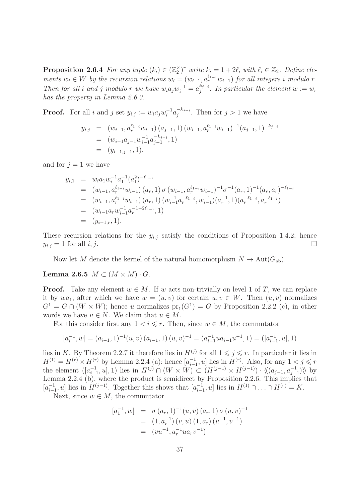**Proposition 2.6.4** For any tuple  $(k_i) \in (\mathbb{Z}_2^{\times})^r$  write  $k_i = 1 + 2\ell_i$  with  $\ell_i \in \mathbb{Z}_2$ . Define elements  $w_i \in W$  by the recursion relations  $w_i = (w_{i-1}, a_r^{\ell_{1-i}} w_{i-1})$  for all integers i modulo r. Then for all i and j modulo r we have  $w_i a_j w_i^{-1} = a_j^{k_{j-i}}$  $j_j^{k_{j-i}}$ . In particular the element  $w := w_r$ has the property in Lemma 2.6.3.

**Proof.** For all i and j set  $y_{i,j} := w_i a_j w_i^{-1} a_j^{-k_{j-i}}$  $j^{-(k_j-i)}$ . Then for  $j>1$  we have

$$
y_{i,j} = (w_{i-1}, a_r^{\ell_{1-i}} w_{i-1}) (a_{j-1}, 1) (w_{i-1}, a_r^{\ell_{1-i}} w_{i-1})^{-1} (a_{j-1}, 1)^{-k_{j-i}}
$$
  
=  $(w_{i-1} a_{j-1} w_{i-1}^{-1} a_{j-1}^{-k_{j-i}}, 1)$   
=  $(y_{i-1,j-1}, 1),$ 

and for  $j = 1$  we have

$$
y_{i,1} = w_i a_1 w_i^{-1} a_1^{-1} (a_1^2)^{-\ell_{1-i}}
$$
  
\n
$$
= (w_{i-1}, a_r^{\ell_{1-i}} w_{i-1}) (a_r, 1) \sigma (w_{i-1}, a_r^{\ell_{1-i}} w_{i-1})^{-1} \sigma^{-1} (a_r, 1)^{-1} (a_r, a_r)^{-\ell_{1-i}}
$$
  
\n
$$
= (w_{i-1}, a_r^{\ell_{1-i}} w_{i-1}) (a_r, 1) (w_{i-1}^{-1} a_r^{-\ell_{1-i}}, w_{i-1}^{-1}) (a_r^{-1}, 1) (a_r^{-\ell_{1-i}}, a_r^{-\ell_{1-i}})
$$
  
\n
$$
= (w_{i-1} a_r w_{i-1}^{-1} a_r^{-1-2\ell_{1-i}}, 1)
$$
  
\n
$$
= (y_{i-1,r}, 1).
$$

These recursion relations for the  $y_{i,j}$  satisfy the conditions of Proposition 1.4.2; hence  $y_{i,j} = 1$  for all i, j.

Now let M denote the kernel of the natural homomorphism  $N \to \text{Aut}(G_{ab})$ .

Lemma 2.6.5  $M \subset (M \times M) \cdot G$ .

**Proof.** Take any element  $w \in M$ . If w acts non-trivially on level 1 of T, we can replace it by  $wa_1$ , after which we have  $w = (u, v)$  for certain  $u, v \in W$ . Then  $(u, v)$  normalizes  $G<sup>1</sup> = G \cap (W \times W)$ ; hence u normalizes  $pr<sub>1</sub>(G<sup>1</sup>) = G$  by Proposition 2.2.2 (c), in other words we have  $u \in N$ . We claim that  $u \in M$ .

For this consider first any  $1 \leq i \leq r$ . Then, since  $w \in M$ , the commutator

$$
[a_i^{-1}, w] = (a_{i-1}, 1)^{-1}(u, v) (a_{i-1}, 1) (u, v)^{-1} = (a_{i-1}^{-1} u a_{i-1} u^{-1}, 1) = ([a_{i-1}^{-1}, u], 1)
$$

lies in K. By Theorem 2.2.7 it therefore lies in  $H^{(j)}$  for all  $1 \leq j \leq r$ . In particular it lies in  $H^{(1)} = H^{(r)} \times H^{(r)}$  by Lemma 2.2.4 (a); hence  $[a_{i-1}^{-1}, u]$  lies in  $H^{(r)}$ . Also, for any  $1 < j \leq r$ the element  $([a_{i-1}^{-1}, u], 1)$  lies in  $H^{(j)} \cap (W \times W) \subset (H^{(j-1)} \times H^{(j-1)}) \cdot \langle\langle (a_{j-1}, a_{j-1}^{-1}) \rangle\rangle$  by Lemma 2.2.4 (b), where the product is semidirect by Proposition 2.2.6. This implies that  $[a_{i-1}^{-1}, u]$  lies in  $H^{(j-1)}$ . Together this shows that  $[a_{i-1}^{-1}, u]$  lies in  $H^{(1)} \cap ... \cap H^{(r)} = K$ .

Next, since  $w \in M$ , the commutator

$$
[a_1^{-1}, w] = \sigma (a_r, 1)^{-1} (u, v) (a_r, 1) \sigma (u, v)^{-1}
$$
  
= (1, a<sub>r</sub><sup>-1</sup>) (v, u) (1, a<sub>r</sub>) (u<sup>-1</sup>, v<sup>-1</sup>)  
= (vu<sup>-1</sup>, a<sub>r</sub><sup>-1</sup>ua<sub>r</sub>v<sup>-1</sup>)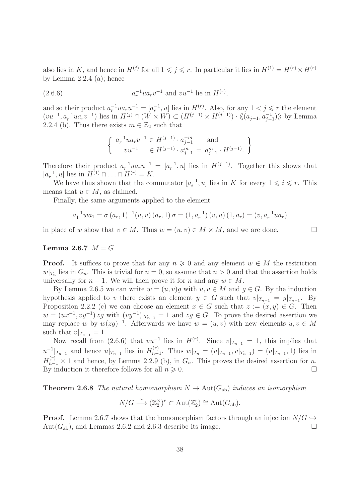also lies in K, and hence in  $H^{(j)}$  for all  $1 \leqslant j \leqslant r$ . In particular it lies in  $H^{(1)} = H^{(r)} \times H^{(r)}$ by Lemma 2.2.4 (a); hence

(2.6.6) 
$$
a_r^{-1}ua_rv^{-1} \text{ and } vu^{-1} \text{ lie in } H^{(r)},
$$

and so their product  $a_r^{-1}ua_ru^{-1}=[a_r^{-1},u]$  lies in  $H^{(r)}$ . Also, for any  $1 < j \leq r$  the element  $(vu^{-1}, a_r^{-1}ua_rv^{-1})$  lies in  $H^{(j)} \cap (W \times W) \subset (H^{(j-1)} \times H^{(j-1)}) \cdot \langle\langle (a_{j-1}, a_{j-1}^{-1})\rangle\rangle$  by Lemma 2.2.4 (b). Thus there exists  $m \in \mathbb{Z}_2$  such that

$$
\begin{cases} a_r^{-1}ua_rv^{-1} \in H^{(j-1)} \cdot a_{j-1}^{-m} \text{ and } \\ vu^{-1} \in H^{(j-1)} \cdot a_{j-1}^m = a_{j-1}^m \cdot H^{(j-1)} \end{cases}
$$

Therefore their product  $a_r^{-1}ua_ru^{-1} = [a_r^{-1},u]$  lies in  $H^{(j-1)}$ . Together this shows that  $[a_r^{-1}, u]$  lies in  $H^{(1)} \cap ... \cap H^{(r)} = K$ .

We have thus shown that the commutator  $[a_i^{-1}, u]$  lies in K for every  $1 \leq i \leq r$ . This means that  $u \in M$ , as claimed.

Finally, the same arguments applied to the element

$$
a_1^{-1}wa_1 = \sigma(a_r, 1)^{-1}(u, v) (a_r, 1) \sigma = (1, a_r^{-1}) (v, u) (1, a_r) = (v, a_r^{-1}ua_r)
$$

in place of w show that  $v \in M$ . Thus  $w = (u, v) \in M \times M$ , and we are done.

#### Lemma 2.6.7  $M = G$ .

**Proof.** It suffices to prove that for any  $n \geq 0$  and any element  $w \in M$  the restriction  $w|_{T_n}$  lies in  $G_n$ . This is trivial for  $n = 0$ , so assume that  $n > 0$  and that the assertion holds universally for  $n-1$ . We will then prove it for n and any  $w \in M$ .

By Lemma 2.6.5 we can write  $w = (u, v)g$  with  $u, v \in M$  and  $g \in G$ . By the induction hypothesis applied to v there exists an element  $y \in G$  such that  $v|_{T_{n-1}} = y|_{T_{n-1}}$ . By Proposition 2.2.2 (c) we can choose an element  $x \in G$  such that  $z := (x, y) \in G$ . Then  $w = (ux^{-1}, vy^{-1}) zg$  with  $(vy^{-1})|_{T_{n-1}} = 1$  and  $zg \in G$ . To prove the desired assertion we may replace w by  $w(2g)^{-1}$ . Afterwards we have  $w = (u, v)$  with new elements  $u, v \in M$ such that  $v|_{T_{n-1}} = 1$ .

Now recall from (2.6.6) that  $vu^{-1}$  lies in  $H^{(r)}$ . Since  $v|_{T_{n-1}} = 1$ , this implies that  $u^{-1}|_{T_{n-1}}$  and hence  $u|_{T_{n-1}}$  lies in  $H_{n-1}^{(r)}$  $\sum_{n=1}^{(r)}$ . Thus  $w|_{T_n} = (u|_{T_{n-1}}, v|_{T_{n-1}}) = (u|_{T_{n-1}}, 1)$  lies in  $H_{n-1}^{(r)} \times 1$  and hence, by Lemma 2.2.9 (b), in  $G_n$ . This proves the desired assertion for n. By induction it therefore follows for all  $n \geqslant 0$ .

**Theorem 2.6.8** The natural homomorphism  $N \to \text{Aut}(G_{ab})$  induces an isomorphism

$$
N/G \stackrel{\sim}{\longrightarrow} (\mathbb{Z}_2^{\times})^r \subset \text{Aut}(\mathbb{Z}_2^r) \cong \text{Aut}(G_{\text{ab}}).
$$

**Proof.** Lemma 2.6.7 shows that the homomorphism factors through an injection  $N/G \hookrightarrow$ Aut $(G_{ab})$ , and Lemmas 2.6.2 and 2.6.3 describe its image.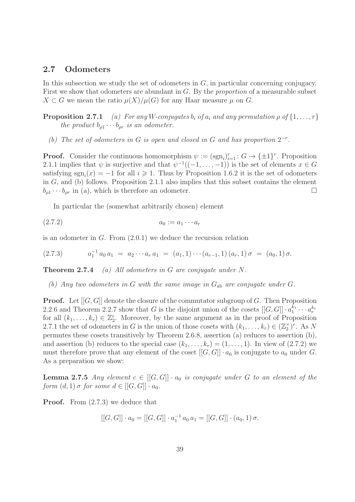#### 2.7 Odometers

In this subsection we study the set of odometers in  $G$ , in particular concerning conjugacy. First we show that odometers are abundant in G. By the proportion of a measurable subset  $X \subset G$  we mean the ratio  $\mu(X)/\mu(G)$  for any Haar measure  $\mu$  on G.

**Proposition 2.7.1** (a) For any W-conjugates  $b_i$  of  $a_i$  and any permutation  $\rho$  of  $\{1, \ldots, r\}$ the product  $b_{\rho 1} \cdots b_{\rho r}$  is an odometer.

(b) The set of odometers in G is open and closed in G and has proportion  $2^{-r}$ .

**Proof.** Consider the continuous homomorphism  $\psi := (\text{sgn}_i)_{i=1}^r : G \to {\{\pm 1\}}^r$ . Proposition 2.1.1 implies that  $\psi$  is surjective and that  $\psi^{-1}((-1,\ldots,-1))$  is the set of elements  $x \in G$ satisfying  $sgn_i(x) = -1$  for all  $i \geq 1$ . Thus by Proposition 1.6.2 it is the set of odometers in G, and (b) follows. Proposition 2.1.1 also implies that this subset contains the element  $b_{\rho 1} \cdots b_{\rho r}$  in (a), which is therefore an odometer.

In particular the (somewhat arbitrarily chosen) element

$$
(2.7.2) \t\t\t a_0 := a_1 \cdots a_r
$$

is an odometer in G. From (2.0.1) we deduce the recursion relation

$$
(2.7.3) \t a_1^{-1} a_0 a_1 = a_2 \cdots a_r a_1 = (a_1, 1) \cdots (a_{r-1}, 1) (a_r, 1) \sigma = (a_0, 1) \sigma.
$$

**Theorem 2.7.4** (a) All odometers in G are conjugate under  $N$ .

(b) Any two odometers in G with the same image in  $G_{ab}$  are conjugate under G.

**Proof.** Let  $[[G, G]]$  denote the closure of the commutator subgroup of G. Then Proposition 2.2.6 and Theorem 2.2.7 show that G is the disjoint union of the cosets  $[[G, G]] \cdot a_1^{k_1} \cdots a_r^{k_r}$ for all  $(k_1, \ldots, k_r) \in \mathbb{Z}_2^r$ . Moreover, by the same argument as in the proof of Proposition 2.7.1 the set of odometers in G is the union of those cosets with  $(k_1, \ldots, k_r) \in (\mathbb{Z}_2^{\times})^r$ . As N permutes these cosets transitively by Theorem 2.6.8, assertion (a) reduces to assertion (b), and assertion (b) reduces to the special case  $(k_1, \ldots, k_r) = (1, \ldots, 1)$ . In view of  $(2.7.2)$  we must therefore prove that any element of the coset  $[[G, G]] \cdot a_0$  is conjugate to  $a_0$  under G. As a preparation we show:

**Lemma 2.7.5** Any element  $c \in [[G, G]] \cdot a_0$  is conjugate under G to an element of the form  $(d, 1)$   $\sigma$  for some  $d \in [[G, G]] \cdot a_0$ .

**Proof.** From  $(2.7.3)$  we deduce that

$$
[[G, G]] \cdot a_0 = [[G, G]] \cdot a_1^{-1} a_0 a_1 = [[G, G]] \cdot (a_0, 1) \sigma.
$$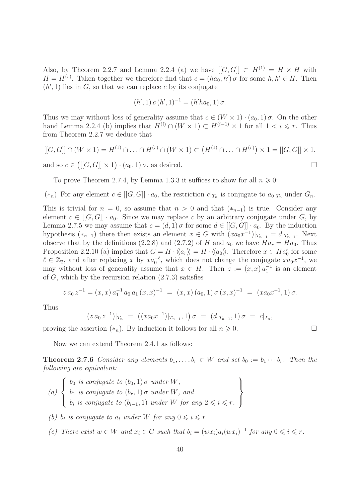Also, by Theorem 2.2.7 and Lemma 2.2.4 (a) we have  $[[G, G]] \subset H^{(1)} = H \times H$  with  $H = H^{(r)}$ . Taken together we therefore find that  $c = (ha_0, h') \sigma$  for some  $h, h' \in H$ . Then  $(h', 1)$  lies in  $G$ , so that we can replace c by its conjugate

$$
(h', 1) c (h', 1)^{-1} = (h' h a_0, 1) \sigma.
$$

Thus we may without loss of generality assume that  $c \in (W \times 1) \cdot (a_0, 1) \sigma$ . On the other hand Lemma 2.2.4 (b) implies that  $H^{(i)} \cap (W \times 1) \subset H^{(i-1)} \times 1$  for all  $1 < i \leq r$ . Thus from Theorem 2.2.7 we deduce that

$$
[[G, G]] \cap (W \times 1) = H^{(1)} \cap \ldots \cap H^{(r)} \cap (W \times 1) \subset (H^{(1)} \cap \ldots \cap H^{(r)}) \times 1 = [[G, G]] \times 1,
$$

and so  $c \in ([[G, G]] \times 1) \cdot (a_0, 1) \sigma$ , as desired.

To prove Theorem 2.7.4, by Lemma 1.3.3 it suffices to show for all  $n \geq 0$ :

 $(*_n)$  For any element  $c \in [[G, G]] \cdot a_0$ , the restriction  $c|_{T_n}$  is conjugate to  $a_0|_{T_n}$  under  $G_n$ .

This is trivial for  $n = 0$ , so assume that  $n > 0$  and that  $(*_{n-1})$  is true. Consider any element  $c \in [[G, G]] \cdot a_0$ . Since we may replace c by an arbitrary conjugate under G, by Lemma 2.7.5 we may assume that  $c = (d, 1) \sigma$  for some  $d \in [[G, G]] \cdot a_0$ . By the induction hypothesis  $(*_{n-1})$  there then exists an element  $x \in G$  with  $(xa_0x^{-1})|_{T_{n-1}} = d|_{T_{n-1}}$ . Next observe that by the definitions (2.2.8) and (2.7.2) of H and  $a_0$  we have  $Ha_r = Ha_0$ . Thus Proposition 2.2.10 (a) implies that  $G = H \cdot \langle\langle a_r \rangle\rangle = H \cdot \langle\langle a_0 \rangle\rangle$ . Therefore  $x \in Ha_0^{\ell}$  for some  $\ell \in \mathbb{Z}_2$ , and after replacing x by  $xa_0^{-\ell}$ , which does not change the conjugate  $xa_0x^{-1}$ , we may without loss of generality assume that  $x \in H$ . Then  $z := (x, x) a_1^{-1}$  is an element of  $G$ , which by the recursion relation  $(2.7.3)$  satisfies

$$
z a_0 z^{-1} = (x, x) a_1^{-1} a_0 a_1 (x, x)^{-1} = (x, x) (a_0, 1) \sigma (x, x)^{-1} = (x a_0 x^{-1}, 1) \sigma.
$$

Thus

$$
(z\,a_0\,z^{-1})|_{T_n} = ((xa_0x^{-1})|_{T_{n-1}}, 1) \sigma = (d|_{T_{n-1}}, 1) \sigma = c|_{T_n},
$$

proving the assertion  $(*_n)$ . By induction it follows for all  $n \geq 0$ .

Now we can extend Theorem 2.4.1 as follows:

**Theorem 2.7.6** Consider any elements  $b_1, \ldots, b_r \in W$  and set  $b_0 := b_1 \cdots b_r$ . Then the following are equivalent:

- (a)  $\sqrt{ }$  $\int$  $\overline{\mathcal{L}}$  $b_0$  is conjugate to  $(b_0, 1)$   $\sigma$  under  $W$ ,  $b_1$  is conjugate to  $(b_r, 1)$   $\sigma$  under  $W$ , and  $b_i$  is conjugate to  $(b_{i-1}, 1)$  under W for any  $2 \leq i \leq r$ .  $\mathcal{L}$  $\overline{\mathcal{L}}$  $\int$
- (b)  $b_i$  is conjugate to  $a_i$  under W for any  $0 \leq i \leq r$ .
- (c) There exist  $w \in W$  and  $x_i \in G$  such that  $b_i = (wx_i)a_i(wx_i)^{-1}$  for any  $0 \leq i \leq r$ .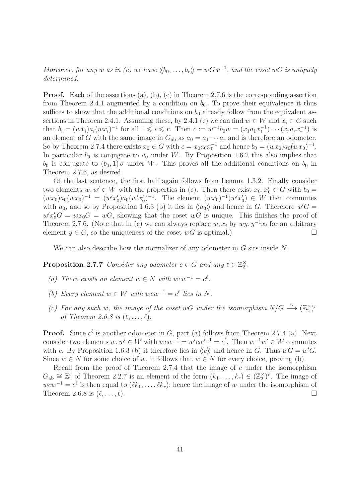Moreover, for any w as in (c) we have  $\langle b_0, \ldots, b_r \rangle = wGw^{-1}$ , and the coset wG is uniquely determined.

**Proof.** Each of the assertions (a), (b), (c) in Theorem 2.7.6 is the corresponding assertion from Theorem 2.4.1 augmented by a condition on  $b_0$ . To prove their equivalence it thus suffices to show that the additional conditions on  $b_0$  already follow from the equivalent assertions in Theorem 2.4.1. Assuming these, by 2.4.1 (c) we can find  $w \in W$  and  $x_i \in G$  such that  $b_i = (wx_i)a_i(wx_i)^{-1}$  for all  $1 \leq i \leq r$ . Then  $c := w^{-1}b_0w = (x_1a_1x_1^{-1})\cdots(x_ra_rx_r^{-1})$  is an element of G with the same image in  $G_{ab}$  as  $a_0 = a_1 \cdots a_r$  and is therefore an odometer. So by Theorem 2.7.4 there exists  $x_0 \in G$  with  $c = x_0 a_0 x_0^{-1}$  and hence  $b_0 = (wx_0)a_0(wx_0)^{-1}$ . In particular  $b_0$  is conjugate to  $a_0$  under W. By Proposition 1.6.2 this also implies that  $b_0$  is conjugate to  $(b_0, 1)$   $\sigma$  under W. This proves all the additional conditions on  $b_0$  in Theorem 2.7.6, as desired.

Of the last sentence, the first half again follows from Lemma 1.3.2. Finally consider two elements  $w, w' \in W$  with the properties in (c). Then there exist  $x_0, x'_0 \in G$  with  $b_0 =$  $(wx_0)a_0(wx_0)^{-1} = (w'x'_0)a_0(w'x'_0)^{-1}$ . The element  $(wx_0)^{-1}(w'x'_0) \in W$  then commutes with  $a_0$ , and so by Proposition 1.6.3 (b) it lies in  $\langle a_0 \rangle$  and hence in G. Therefore  $w'G =$  $w'x'_0G = wx_0G = wG$ , showing that the coset wG is unique. This finishes the proof of Theorem 2.7.6. (Note that in (c) we can always replace  $w, x_i$  by  $wy, y^{-1}x_i$  for an arbitrary element  $y \in G$ , so the uniqueness of the coset  $wG$  is optimal.)

We can also describe how the normalizer of any odometer in  $G$  sits inside  $N$ :

**Proposition 2.7.7** Consider any odometer  $c \in G$  and any  $\ell \in \mathbb{Z}_2^{\times}$ .

- (a) There exists an element  $w \in N$  with  $wcw^{-1} = c^{\ell}$ .
- (b) Every element  $w \in W$  with  $wcw^{-1} = c^{\ell}$  lies in N.
- (c) For any such w, the image of the coset wG under the isomorphism  $N/G \longrightarrow (\mathbb{Z}_2^{\times})^r$ of Theorem 2.6.8 is  $(\ell, \ldots, \ell)$ .

**Proof.** Since  $c^{\ell}$  is another odometer in G, part (a) follows from Theorem 2.7.4 (a). Next consider two elements  $w, w' \in W$  with  $wcw^{-1} = w'cw'^{-1} = c^{\ell}$ . Then  $w^{-1}w' \in W$  commutes with c. By Proposition 1.6.3 (b) it therefore lies in  $\langle c \rangle$  and hence in G. Thus  $wG = w'G$ . Since  $w \in N$  for some choice of w, it follows that  $w \in N$  for every choice, proving (b).

Recall from the proof of Theorem  $2.7.4$  that the image of  $c$  under the isomorphism  $G_{ab} \cong \mathbb{Z}_2^r$  of Theorem 2.2.7 is an element of the form  $(k_1, \ldots, k_r) \in (\mathbb{Z}_2^{\times})^r$ . The image of  $wcw^{-1} = c^{\ell}$  is then equal to  $(\ell k_1, \ldots, \ell k_r)$ ; hence the image of w under the isomorphism of Theorem 2.6.8 is  $(\ell, \ldots, \ell)$ .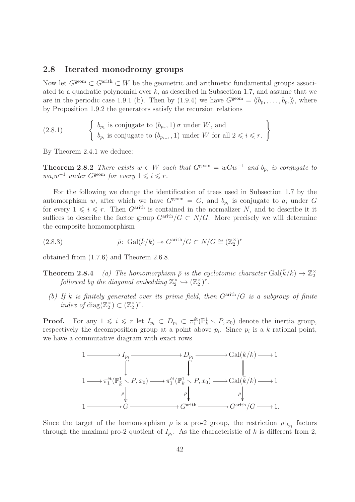### 2.8 Iterated monodromy groups

Now let  $G^{\text{geom}} \subset G^{\text{arith}} \subset W$  be the geometric and arithmetic fundamental groups associated to a quadratic polynomial over  $k$ , as described in Subsection 1.7, and assume that we are in the periodic case 1.9.1 (b). Then by  $(1.9.4)$  we have  $G^{\text{geom}} = \langle b_{p_1}, \ldots, b_{p_r} \rangle$ , where by Proposition 1.9.2 the generators satisfy the recursion relations

 $(2.8.1)$  $b_{p_1}$  is conjugate to  $(b_{p_r}, 1)$   $\sigma$  under W, and  $b_{p_i}$  is conjugate to  $(b_{p_{i-1}}, 1)$  under W for all  $2 \leq i \leq r$ .  $\mathcal{L}$ 

By Theorem 2.4.1 we deduce:

**Theorem 2.8.2** There exists  $w \in W$  such that  $G^{\text{geom}} = wGw^{-1}$  and  $b_{p_i}$  is conjugate to  $wa_iw^{-1}$  under  $G^{\text{geom}}$  for every  $1 \leq i \leq r$ .

For the following we change the identification of trees used in Subsection 1.7 by the automorphism w, after which we have  $G^{\text{geom}} = G$ , and  $b_{p_i}$  is conjugate to  $a_i$  under G for every  $1 \leqslant i \leqslant r$ . Then  $G^{\text{arith}}$  is contained in the normalizer N, and to describe it it suffices to describe the factor group  $G^{\text{arith}}/G \subset N/G$ . More precisely we will determine the composite homomorphism

(2.8.3) 
$$
\bar{\rho} \colon \operatorname{Gal}(\bar{k}/k) \twoheadrightarrow G^{\operatorname{arith}}/G \subset N/G \cong (\mathbb{Z}_2^{\times})^r
$$

obtained from (1.7.6) and Theorem 2.6.8.

- **Theorem 2.8.4** (a) The homomorphism  $\bar{\rho}$  is the cyclotomic character  $Gal(\bar{k}/k) \rightarrow \mathbb{Z}_2^{\times}$ followed by the diagonal embedding  $\mathbb{Z}_2^{\times} \hookrightarrow (\mathbb{Z}_2^{\times})^r$ .
	- (b) If k is finitely generated over its prime field, then  $G<sup>arith</sup>/G$  is a subgroup of finite index of diag( $\mathbb{Z}_2^{\times}$ )  $\subset (\mathbb{Z}_2^{\times})^r$ .

**Proof.** For any  $1 \leq i \leq r$  let  $I_{p_i} \subset D_{p_i} \subset \pi_1^{\text{\'et}}(\mathbb{P}_k^1 \setminus P, x_0)$  denote the inertia group, respectively the decomposition group at a point above  $p_i$ . Since  $p_i$  is a k-rational point, we have a commutative diagram with exact rows



Since the target of the homomorphism  $\rho$  is a pro-2 group, the restriction  $\rho|_{I_{p_i}}$  factors through the maximal pro-2 quotient of  $I_{p_i}$ . As the characteristic of k is different from 2,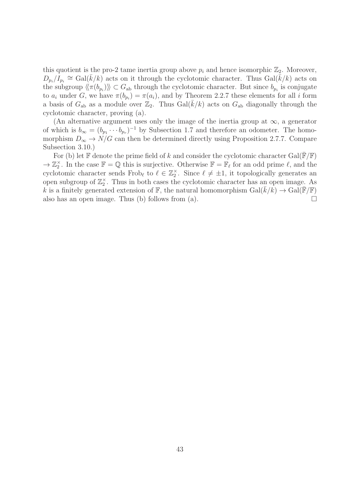this quotient is the pro-2 tame inertia group above  $p_i$  and hence isomorphic  $\mathbb{Z}_2$ . Moreover,  $D_{p_i}/I_{p_i} \cong \text{Gal}(\bar{k}/k)$  acts on it through the cyclotomic character. Thus  $\text{Gal}(\bar{k}/k)$  acts on the subgroup  $\langle\langle \pi(b_{p_i})\rangle\rangle \subset G_{ab}$  through the cyclotomic character. But since  $b_{p_i}$  is conjugate to  $a_i$  under G, we have  $\pi(b_{p_i}) = \pi(a_i)$ , and by Theorem 2.2.7 these elements for all i form a basis of  $G_{ab}$  as a module over  $\mathbb{Z}_2$ . Thus  $Gal(\bar{k}/k)$  acts on  $G_{ab}$  diagonally through the cyclotomic character, proving (a).

(An alternative argument uses only the image of the inertia group at  $\infty$ , a generator of which is  $b_{\infty} = (b_{p_1} \cdots b_{p_r})^{-1}$  by Subsection 1.7 and therefore an odometer. The homomorphism  $D_{\infty} \to N/G$  can then be determined directly using Proposition 2.7.7. Compare Subsection 3.10.)

For (b) let  $\mathbb F$  denote the prime field of k and consider the cyclotomic character Gal( $\mathbb F/\mathbb F$ )  $\to \mathbb{Z}_2^{\times}$ . In the case  $\mathbb{F} = \mathbb{Q}$  this is surjective. Otherwise  $\mathbb{F} = \mathbb{F}_{\ell}$  for an odd prime  $\ell$ , and the cyclotomic character sends Frob<sub>ℓ</sub> to  $\ell \in \mathbb{Z}_2^{\times}$ . Since  $\ell \neq \pm 1$ , it topologically generates an open subgroup of  $\mathbb{Z}_2^{\times}$ . Thus in both cases the cyclotomic character has an open image. As k is a finitely generated extension of F, the natural homomorphism  $Gal(\bar{k}/k) \rightarrow Gal(\bar{F}/F)$ also has an open image. Thus (b) follows from (a).  $\Box$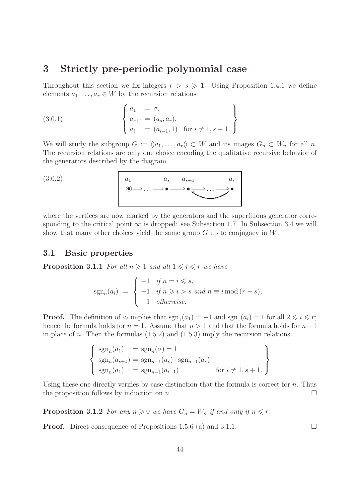# 3 Strictly pre-periodic polynomial case

Throughout this section we fix integers  $r > s \geq 1$ . Using Proposition 1.4.1 we define elements  $a_1, \ldots, a_r \in W$  by the recursion relations

(3.0.1) 
$$
\begin{cases} a_1 = \sigma, \\ a_{s+1} = (a_s, a_r), \\ a_i = (a_{i-1}, 1) \text{ for } i \neq 1, s+1. \end{cases}
$$

We will study the subgroup  $G := \langle\langle a_1, \ldots, a_r \rangle\rangle \subset W$  and its images  $G_n \subset W_n$  for all n. The recursion relations are only one choice encoding the qualitative recursive behavior of the generators described by the diagram

$$
(3.0.2)
$$

$$
(3.0.2) \qquad a_1 \qquad a_s \qquad a_{s+1} \qquad a_r
$$

where the vertices are now marked by the generators and the superfluous generator corresponding to the critical point  $\infty$  is dropped: see Subsection 1.7. In Subsection 3.4 we will show that many other choices yield the same group G up to conjugacy in W.

## 3.1 Basic properties

**Proposition 3.1.1** For all  $n \geq 1$  and all  $1 \leq i \leq r$  we have

$$
sgn_n(a_i) = \begin{cases} -1 & \text{if } n = i \leq s, \\ -1 & \text{if } n \geq i > s \text{ and } n \equiv i \mod (r - s), \\ 1 & \text{otherwise.} \end{cases}
$$

**Proof.** The definition of  $a_i$  implies that  $sgn_1(a_1) = -1$  and  $sgn_1(a_i) = 1$  for all  $2 \leq i \leq r$ ; hence the formula holds for  $n = 1$ . Assume that  $n > 1$  and that the formula holds for  $n-1$ in place of n. Then the formulas  $(1.5.2)$  and  $(1.5.3)$  imply the recursion relations

$$
\begin{cases}\n\operatorname{sgn}_n(a_1) = \operatorname{sgn}_n(\sigma) = 1 \\
\operatorname{sgn}_n(a_{s+1}) = \operatorname{sgn}_{n-1}(a_s) \cdot \operatorname{sgn}_{n-1}(a_r) \\
\operatorname{sgn}_n(a_1) = \operatorname{sgn}_{n-1}(a_{i-1}) \quad \text{for } i \neq 1, s+1.\n\end{cases}
$$

Using these one directly verifies by case distinction that the formula is correct for  $n$ . Thus the proposition follows by induction on n.

**Proposition 3.1.2** For any  $n \geq 0$  we have  $G_n = W_n$  if and only if  $n \leq r$ .

**Proof.** Direct consequence of Propositions 1.5.6 (a) and 3.1.1.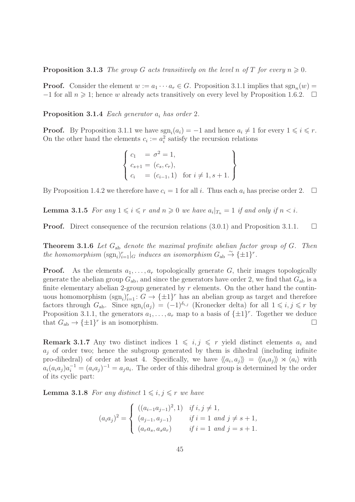**Proposition 3.1.3** The group G acts transitively on the level n of T for every  $n \geq 0$ .

**Proof.** Consider the element  $w := a_1 \cdots a_r \in G$ . Proposition 3.1.1 implies that  $sgn_n(w) =$  $-1$  for all  $n \geq 1$ ; hence w already acts transitively on every level by Proposition 1.6.2.  $\Box$ 

**Proposition 3.1.4** Each generator  $a_i$  has order 2.

**Proof.** By Proposition 3.1.1 we have  $\text{sgn}_i(a_i) = -1$  and hence  $a_i \neq 1$  for every  $1 \leq i \leq r$ . On the other hand the elements  $c_i := a_i^2$  satisfy the recursion relations

$$
\begin{cases} c_1 = \sigma^2 = 1, \\ c_{s+1} = (c_s, c_r), \\ c_i = (c_{i-1}, 1) \text{ for } i \neq 1, s+1. \end{cases}
$$

By Proposition 1.4.2 we therefore have  $c_i = 1$  for all i. Thus each  $a_i$  has precise order 2.  $\Box$ 

**Lemma 3.1.5** For any  $1 \leq i \leq r$  and  $n \geq 0$  we have  $a_i|_{T_n} = 1$  if and only if  $n < i$ .

**Proof.** Direct consequence of the recursion relations  $(3.0.1)$  and Proposition 3.1.1.

**Theorem 3.1.6** Let  $G_{ab}$  denote the maximal profinite abelian factor group of  $G$ . Then the homomorphism  $(\text{sgn}_i)_{i=1}^r |_{G}$  induces an isomorphism  $G_{ab} \overset{\sim}{\rightarrow} {\{\pm 1\}}^r$ .

**Proof.** As the elements  $a_1, \ldots, a_r$  topologically generate G, their images topologically generate the abelian group  $G_{ab}$ , and since the generators have order 2, we find that  $G_{ab}$  is a finite elementary abelian 2-group generated by  $r$  elements. On the other hand the continuous homomorphism  $(\text{sgn}_i)_{i=1}^r : G \to {\{\pm 1\}}^r$  has an abelian group as target and therefore factors through  $G_{ab}$ . Since  $sgn_i(a_j) = (-1)^{\delta_{i,j}}$  (Kronecker delta) for all  $1 \leq i, j \leq r$  by Proposition 3.1.1, the generators  $a_1, \ldots, a_r$  map to a basis of  $\{\pm 1\}^r$ . Together we deduce that  $G_{ab} \to {\pm 1}^r$  is an isomorphism.

**Remark 3.1.7** Any two distinct indices  $1 \leq i, j \leq r$  yield distinct elements  $a_i$  and  $a_i$  of order two; hence the subgroup generated by them is dihedral (including infinite pro-dihedral) of order at least 4. Specifically, we have  $\langle\langle a_i, a_j \rangle\rangle = \langle\langle a_i a_j \rangle\rangle \rtimes \langle a_i \rangle$  with  $a_i(a_ia_j)a_i^{-1} = (a_ia_j)^{-1} = a_ja_i$ . The order of this dihedral group is determined by the order of its cyclic part:

**Lemma 3.1.8** For any distinct  $1 \leq i, j \leq r$  we have

$$
(a_i a_j)^2 = \begin{cases} ((a_{i-1} a_{j-1})^2, 1) & \text{if } i, j \neq 1, \\ (a_{j-1}, a_{j-1}) & \text{if } i = 1 \text{ and } j \neq s+1, \\ (a_r a_s, a_s a_r) & \text{if } i = 1 \text{ and } j = s+1. \end{cases}
$$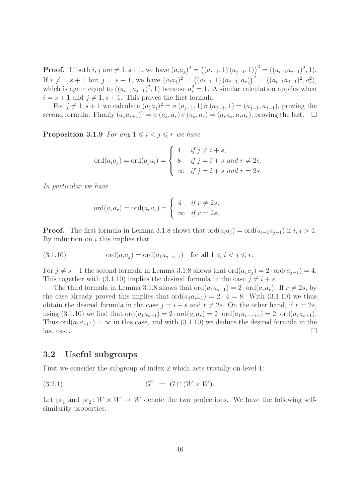**Proof.** If both  $i, j$  are  $\neq 1, s+1$ , we have  $(a_i a_j)^2 = ((a_{i-1}, 1) (a_{j-1}, 1))^2 = ((a_{i-1} a_{j-1})^2, 1)$ . If  $i \neq 1, s + 1$  but  $j = s + 1$ , we have  $(a_i a_j)^2 = ((a_{i-1}, 1) (a_{j-1}, a_r))^2 = ((a_{i-1} a_{j-1})^2, a_r^2)$ , which is again equal to  $((a_{i-1}a_{j-1})^2, 1)$  because  $a_r^2 = 1$ . A similar calculation applies when  $i = s + 1$  and  $j \neq 1, s + 1$ . This proves the first formula.

For  $j \neq 1, s + 1$  we calculate  $(a_1 a_j)^2 = \sigma(a_{j-1}, 1) \sigma(a_{j-1}, 1) = (a_{j-1}, a_{j-1})$ , proving the second formula. Finally  $(a_1a_{s+1})^2 = \sigma(a_s, a_r) \sigma(a_s, a_r) = (a_ra_s, a_sa_r)$ , proving the last.  $\Box$ 

**Proposition 3.1.9** For any  $1 \leq i \leq j \leq r$  we have

$$
\text{ord}(a_i a_j) = \text{ord}(a_j a_i) = \begin{cases} 4 & \text{if } j \neq i+s, \\ 8 & \text{if } j = i+s \text{ and } r \neq 2s, \\ \infty & \text{if } j = i+s \text{ and } r = 2s. \end{cases}
$$

In particular we have

$$
\operatorname{ord}(a_s a_r) = \operatorname{ord}(a_r a_s) = \begin{cases} 4 & \text{if } r \neq 2s, \\ \infty & \text{if } r = 2s. \end{cases}
$$

**Proof.** The first formula in Lemma 3.1.8 shows that  $\text{ord}(a_i a_j) = \text{ord}(a_{i-1}a_{j-1})$  if  $i, j > 1$ . By induction on  $i$  this implies that

(3.1.10) ord(aia<sup>j</sup> ) = ord(a1a<sup>j</sup>−i+1) for all 1 6 i < j 6 r.

For  $j \neq s + 1$  the second formula in Lemma 3.1.8 shows that  $\text{ord}(a_1a_j) = 2 \cdot \text{ord}(a_{j-1}) = 4$ . This together with (3.1.10) implies the desired formula in the case  $j \neq i + s$ .

The third formula in Lemma 3.1.8 shows that  $\text{ord}(a_1a_{s+1}) = 2 \cdot \text{ord}(a_sa_r)$ . If  $r \neq 2s$ , by the case already proved this implies that  $\text{ord}(a_1a_{s+1}) = 2 \cdot 4 = 8$ . With  $(3.1.10)$  we thus obtain the desired formula in the case  $j = i + s$  and  $r \neq 2s$ . On the other hand, if  $r = 2s$ , using  $(3.1.10)$  we find that  $\text{ord}(a_1a_{s+1}) = 2 \cdot \text{ord}(a_sa_r) = 2 \cdot \text{ord}(a_1a_{r-s+1}) = 2 \cdot \text{ord}(a_1a_{s+1}).$ Thus  $\text{ord}(a_1a_{s+1}) = \infty$  in this case, and with (3.1.10) we deduce the desired formula in the last case.

## 3.2 Useful subgroups

First we consider the subgroup of index 2 which acts trivially on level 1:

$$
(3.2.1) \tG1 := G \cap (W \times W).
$$

Let  $pr_1$  and  $pr_2$ :  $W \times W \to W$  denote the two projections. We have the following selfsimilarity properties: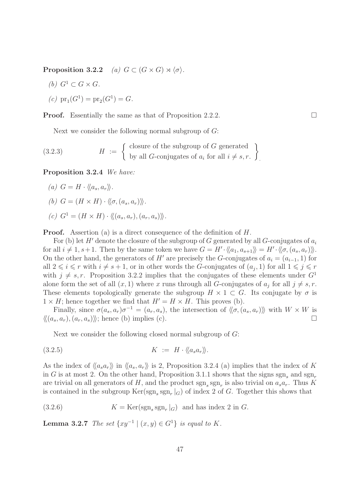Proposition 3.2.2 (a)  $G \subset (G \times G) \rtimes \langle \sigma \rangle$ .

(b) 
$$
G^1 \subset G \times G
$$
.

(c) 
$$
pr_1(G^1) = pr_2(G^1) = G.
$$

**Proof.** Essentially the same as that of Proposition 2.2.2.

Next we consider the following normal subgroup of  $G$ :

(3.2.3) 
$$
H := \left\{ \begin{array}{l} \text{closure of the subgroup of } G \text{ generated} \\ \text{by all } G \text{-conjugates of } a_i \text{ for all } i \neq s, r. \end{array} \right\}.
$$

Proposition 3.2.4 We have:

(a) 
$$
G = H \cdot \langle \langle a_s, a_r \rangle \rangle
$$
.

- (b)  $G = (H \times H) \cdot \langle \langle \sigma, (a_s, a_r) \rangle \rangle$ .
- (c)  $G^1 = (H \times H) \cdot \langle (a_s, a_r), (a_r, a_s) \rangle$ .

**Proof.** Assertion (a) is a direct consequence of the definition of H.

For (b) let H' denote the closure of the subgroup of G generated by all G-conjugates of  $a_i$ for all  $i \neq 1, s+1$ . Then by the same token we have  $G = H' \cdot \langle\langle a_1, a_{s+1} \rangle\rangle = H' \cdot \langle\langle \sigma, (a_s, a_r) \rangle\rangle$ . On the other hand, the generators of H' are precisely the G-conjugates of  $a_i = (a_{i-1}, 1)$  for all  $2 \leq i \leq r$  with  $i \neq s + 1$ , or in other words the G-conjugates of  $(a_j, 1)$  for all  $1 \leq j \leq r$ with  $j \neq s, r$ . Proposition 3.2.2 implies that the conjugates of these elements under  $G<sup>1</sup>$ alone form the set of all  $(x, 1)$  where x runs through all G-conjugates of  $a_j$  for all  $j \neq s, r$ . These elements topologically generate the subgroup  $H \times 1 \subset G$ . Its conjugate by  $\sigma$  is  $1 \times H$ ; hence together we find that  $H' = H \times H$ . This proves (b).

Finally, since  $\sigma(a_s, a_r)\sigma^{-1} = (a_r, a_s)$ , the intersection of  $\langle \langle \sigma, (a_s, a_r) \rangle \rangle$  with  $W \times W$  is  $\langle \langle (a_s, a_r), (a_r, a_s) \rangle \rangle$ ; hence (b) implies (c).

Next we consider the following closed normal subgroup of G:

$$
(3.2.5) \t\t K := H \cdot \langle a_s a_r \rangle.
$$

As the index of  $\langle a_s a_r \rangle$  in  $\langle a_s a_r \rangle$  is 2, Proposition 3.2.4 (a) implies that the index of K in G is at most 2. On the other hand, Proposition 3.1.1 shows that the signs sgn, and sgn, are trivial on all generators of H, and the product  $sgn_s sgn_r$  is also trivial on  $a_s a_r$ . Thus K is contained in the subgroup  $\text{Ker}(\text{sgn}_s \text{ sgn}_r |_G)$  of index 2 of G. Together this shows that

(3.2.6) 
$$
K = \text{Ker}(\text{sgn}_s \text{ sgn}_r|_G) \text{ and has index } 2 \text{ in } G.
$$

**Lemma 3.2.7** The set  $\{xy^{-1} | (x, y) \in G^1\}$  is equal to K.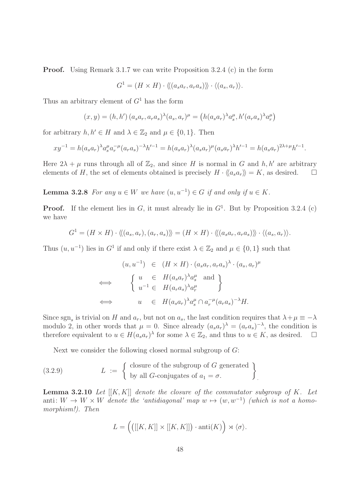**Proof.** Using Remark 3.1.7 we can write Proposition 3.2.4 (c) in the form

$$
G^1 = (H \times H) \cdot \langle \langle (a_s a_r, a_r a_s) \rangle \rangle \cdot \langle (a_s, a_r) \rangle.
$$

Thus an arbitrary element of  $G<sup>1</sup>$  has the form

$$
(x, y) = (h, h') (a_s a_r, a_r a_s)^{\lambda} (a_s, a_r)^{\mu} = (h (a_s a_r)^{\lambda} a_s^{\mu}, h' (a_r a_s)^{\lambda} a_r^{\mu})
$$

for arbitrary  $h, h' \in H$  and  $\lambda \in \mathbb{Z}_2$  and  $\mu \in \{0, 1\}$ . Then

$$
xy^{-1} = h(a_s a_r)^{\lambda} a_s^{\mu} a_r^{-\mu} (a_r a_s)^{-\lambda} h'^{-1} = h(a_s a_r)^{\lambda} (a_s a_r)^{\mu} (a_s a_r)^{\lambda} h'^{-1} = h(a_s a_r)^{2\lambda + \mu} h'^{-1}.
$$

Here  $2\lambda + \mu$  runs through all of  $\mathbb{Z}_2$ , and since H is normal in G and h, h' are arbitrary elements of H, the set of elements obtained is precisely  $H \cdot \langle \langle a_s a_r \rangle \rangle = K$ , as desired.  $\square$ 

**Lemma 3.2.8** For any  $u \in W$  we have  $(u, u^{-1}) \in G$  if and only if  $u \in K$ .

**Proof.** If the element lies in  $G$ , it must already lie in  $G<sup>1</sup>$ . But by Proposition 3.2.4 (c) we have

$$
G^{1} = (H \times H) \cdot \langle\langle (a_s, a_r), (a_r, a_s) \rangle\rangle = (H \times H) \cdot \langle\langle (a_s a_r, a_r a_s) \rangle\rangle \cdot \langle (a_s, a_r) \rangle.
$$

Thus  $(u, u^{-1})$  lies in  $G^1$  if and only if there exist  $\lambda \in \mathbb{Z}_2$  and  $\mu \in \{0, 1\}$  such that

$$
(u, u^{-1}) \in (H \times H) \cdot (a_s a_r, a_r a_s)^{\lambda} \cdot (a_s, a_r)^{\mu}
$$
  
\n
$$
\iff \begin{cases} u \in H(a_s a_r)^{\lambda} a_s^{\mu} \text{ and } \\ u^{-1} \in H(a_r a_s)^{\lambda} a_r^{\mu} \end{cases}
$$
  
\n
$$
\iff u \in H(a_s a_r)^{\lambda} a_s^{\mu} \cap a_r^{-\mu} (a_r a_s)^{-\lambda} H.
$$

Since sgn<sub>s</sub> is trivial on H and  $a_r$ , but not on  $a_s$ , the last condition requires that  $\lambda + \mu \equiv -\lambda$ modulo 2, in other words that  $\mu = 0$ . Since already  $(a_s a_r)^{\lambda} = (a_r a_s)^{-\lambda}$ , the condition is therefore equivalent to  $u \in H(a_s a_r)^\lambda$  for some  $\lambda \in \mathbb{Z}_2$ , and thus to  $u \in K$ , as desired.  $\Box$ 

Next we consider the following closed normal subgroup of G:

(3.2.9) 
$$
L := \begin{cases} \text{closure of the subgroup of } G \text{ generated} \\ \text{by all } G\text{-conjugates of } a_1 = \sigma. \end{cases}
$$

**Lemma 3.2.10** Let  $[[K, K]]$  denote the closure of the commutator subgroup of K. Let anti:  $W \to W \times W$  denote the 'antidiagonal' map  $w \mapsto (w, w^{-1})$  (which is not a homomorphism!). Then

$$
L = \left( \left( [[K, K]] \times [[K, K]] \right) \cdot \text{anti}(K) \right) \rtimes \langle \sigma \rangle.
$$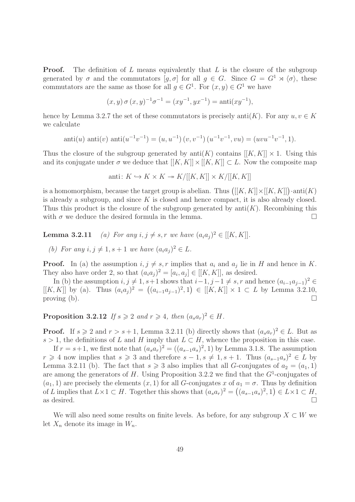**Proof.** The definition of  $L$  means equivalently that  $L$  is the closure of the subgroup generated by  $\sigma$  and the commutators  $[g, \sigma]$  for all  $g \in G$ . Since  $G = G^1 \rtimes \langle \sigma \rangle$ , these commutators are the same as those for all  $g \in G^1$ . For  $(x, y) \in G^1$  we have

$$
(x,y)\,\sigma\,(x,y)^{-1}\sigma^{-1} = (xy^{-1},yx^{-1}) = \text{anti}(xy^{-1}),
$$

hence by Lemma 3.2.7 the set of these commutators is precisely anti $(K)$ . For any  $u, v \in K$ we calculate

$$
anti(u) anti(v) anti(u^{-1}v^{-1}) = (u, u^{-1}) (v, v^{-1}) (u^{-1}v^{-1}, vu) = (uvu^{-1}v^{-1}, 1).
$$

Thus the closure of the subgroup generated by anti(K) contains  $[[K, K]] \times 1$ . Using this and its conjugate under  $\sigma$  we deduce that  $[[K, K]] \times [[K, K]] \subset L$ . Now the composite map

$$
anti: K \hookrightarrow K \times K \twoheadrightarrow K/[[K, K]] \times K/[[K, K]]
$$

is a homomorphism, because the target group is abelian. Thus  $([[K, K]] \times [[K, K]]) \cdot \text{anti}(K)$ is already a subgroup, and since  $K$  is closed and hence compact, it is also already closed. Thus this product is the closure of the subgroup generated by  $anti(K)$ . Recombining this with  $\sigma$  we deduce the desired formula in the lemma.

**Lemma 3.2.11** (a) For any  $i, j \neq s, r$  we have  $(a_i a_j)^2 \in [[K, K]].$ 

(b) For any  $i, j \neq 1, s + 1$  we have  $(a_i a_j)^2 \in L$ .

**Proof.** In (a) the assumption  $i, j \neq s, r$  implies that  $a_i$  and  $a_j$  lie in H and hence in K. They also have order 2, so that  $(a_i a_j)^2 = [a_i, a_j] \in [[K, K]],$  as desired.

In (b) the assumption  $i, j \neq 1, s+1$  shows that  $i-1, j-1 \neq s, r$  and hence  $(a_{i-1}a_{j-1})^2 \in$  $[[K, K]]$  by (a). Thus  $(a_i a_j)^2 = ((a_{i-1} a_{j-1})^2, 1) \in [[K, K]] \times 1 \subset L$  by Lemma 3.2.10, proving (b).  $\Box$ 

**Proposition 3.2.12** If  $s \ge 2$  and  $r \ge 4$ , then  $(a_s a_r)^2 \in H$ .

**Proof.** If  $s \ge 2$  and  $r > s + 1$ , Lemma 3.2.11 (b) directly shows that  $(a_s a_r)^2 \in L$ . But as s > 1, the definitions of L and H imply that  $L \subset H$ , whence the proposition in this case.

If  $r = s+1$ , we first note that  $(a_s a_r)^2 = ((a_{s-1} a_s)^2, 1)$  by Lemma 3.1.8. The assumption  $r \geq 4$  now implies that  $s \geq 3$  and therefore  $s - 1, s \neq 1, s + 1$ . Thus  $(a_{s-1}a_s)^2 \in L$  by Lemma 3.2.11 (b). The fact that  $s \geq 3$  also implies that all G-conjugates of  $a_2 = (a_1, 1)$ are among the generators of H. Using Proposition 3.2.2 we find that the  $G^1$ -conjugates of  $(a_1, 1)$  are precisely the elements  $(x, 1)$  for all G-conjugates x of  $a_1 = \sigma$ . Thus by definition of L implies that  $L \times 1 \subset H$ . Together this shows that  $(a_s a_r)^2 = ((a_{s-1} a_s)^2, 1) \in L \times 1 \subset H$ , as desired.  $\Box$ 

We will also need some results on finite levels. As before, for any subgroup  $X \subset W$  we let  $X_n$  denote its image in  $W_n$ .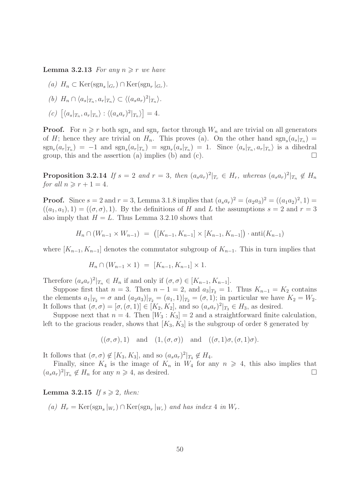**Lemma 3.2.13** For any  $n \geq r$  we have

- (a)  $H_n \subset \text{Ker}(\text{sgn}_s|_{G_r}) \cap \text{Ker}(\text{sgn}_r|_{G_r}).$
- (b)  $H_n \cap \langle a_s |_{T_n}, a_r |_{T_n} \rangle \subset \langle (a_s a_r)^2 |_{T_n} \rangle.$
- (c)  $[\langle a_s |_{T_n}, a_r |_{T_n} \rangle : \langle (a_s a_r)^2 |_{T_n} \rangle] = 4.$

**Proof.** For  $n \ge r$  both  $\text{sgn}_s$  and  $\text{sgn}_r$  factor through  $W_n$  and are trivial on all generators of H; hence they are trivial on  $H_n$ . This proves (a). On the other hand  $sgn_s(a_s|_{T_n}) =$  $sgn_r(a_r|x_n) = -1$  and  $sgn_s(a_r|x_n) = sgn_r(a_s|x_n) = 1$ . Since  $\langle a_s |_{T_n}, a_r |_{T_n} \rangle$  is a dihedral group, this and the assertion (a) implies (b) and (c).

**Proposition 3.2.14** If  $s = 2$  and  $r = 3$ , then  $(a_s a_r)^2|_{T_r} \in H_r$ , whereas  $(a_s a_r)^2|_{T_n} \notin H_n$ for all  $n \geqslant r + 1 = 4$ .

**Proof.** Since  $s = 2$  and  $r = 3$ , Lemma 3.1.8 implies that  $(a_s a_r)^2 = (a_2 a_3)^2 = ((a_1 a_2)^2, 1) =$  $((a_1, a_1), 1) = ((\sigma, \sigma), 1)$ . By the definitions of H and L the assumptions  $s = 2$  and  $r = 3$ also imply that  $H = L$ . Thus Lemma 3.2.10 shows that

$$
H_n \cap (W_{n-1} \times W_{n-1}) = ([K_{n-1}, K_{n-1}] \times [K_{n-1}, K_{n-1}]) \cdot \text{anti}(K_{n-1})
$$

where  $[K_{n-1}, K_{n-1}]$  denotes the commutator subgroup of  $K_{n-1}$ . This in turn implies that

$$
H_n \cap (W_{n-1} \times 1) = [K_{n-1}, K_{n-1}] \times 1.
$$

Therefore  $(a_s a_r)^2|_{T_n} \in H_n$  if and only if  $(\sigma, \sigma) \in [K_{n-1}, K_{n-1}].$ 

Suppose first that  $n = 3$ . Then  $n - 1 = 2$ , and  $a_3|_{T_2} = 1$ . Thus  $K_{n-1} = K_2$  contains the elements  $a_1|_{T_2} = \sigma$  and  $(a_2a_3)|_{T_2} = (a_1, 1)|_{T_2} = (\sigma, 1)$ ; in particular we have  $K_2 = W_2$ . It follows that  $(\sigma, \sigma) = [\sigma, (\sigma, 1)] \in [K_2, K_2]$ , and so  $(a_s a_r)^2|_{T_3} \in H_3$ , as desired.

Suppose next that  $n = 4$ . Then  $[W_3 : K_3] = 2$  and a straightforward finite calculation, left to the gracious reader, shows that  $[K_3, K_3]$  is the subgroup of order 8 generated by

$$
((\sigma, \sigma), 1)
$$
 and  $(1, (\sigma, \sigma))$  and  $((\sigma, 1)\sigma, (\sigma, 1)\sigma)$ .

It follows that  $(\sigma, \sigma) \notin [K_3, K_3]$ , and so  $(a_s a_r)^2|_{T_4} \notin H_4$ .

Finally, since  $K_4$  is the image of  $K_n$  in  $W_4$  for any  $n \geq 4$ , this also implies that  $(a_s a_r)^2|_{T_n} \notin H_n$  for any  $n \geq 4$ , as desired.

#### Lemma 3.2.15 If  $s \geqslant 2$ , then:

(a)  $H_r = \text{Ker}(\text{sgn}_s|_{W_r}) \cap \text{Ker}(\text{sgn}_r|_{W_r})$  and has index 4 in  $W_r$ .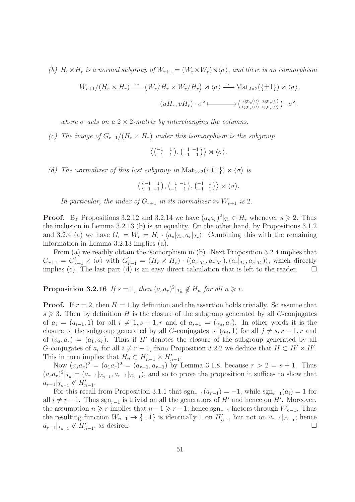(b)  $H_r \times H_r$  is a normal subgroup of  $W_{r+1} = (W_r \times W_r) \rtimes \langle \sigma \rangle$ , and there is an isomorphism

$$
W_{r+1}/(H_r \times H_r) \xrightarrow{\sim} (W_r/H_r \times W_r/H_r) \rtimes \langle \sigma \rangle \xrightarrow{\sim} \text{Mat}_{2 \times 2}(\{\pm 1\}) \rtimes \langle \sigma \rangle,
$$

$$
(uH_r, vH_r) \cdot \sigma^{\lambda} \longmapsto (\text{sgn}_r(u) \text{sgn}_r(v)) \cdot \sigma^{\lambda},
$$

where  $\sigma$  acts on a 2  $\times$  2-matrix by interchanging the columns.

(c) The image of  $G_{r+1}/(H_r \times H_r)$  under this isomorphism is the subgroup

$$
\left\langle \begin{pmatrix} -1 & 1 \\ 1 & -1 \end{pmatrix}, \begin{pmatrix} 1 & -1 \\ -1 & 1 \end{pmatrix} \right\rangle \rtimes \left\langle \sigma \right\rangle.
$$

(d) The normalizer of this last subgroup in  $\text{Mat}_{2\times 2}(\{\pm 1\}) \rtimes \langle \sigma \rangle$  is

$$
\left\langle \begin{pmatrix} -1 & 1 \\ 1 & -1 \end{pmatrix}, \begin{pmatrix} 1 & -1 \\ -1 & 1 \end{pmatrix}, \begin{pmatrix} -1 & 1 \\ -1 & 1 \end{pmatrix} \right\rangle \rtimes \langle \sigma \rangle.
$$

In particular, the index of  $G_{r+1}$  in its normalizer in  $W_{r+1}$  is 2.

**Proof.** By Propositions 3.2.12 and 3.2.14 we have  $(a_s a_r)^2|_{T_r} \in H_r$  whenever  $s \geq 2$ . Thus the inclusion in Lemma 3.2.13 (b) is an equality. On the other hand, by Propositions 3.1.2 and 3.2.4 (a) we have  $G_r = W_r = H_r \cdot \langle a_s |_{T_r}, a_r |_{T_r} \rangle$ . Combining this with the remaining information in Lemma 3.2.13 implies (a).

From (a) we readily obtain the isomorphism in (b). Next Proposition 3.2.4 implies that  $G_{r+1} = G_{r+1}^1 \rtimes \langle \sigma \rangle$  with  $G_{r+1}^1 = (H_r \times H_r) \cdot \langle (a_s |_{T_r}, a_r |_{T_r}), (a_r |_{T_r}, a_s |_{T_r}) \rangle$ , which directly implies (c). The last part (d) is an easy direct calculation that is left to the reader.  $\square$ 

**Proposition 3.2.16** If  $s = 1$ , then  $(a_s a_r)^2|_{T_n} \notin H_n$  for all  $n \geq r$ .

**Proof.** If  $r = 2$ , then  $H = 1$  by definition and the assertion holds trivially. So assume that  $s \geqslant 3$ . Then by definition H is the closure of the subgroup generated by all G-conjugates of  $a_i = (a_{i-1}, 1)$  for all  $i \neq 1, s + 1, r$  and of  $a_{s+1} = (a_s, a_r)$ . In other words it is the closure of the subgroup generated by all G-conjugates of  $(a_j, 1)$  for all  $j \neq s, r - 1, r$  and of  $(a_s, a_r) = (a_1, a_r)$ . Thus if H' denotes the closure of the subgroup generated by all G-conjugates of  $a_i$  for all  $i \neq r-1$ , from Proposition 3.2.2 we deduce that  $H \subset H' \times H'$ . This in turn implies that  $H_n \subset H'_{n-1} \times H'_{n-1}$ .

Now  $(a_s a_r)^2 = (a_1 a_r)^2 = (a_{r-1}, a_{r-1})$  by Lemma 3.1.8, because  $r > 2 = s + 1$ . Thus  $(a_s a_r)^2|_{T_n} = (a_{r-1}|_{T_{n-1}}, a_{r-1}|_{T_{n-1}})$ , and so to prove the proposition it suffices to show that  $a_{r-1}|_{T_{n-1}} \notin H'_{n-1}.$ 

For this recall from Proposition 3.1.1 that  $sgn_{r-1}(a_{r-1}) = -1$ , while  $sgn_{r-1}(a_i) = 1$  for all  $i \neq r-1$ . Thus sgn<sub>r−1</sub> is trivial on all the generators of H' and hence on H'. Moreover, the assumption  $n \geq r$  implies that  $n-1 \geq r-1$ ; hence  $sgn_{r-1}$  factors through  $W_{n-1}$ . Thus the resulting function  $W_{n-1} \to {\pm 1}$  is identically 1 on  $H'_{n-1}$  but not on  $a_{r-1}|_{T_{n-1}}$ ; hence  $a_{r-1}|_{T_{n-1}} \notin H'_{n-1}$ , as desired.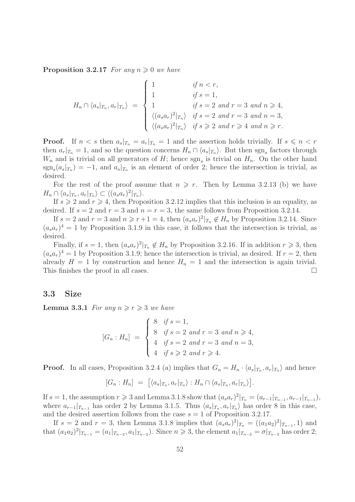**Proposition 3.2.17** For any  $n \geq 0$  we have

$$
H_n \cap \langle a_s |_{T_n}, a_r |_{T_n} \rangle = \begin{cases} 1 & \text{if } n < r, \\ 1 & \text{if } s = 1, \\ 1 & \text{if } s = 2 \text{ and } r = 3 \text{ and } n \ge 4, \\ \langle (a_s a_r)^2 |_{T_n} \rangle & \text{if } s = 2 \text{ and } r = 3 \text{ and } n = 3, \\ \langle (a_s a_r)^2 |_{T_n} \rangle & \text{if } s \ge 2 \text{ and } r \ge 4 \text{ and } n \ge r. \end{cases}
$$

**Proof.** If  $n < s$  then  $a_s|_{T_n} = a_r|_{T_n} = 1$  and the assertion holds trivially. If  $s \leq n < r$ then  $a_r|_{T_n} = 1$ , and so the question concerns  $H_n \cap \langle a_s |_{T_n} \rangle$ . But then sgn<sub>s</sub> factors through  $W_n$  and is trivial on all generators of H; hence  $sgn_s$  is trivial on  $H_n$ . On the other hand  $sgn_s(a_s|_{T_n}) = -1$ , and  $a_s|_{T_n}$  is an element of order 2; hence the intersection is trivial, as desired.

For the rest of the proof assume that  $n \geq r$ . Then by Lemma 3.2.13 (b) we have  $H_n \cap \langle a_s |_{T_n}, a_r |_{T_n} \rangle \subset \langle (a_s a_r)^2 |_{T_n} \rangle.$ 

If  $s \geqslant 2$  and  $r \geqslant 4$ , then Proposition 3.2.12 implies that this inclusion is an equality, as desired. If  $s = 2$  and  $r = 3$  and  $n = r = 3$ , the same follows from Proposition 3.2.14.

If  $s = 2$  and  $r = 3$  and  $n \geq r+1 = 4$ , then  $(a_s a_r)^2|_{T_n} \notin H_n$  by Proposition 3.2.14. Since  $(a_s a_r)^4 = 1$  by Proposition 3.1.9 in this case, it follows that the intersection is trivial, as desired.

Finally, if  $s = 1$ , then  $(a_s a_r)^2|_{T_n} \notin H_n$  by Proposition 3.2.16. If in addition  $r \geq 3$ , then  $(a_s a_r)^4 = 1$  by Proposition 3.1.9; hence the intersection is trivial, as desired. If  $r = 2$ , then already  $H = 1$  by construction and hence  $H_n = 1$  and the intersection is again trivial. This finishes the proof in all cases.

#### 3.3 Size

**Lemma 3.3.1** For any  $n \ge r \ge 3$  we have

$$
[G_n : H_n] = \begin{cases} 8 & \text{if } s = 1, \\ 8 & \text{if } s = 2 \text{ and } r = 3 \text{ and } n \ge 4, \\ 4 & \text{if } s = 2 \text{ and } r = 3 \text{ and } n = 3, \\ 4 & \text{if } s \ge 2 \text{ and } r \ge 4. \end{cases}
$$

**Proof.** In all cases, Proposition 3.2.4 (a) implies that  $G_n = H_n \cdot \langle a_s |_{T_n}, a_r |_{T_n} \rangle$  and hence

$$
[G_n: H_n] = [\langle a_s |_{T_n}, a_r |_{T_n} \rangle : H_n \cap \langle a_s |_{T_n}, a_r |_{T_n} \rangle].
$$

If  $s = 1$ , the assumption  $r \ge 3$  and Lemma 3.1.8 show that  $(a_s a_r)^2 |_{T_n} = (a_{r-1}|_{T_{n-1}}, a_{r-1}|_{T_{n-1}})$ , where  $a_{r-1}|_{T_{n-1}}$  has order 2 by Lemma 3.1.5. Thus  $\langle a_s|_{T_n}, a_r|_{T_n} \rangle$  has order 8 in this case, and the desired assertion follows from the case  $s = 1$  of Proposition 3.2.17.

If  $s = 2$  and  $r = 3$ , then Lemma 3.1.8 implies that  $(a_s a_r)^2|_{T_n} = ((a_1 a_2)^2|_{T_{n-1}}, 1)$  and that  $(a_1a_2)^2|_{T_{n-1}} = (a_1|_{T_{n-2}}, a_1|_{T_{n-2}})$ . Since  $n \ge 3$ , the element  $a_1|_{T_{n-2}} = \sigma|_{T_{n-2}}$  has order 2;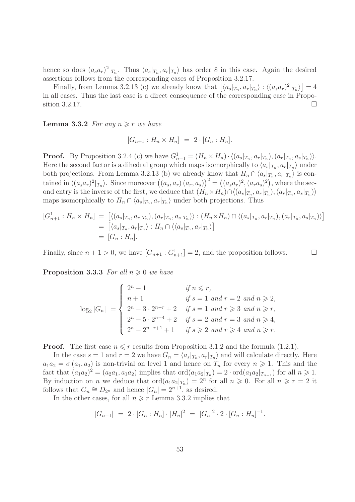hence so does  $(a_s a_r)^2|_{T_n}$ . Thus  $\langle a_s|_{T_n}, a_r|_{T_n}$  has order 8 in this case. Again the desired assertions follows from the corresponding cases of Proposition 3.2.17.

Finally, from Lemma 3.2.13 (c) we already know that  $\left[\langle a_s|_{T_n}, a_r|_{T_n} \rangle : \langle (a_s a_r)^2|_{T_n} \rangle \right] = 4$ in all cases. Thus the last case is a direct consequence of the corresponding case in Proposition 3.2.17.

**Lemma 3.3.2** For any  $n \geq r$  we have

$$
[G_{n+1}: H_n \times H_n] = 2 \cdot [G_n : H_n].
$$

**Proof.** By Proposition 3.2.4 (c) we have  $G_{n+1}^1 = (H_n \times H_n) \cdot \langle (a_s |_{T_n}, a_r |_{T_n}), (a_r |_{T_n}, a_s |_{T_n}) \rangle$ . Here the second factor is a dihedral group which maps isomorphically to  $\langle a_s|_{T_n}, a_r|_{T_n} \rangle$  under both projections. From Lemma 3.2.13 (b) we already know that  $H_n \cap \langle a_s |_{T_n}, a_r |_{T_n} \rangle$  is contained in  $\langle (a_s a_r)^2 |_{T_n} \rangle$ . Since moreover  $((a_s, a_r) (a_r, a_s))^2 = ((a_s a_r)^2, (a_r a_s)^2)$ , where the second entry is the inverse of the first, we deduce that  $(H_n \times H_n) \cap \langle (a_s|_{T_n}, a_r|_{T_n}), (a_r|_{T_n}, a_s|_{T_n}) \rangle$ maps isomorphically to  $H_n \cap \langle a_s |_{T_n}, a_r |_{T_n} \rangle$  under both projections. Thus

$$
[G_{n+1}^1 : H_n \times H_n] = [ \langle (a_s |_{T_n}, a_r |_{T_n}), (a_r |_{T_n}, a_s |_{T_n}) \rangle : (H_n \times H_n) \cap \langle (a_s |_{T_n}, a_r |_{T_n}), (a_r |_{T_n}, a_s |_{T_n}) \rangle ]
$$
  
= 
$$
[ \langle a_s |_{T_n}, a_r |_{T_n} \rangle : H_n \cap \langle \langle a_s |_{T_n}, a_r |_{T_n} \rangle ]
$$
  
= 
$$
[G_n : H_n].
$$

Finally, since  $n + 1 > 0$ , we have  $[G_{n+1} : G_{n+1}^1] = 2$ , and the proposition follows.

**Proposition 3.3.3** For all  $n \geq 0$  we have

$$
\log_2|G_n| = \begin{cases} 2^n - 1 & \text{if } n \le r, \\ n+1 & \text{if } s = 1 \text{ and } r = 2 \text{ and } n \ge 2, \\ 2^n - 3 \cdot 2^{n-r} + 2 & \text{if } s = 1 \text{ and } r \ge 3 \text{ and } n \ge r, \\ 2^n - 5 \cdot 2^{n-4} + 2 & \text{if } s = 2 \text{ and } r = 3 \text{ and } n \ge 4, \\ 2^n - 2^{n-r+1} + 1 & \text{if } s \ge 2 \text{ and } r \ge 4 \text{ and } n \ge r. \end{cases}
$$

**Proof.** The first case  $n \leq r$  results from Proposition 3.1.2 and the formula (1.2.1).

In the case  $s = 1$  and  $r = 2$  we have  $G_n = \langle a_s |_{T_n}, a_r |_{T_n} \rangle$  and will calculate directly. Here  $a_1a_2 = \sigma(a_1, a_2)$  is non-trivial on level 1 and hence on  $T_n$  for every  $n \geq 1$ . This and the fact that  $(a_1a_2)^2 = (a_2a_1, a_1a_2)$  implies that  $\text{ord}(a_1a_2|_{T_n}) = 2 \cdot \text{ord}(a_1a_2|_{T_{n-1}})$  for all  $n \ge 1$ . By induction on *n* we deduce that  $\text{ord}(a_1a_2|_{T_n}) = 2^n$  for all  $n \geq 0$ . For all  $n \geq r = 2$  it follows that  $G_n \cong D_{2^n}$  and hence  $|G_n| = 2^{n+1}$ , as desired.

In the other cases, for all  $n \geq r$  Lemma 3.3.2 implies that

$$
|G_{n+1}| = 2 \cdot [G_n : H_n] \cdot |H_n|^2 = |G_n|^2 \cdot 2 \cdot [G_n : H_n]^{-1}.
$$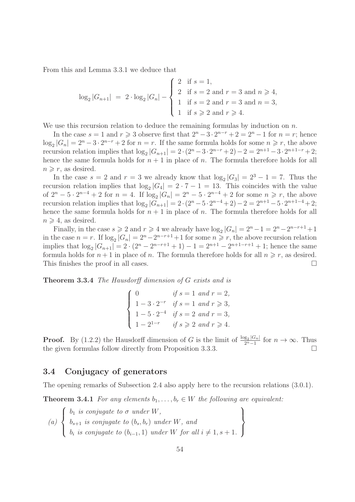From this and Lemma 3.3.1 we deduce that

$$
\log_2|G_{n+1}| = 2 \cdot \log_2|G_n| - \begin{cases} 2 & \text{if } s = 1, \\ 2 & \text{if } s = 2 \text{ and } r = 3 \text{ and } n \ge 4, \\ 1 & \text{if } s = 2 \text{ and } r = 3 \text{ and } n = 3, \\ 1 & \text{if } s \ge 2 \text{ and } r \ge 4. \end{cases}
$$

We use this recursion relation to deduce the remaining formulas by induction on  $n$ .

In the case  $s = 1$  and  $r \geq 3$  observe first that  $2^{n} - 3 \cdot 2^{n-r} + 2 = 2^{n} - 1$  for  $n = r$ ; hence  $\log_2|G_n| = 2^n - 3 \cdot 2^{n-r} + 2$  for  $n = r$ . If the same formula holds for some  $n \ge r$ , the above recursion relation implies that  $\log_2 |G_{n+1}| = 2 \cdot (2^n - 3 \cdot 2^{n-r} + 2) - 2 = 2^{n+1} - 3 \cdot 2^{n+1-r} + 2;$ hence the same formula holds for  $n + 1$  in place of n. The formula therefore holds for all  $n \geq r$ , as desired.

In the case  $s = 2$  and  $r = 3$  we already know that  $\log_2|G_3| = 2^3 - 1 = 7$ . Thus the recursion relation implies that  $\log_2|G_4| = 2 \cdot 7 - 1 = 13$ . This coincides with the value of  $2^{n} - 5 \cdot 2^{n-4} + 2$  for  $n = 4$ . If  $\log_2 |G_n| = 2^{n} - 5 \cdot 2^{n-4} + 2$  for some  $n \ge r$ , the above recursion relation implies that  $\log_2 |G_{n+1}| = 2 \cdot (2^n - 5 \cdot 2^{n-4} + 2) - 2 = 2^{n+1} - 5 \cdot 2^{n+1-4} + 2;$ hence the same formula holds for  $n + 1$  in place of n. The formula therefore holds for all  $n \geq 4$ , as desired.

Finally, in the case  $s \geqslant 2$  and  $r \geqslant 4$  we already have  $\log_2|G_n| = 2^n - 1 = 2^n - 2^{n-r+1} + 1$ in the case  $n = r$ . If  $\log_2 |G_n| = 2^n - 2^{n-r+1} + 1$  for some  $n \ge r$ , the above recursion relation implies that  $\log_2|G_{n+1}| = 2 \cdot (2^n - 2^{n-r+1} + 1) - 1 = 2^{n+1} - 2^{n+1-r+1} + 1$ ; hence the same formula holds for  $n + 1$  in place of n. The formula therefore holds for all  $n \geq r$ , as desired. This finishes the proof in all cases.  $\Box$ 

Theorem 3.3.4 The Hausdorff dimension of G exists and is

|  | $\begin{pmatrix} 0 \\ 0 \end{pmatrix}$ | if $s = 1$ and $r = 2$ ,                         |
|--|----------------------------------------|--------------------------------------------------|
|  |                                        | $1 - 3 \cdot 2^{-r}$ if $s = 1$ and $r \ge 3$ ,  |
|  |                                        | 1 - 5 · 2 <sup>-4</sup> if $s = 2$ and $r = 3$ , |
|  | $1-2^{1-r}$                            | if $s \geqslant 2$ and $r \geqslant 4$ .         |

**Proof.** By (1.2.2) the Hausdorff dimension of G is the limit of  $\frac{\log_2 |G_n|}{2^n-1}$  $\frac{g_2|G_n|}{2^n-1}$  for  $n \to \infty$ . Thus the given formulas follow directly from Proposition 3.3.3.

## 3.4 Conjugacy of generators

The opening remarks of Subsection 2.4 also apply here to the recursion relations (3.0.1).

**Theorem 3.4.1** For any elements  $b_1, \ldots, b_r \in W$  the following are equivalent:

(a) 
$$
\begin{Bmatrix} b_1 \text{ is conjugate to } \sigma \text{ under } W, \\ b_{s+1} \text{ is conjugate to } (b_s, b_r) \text{ under } W, \text{ and} \\ b_i \text{ is conjugate to } (b_{i-1}, 1) \text{ under } W \text{ for all } i \neq 1, s+1. \end{Bmatrix}
$$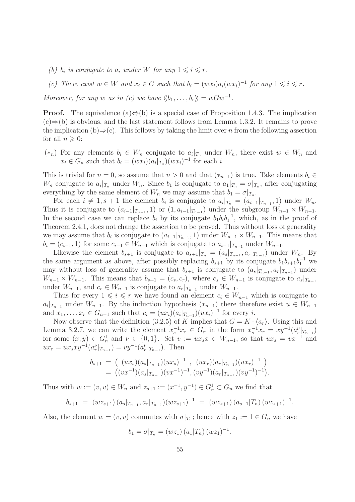- (b)  $b_i$  is conjugate to  $a_i$  under W for any  $1 \leq i \leq r$ .
- (c) There exist  $w \in W$  and  $x_i \in G$  such that  $b_i = (wx_i)a_i(wx_i)^{-1}$  for any  $1 \leq i \leq r$ .

Moreover, for any w as in (c) we have  $\langle b_1, \ldots, b_r \rangle = wGw^{-1}$ .

**Proof.** The equivalence (a) $\Leftrightarrow$ (b) is a special case of Proposition 1.4.3. The implication  $(c) \Rightarrow (b)$  is obvious, and the last statement follows from Lemma 1.3.2. It remains to prove the implication (b)⇒(c). This follows by taking the limit over n from the following assertion for all  $n \geqslant 0$ :

 $(*_n)$  For any elements  $b_i \in W_n$  conjugate to  $a_i|_{T_n}$  under  $W_n$ , there exist  $w ∈ W_n$  and  $x_i \in G_n$  such that  $b_i = (wx_i)(a_i|x_n)(wx_i)^{-1}$  for each i.

This is trivial for  $n = 0$ , so assume that  $n > 0$  and that  $(*_{n-1})$  is true. Take elements  $b_i \in$  $W_n$  conjugate to  $a_i|_{T_n}$  under  $W_n$ . Since  $b_1$  is conjugate to  $a_1|_{T_n} = \sigma|_{T_n}$ , after conjugating everything by the same element of  $W_n$  we may assume that  $b_1 = \sigma|_{T_n}$ .

For each  $i \neq 1, s + 1$  the element  $b_i$  is conjugate to  $a_i |_{T_n} = (a_{i-1}|_{T_{n-1}}, 1)$  under  $W_n$ . Thus it is conjugate to  $(a_{i-1}|_{T_{n-1}}, 1)$  or  $(1, a_{i-1}|_{T_{n-1}})$  under the subgroup  $W_{n-1} \times W_{n-1}$ . In the second case we can replace  $b_i$  by its conjugate  $b_1b_ib_1^{-1}$ , which, as in the proof of Theorem 2.4.1, does not change the assertion to be proved. Thus without loss of generality we may assume that  $b_i$  is conjugate to  $(a_{i-1}|_{T_{n-1}}, 1)$  under  $W_{n-1} \times W_{n-1}$ . This means that  $b_i = (c_{i-1}, 1)$  for some  $c_{i-1} \in W_{n-1}$  which is conjugate to  $a_{i-1}|_{T_{n-1}}$  under  $W_{n-1}$ .

Likewise the element  $b_{s+1}$  is conjugate to  $a_{s+1}|_{T_n} = (a_s|_{T_{n-1}}, a_r|_{T_{n-1}})$  under  $W_n$ . By the same argument as above, after possibly replacing  $b_{s+1}$  by its conjugate  $b_1b_{s+1}b_1^{-1}$  we may without loss of generality assume that  $b_{s+1}$  is conjugate to  $(a_s|_{T_{n-1}}, a_r|_{T_{n-1}})$  under  $W_{n-1} \times W_{n-1}$ . This means that  $b_{s+1} = (c_s, c_r)$ , where  $c_s \in W_{n-1}$  is conjugate to  $a_s|_{T_{n-1}}$ under  $W_{n-1}$ , and  $c_r \in W_{n-1}$  is conjugate to  $a_r|_{T_{n-1}}$  under  $W_{n-1}$ .

Thus for every  $1 \leq i \leq r$  we have found an element  $c_i \in W_{n-1}$  which is conjugate to  $a_i|_{T_{n-1}}$  under  $W_{n-1}$ . By the induction hypothesis  $(*_{n-1})$  there therefore exist  $u \in W_{n-1}$ and  $x_1, \ldots, x_r \in G_{n-1}$  such that  $c_i = (ux_i)(a_i|_{T_{n-1}})(ux_i)^{-1}$  for every i.

Now observe that the definition (3.2.5) of K implies that  $G = K \cdot \langle a_r \rangle$ . Using this and Lemma 3.2.7, we can write the element  $x_s^{-1}x_r \in G_n$  in the form  $x_s^{-1}x_r = xy^{-1}(a_r^{\nu}|_{T_{n-1}})$ for some  $(x, y) \in G_n^1$  and  $\nu \in \{0, 1\}$ . Set  $v := ux_s x \in W_{n-1}$ , so that  $ux_s = vx^{-1}$  and  $ux_r = ux_sxy^{-1}(a_r^{\nu}|_{T_{n-1}}) = vy^{-1}(a_r^{\nu}|_{T_{n-1}})$ . Then

$$
b_{s+1} = ((ux_s)(a_s|_{T_{n-1}})(ux_s)^{-1}, (ux_r)(a_r|_{T_{n-1}})(ux_r)^{-1})
$$
  
=  $((vx^{-1})(a_s|_{T_{n-1}})(vx^{-1})^{-1}, (vy^{-1})(a_r|_{T_{n-1}})(vy^{-1})^{-1}).$ 

Thus with  $w := (v, v) \in W_n$  and  $z_{s+1} := (x^{-1}, y^{-1}) \in G_n^1 \subset G_n$  we find that

$$
b_{s+1} = (wz_{s+1})(a_s|_{T_{n-1}}, a_r|_{T_{n-1}})(wz_{s+1})^{-1} = (wz_{s+1})(a_{s+1}|T_n)(wz_{s+1})^{-1}.
$$

Also, the element  $w = (v, v)$  commutes with  $\sigma|_{T_n}$ ; hence with  $z_1 := 1 \in G_n$  we have

$$
b_1 = \sigma|_{T_n} = (wz_1) (a_1|T_n) (wz_1)^{-1}.
$$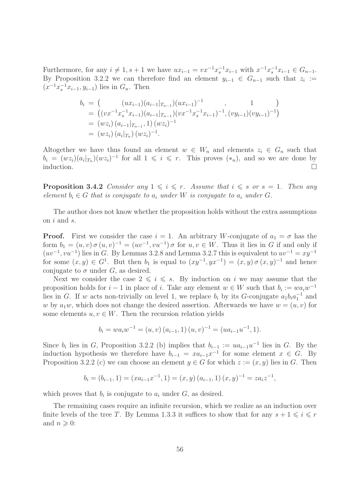Furthermore, for any  $i \neq 1, s + 1$  we have  $ux_{i-1} = vx^{-1}x_{s}^{-1}x_{i-1}$  with  $x^{-1}x_{s}^{-1}x_{i-1} \in G_{n-1}$ . By Proposition 3.2.2 we can therefore find an element  $y_{i-1} \in G_{n-1}$  such that  $z_i :=$  $(x^{-1}x_{s}^{-1}x_{i-1}, y_{i-1})$  lies in  $G_n$ . Then

$$
b_i = \left( \left( ux_{i-1} \right) \left( a_{i-1} |_{T_{n-1}} \right) \left( ux_{i-1} \right)^{-1}, \left( 1 \right) \right)
$$
  
\n
$$
= \left( \left( vx^{-1} x_s^{-1} x_{i-1} \right) \left( a_{i-1} |_{T_{n-1}} \right) \left( vx^{-1} x_s^{-1} x_{i-1} \right)^{-1}, \left( vy_{i-1} \right) \left( vy_{i-1} \right)^{-1} \right)
$$
  
\n
$$
= \left( wz_i \right) \left( a_{i-1} |_{T_{n-1}}, 1 \right) \left( wz_i \right)^{-1}
$$
  
\n
$$
= \left( wz_i \right) \left( a_i |_{T_n} \right) \left( wz_i \right)^{-1}.
$$

Altogether we have thus found an element  $w \in W_n$  and elements  $z_i \in G_n$  such that  $b_i = (wz_i)(a_i\vert_{T_n})(wz_i)^{-1}$  for all  $1 \leq i \leq r$ . This proves  $(*_n)$ , and so we are done by induction.  $\Box$ 

**Proposition 3.4.2** Consider any  $1 \leq i \leq r$ . Assume that  $i \leq s$  or  $s = 1$ . Then any element  $b_i \in G$  that is conjugate to  $a_i$  under W is conjugate to  $a_i$  under G.

The author does not know whether the proposition holds without the extra assumptions on i and s.

**Proof.** First we consider the case  $i = 1$ . An arbitrary W-conjugate of  $a_1 = \sigma$  has the form  $b_1 = (u, v) \sigma(u, v)^{-1} = (uv^{-1}, vu^{-1}) \sigma$  for  $u, v \in W$ . Thus it lies in G if and only if  $(uv^{-1}, vu^{-1})$  lies in G. By Lemmas 3.2.8 and Lemma 3.2.7 this is equivalent to  $uv^{-1} = xy^{-1}$ for some  $(x, y) \in G^1$ . But then  $b_1$  is equal to  $(xy^{-1}, yx^{-1}) = (x, y) \sigma(x, y)^{-1}$  and hence conjugate to  $\sigma$  under G, as desired.

Next we consider the case  $2 \leq i \leq s$ . By induction on i we may assume that the proposition holds for  $i-1$  in place of i. Take any element  $w \in W$  such that  $b_i := wa_iw^{-1}$ lies in G. If w acts non-trivially on level 1, we replace  $b_i$  by its G-conjugate  $a_1b_ia_1^{-1}$  and w by  $a_1w$ , which does not change the desired assertion. Afterwards we have  $w = (u, v)$  for some elements  $u, v \in W$ . Then the recursion relation yields

$$
b_i = w a_i w^{-1} = (u, v) (a_{i-1}, 1) (u, v)^{-1} = (u a_{i-1} u^{-1}, 1).
$$

Since  $b_i$  lies in G, Proposition 3.2.2 (b) implies that  $b_{i-1} := ua_{i-1}u^{-1}$  lies in G. By the induction hypothesis we therefore have  $b_{i-1} = xa_{i-1}x^{-1}$  for some element  $x \in G$ . By Proposition 3.2.2 (c) we can choose an element  $y \in G$  for which  $z := (x, y)$  lies in G. Then

$$
b_i = (b_{i-1}, 1) = (xa_{i-1}x^{-1}, 1) = (x, y) (a_{i-1}, 1) (x, y)^{-1} = za_i z^{-1},
$$

which proves that  $b_i$  is conjugate to  $a_i$  under  $G$ , as desired.

The remaining cases require an infinite recursion, which we realize as an induction over finite levels of the tree T. By Lemma 1.3.3 it suffices to show that for any  $s + 1 \leq i \leq r$ and  $n \geqslant 0$ :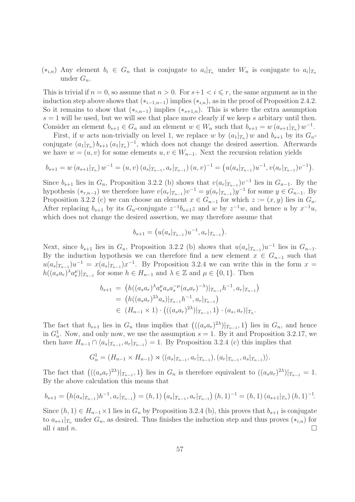$(*_{i,n})$  Any element  $b_i \in G_n$  that is conjugate to  $a_i |_{T_n}$  under  $W_n$  is conjugate to  $a_i |_{T_n}$ under  $G_n$ .

This is trivial if  $n = 0$ , so assume that  $n > 0$ . For  $s+1 < i \leq r$ , the same argument as in the induction step above shows that  $(*_{i-1,n-1})$  implies  $(*_{i,n})$ , as in the proof of Proposition 2.4.2. So it remains to show that  $(*_{r,n-1})$  implies  $(*_{s+1,n})$ . This is where the extra assumption  $s = 1$  will be used, but we will see that place more clearly if we keep s arbitary until then. Consider an element  $b_{s+1} \in G_n$  and an element  $w \in W_n$  such that  $b_{s+1} = w(a_{s+1}|_{T_n})w^{-1}$ .

First, if w acts non-trivially on level 1, we replace w by  $(a_1|_{T_n})$  w and  $b_{s+1}$  by its  $G_n$ conjugate  $(a_1|_{T_n})$   $b_{s+1}$   $(a_1|_{T_n})^{-1}$ , which does not change the desired assertion. Afterwards we have  $w = (u, v)$  for some elements  $u, v \in W_{n-1}$ . Next the recursion relation yields

$$
b_{s+1} = w(a_{s+1}|_{T_n}) w^{-1} = (u, v) (a_s|_{T_{n-1}}, a_r|_{T_{n-1}}) (u, v)^{-1} = (u(a_s|_{T_{n-1}})u^{-1}, v(a_r|_{T_{n-1}})v^{-1}).
$$

Since  $b_{s+1}$  lies in  $G_n$ , Proposition 3.2.2 (b) shows that  $v(a_r|_{T_{n-1}})v^{-1}$  lies in  $G_{n-1}$ . By the hypothesis  $(*_{r,n-1})$  we therefore have  $v(a_r|_{T_{n-1}})v^{-1} = y(a_r|_{T_{n-1}})y^{-1}$  for some  $y \in G_{n-1}$ . By Proposition 3.2.2 (c) we can choose an element  $x \in G_{n-1}$  for which  $z := (x, y)$  lies in  $G_n$ . After replacing  $b_{s+1}$  by its  $G_n$ -conjugate  $z^{-1}b_{s+1}z$  and w by  $z^{-1}w$ , and hence u by  $x^{-1}u$ , which does not change the desired assertion, we may therefore assume that

$$
b_{s+1} = (u(a_s |_{T_{n-1}})u^{-1}, a_r |_{T_{n-1}}).
$$

Next, since  $b_{s+1}$  lies in  $G_n$ , Proposition 3.2.2 (b) shows that  $u(a_s|_{T_{n-1}})u^{-1}$  lies in  $G_{n-1}$ . By the induction hypothesis we can therefore find a new element  $x \in G_{n-1}$  such that  $u(a_s|_{T_{n-1}})u^{-1} = x(a_s|_{T_{n-1}})x^{-1}$ . By Proposition 3.2.4 we can write this in the form  $x =$  $h((a_s a_r)^{\lambda} a_s^{\mu})|_{T_{n-1}}$  for some  $h \in H_{n-1}$  and  $\lambda \in \mathbb{Z}$  and  $\mu \in \{0,1\}$ . Then

$$
b_{s+1} = (h((a_s a_r)^{\lambda} a_s^{\mu} a_s a_s^{-\mu} (a_s a_r)^{-\lambda})|_{T_{n-1}} h^{-1}, a_r|_{T_{n-1}})
$$
  
=  $(h((a_s a_r)^{2\lambda} a_s)|_{T_{n-1}} h^{-1}, a_r|_{T_{n-1}})$   
 $\in (H_{n-1} \times 1) \cdot (((a_s a_r)^{2\lambda})|_{T_{n-1}}, 1) \cdot (a_s, a_r)|_{T_n}.$ 

The fact that  $b_{s+1}$  lies in  $G_n$  thus implies that  $\left( ((a_s a_r)^{2\lambda})|_{T_{n-1}}, 1 \right)$  lies in  $G_n$ , and hence in  $G_n^1$ . Now, and only now, we use the assumption  $s = 1$ . By it and Proposition 3.2.17, we then have  $H_{n-1} \cap \langle a_s |_{T_{n-1}}, a_r |_{T_{n-1}} \rangle = 1$ . By Proposition 3.2.4 (c) this implies that

$$
G_n^1 = (H_{n-1} \times H_{n-1}) \rtimes \langle (a_s |_{T_{n-1}}, a_r |_{T_{n-1}}), (a_r |_{T_{n-1}}, a_s |_{T_{n-1}}) \rangle.
$$

The fact that  $\left( ((a_s a_r)^{2\lambda})|_{T_{n-1}}, 1 \right)$  lies in  $G_n$  is therefore equivalent to  $((a_s a_r)^{2\lambda})|_{T_{n-1}} = 1$ . By the above calculation this means that

$$
b_{s+1} = (h(a_s|_{T_{n-1}})h^{-1}, a_r|_{T_{n-1}}) = (h, 1) (a_s|_{T_{n-1}}, a_r|_{T_{n-1}}) (h, 1)^{-1} = (h, 1) (a_{s+1}|_{T_n}) (h, 1)^{-1}.
$$

Since  $(h, 1) \in H_{n-1} \times 1$  lies in  $G_n$  by Proposition 3.2.4 (b), this proves that  $b_{s+1}$  is conjugate to  $a_{s+1}|_{T_n}$  under  $G_n$ , as desired. Thus finishes the induction step and thus proves  $(*_{i,n})$  for all i and n.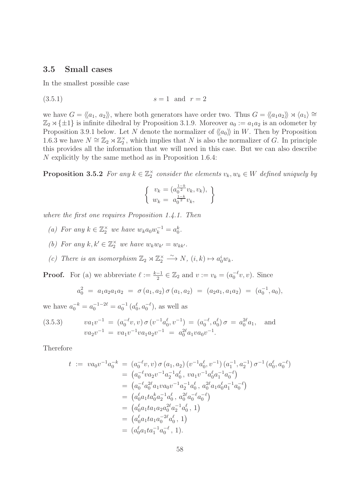#### 3.5 Small cases

In the smallest possible case

$$
(3.5.1) \t\t s = 1 \t and \t r = 2
$$

we have  $G = \langle \langle a_1, a_2 \rangle \rangle$ , where both generators have order two. Thus  $G = \langle \langle a_1 a_2 \rangle \rangle \rtimes \langle a_1 \rangle \cong$  $\mathbb{Z}_2 \rtimes {\pm 1}$  is infinite dihedral by Proposition 3.1.9. Moreover  $a_0 := a_1 a_2$  is an odometer by Proposition 3.9.1 below. Let N denote the normalizer of  $\langle a_0 \rangle$  in W. Then by Proposition 1.6.3 we have  $N \cong \mathbb{Z}_2 \rtimes \mathbb{Z}_2^{\times}$ , which implies that N is also the normalizer of G. In principle this provides all the information that we will need in this case. But we can also describe N explicitly by the same method as in Proposition 1.6.4:

**Proposition 3.5.2** For any  $k \in \mathbb{Z}_2^{\times}$  consider the elements  $v_k, w_k \in W$  defined uniquely by

$$
\begin{cases} v_k = (a_0^{\frac{1-k}{2}} v_k, v_k), \\ w_k = a_0^{\frac{1-k}{2}} v_k, \end{cases}
$$

where the first one requires Proposition 1.4.1. Then

- (a) For any  $k \in \mathbb{Z}_2^{\times}$  we have  $w_k a_0 w_k^{-1} = a_0^k$ .
- (b) For any  $k, k' \in \mathbb{Z}_2^{\times}$  we have  $w_k w_{k'} = w_{kk'}$ .
- (c) There is an isomorphism  $\mathbb{Z}_2 \rtimes \mathbb{Z}_2^{\times} \stackrel{\sim}{\longrightarrow} N$ ,  $(i,k) \mapsto a_0^i w_k$ .

**Proof.** For (a) we abbreviate  $\ell := \frac{k-1}{2} \in \mathbb{Z}_2$  and  $v := v_k = (a_0^{-\ell}v, v)$ . Since

$$
a_0^2 = a_1 a_2 a_1 a_2 = \sigma(a_1, a_2) \sigma(a_1, a_2) = (a_2 a_1, a_1 a_2) = (a_0^{-1}, a_0),
$$

we have  $a_0^{-k} = a_0^{-1-2\ell} = a_0^{-1} (a_0^{\ell}, a_0^{-\ell})$ , as well as

(3.5.3) 
$$
va_1v^{-1} = (a_0^{-\ell}v, v) \sigma (v^{-1}a_0^{\ell}, v^{-1}) = (a_0^{-\ell}, a_0^{\ell}) \sigma = a_0^{2\ell}a_1, \text{ and}
$$

$$
va_2v^{-1} = va_1v^{-1}va_1a_2v^{-1} = a_0^{2\ell}a_1va_0v^{-1}.
$$

Therefore

$$
t := va_0v^{-1}a_0^{-k} = (a_0^{-\ell}v, v) \sigma(a_1, a_2) (v^{-1}a_0^{\ell}, v^{-1}) (a_1^{-1}, a_2^{-1}) \sigma^{-1} (a_0^{\ell}, a_0^{-\ell})
$$
  
\n
$$
= (a_0^{-\ell}va_2v^{-1}a_2^{-1}a_0^{\ell}, va_1v^{-1}a_0^{\ell}a_1^{-1}a_0^{-\ell})
$$
  
\n
$$
= (a_0^{-\ell}a_0^{2\ell}a_1va_0v^{-1}a_2^{-1}a_0^{\ell}, a_0^{2\ell}a_1a_0^{\ell}a_1^{-1}a_0^{-\ell})
$$
  
\n
$$
= (a_0^{\ell}a_1ta_0^ka_2^{-1}a_0^{\ell}, a_0^{2\ell}a_0^{-\ell}a_0^{-\ell})
$$
  
\n
$$
= (a_0^{\ell}a_1ta_1a_2a_0^{2\ell}a_2^{-1}a_0^{\ell}, 1)
$$
  
\n
$$
= (a_0^{\ell}a_1ta_1a_0^{-2\ell}a_0^{\ell}, 1)
$$
  
\n
$$
= (a_0^{\ell}a_1ta_1^{-1}a_0^{-\ell}, 1).
$$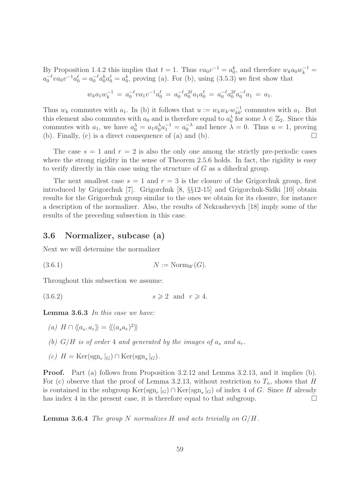By Proposition 1.4.2 this implies that  $t = 1$ . Thus  $va_0v^{-1} = a_0^k$ , and therefore  $w_ka_0w_k^{-1} =$  $a_0^{-\ell}va_0v^{-1}a_0^{\ell} = a_0^{-\ell}a_0^ka_0^{\ell} = a_0^k$ , proving (a). For (b), using (3.5.3) we first show that

$$
w_k a_1 w_k^{-1} = a_0^{-\ell} v a_1 v^{-1} a_0^{\ell} = a_0^{-\ell} a_0^{2\ell} a_1 a_0^{\ell} = a_0^{-\ell} a_0^{2\ell} a_0^{-\ell} a_1 = a_1.
$$

Thus  $w_k$  commutes with  $a_1$ . In (b) it follows that  $u := w_k w_{k'} w_{kk'}^{-1}$  commutes with  $a_1$ . But this element also commutes with  $a_0$  and is therefore equal to  $a_0^{\lambda}$  for some  $\lambda \in \mathbb{Z}_2$ . Since this commutes with  $a_1$ , we have  $a_0^{\lambda} = a_1 a_0^{\lambda} a_1^{-1} = a_0^{-\lambda}$  and hence  $\lambda = 0$ . Thus  $u = 1$ , proving (b). Finally, (c) is a direct consequence of (a) and (b).  $\Box$ 

The case  $s = 1$  and  $r = 2$  is also the only one among the strictly pre-periodic cases where the strong rigidity in the sense of Theorem 2.5.6 holds. In fact, the rigidity is easy to verify directly in this case using the structure of  $G$  as a dihedral group.

The next smallest case  $s = 1$  and  $r = 3$  is the closure of the Grigorchuk group, first introduced by Grigorchuk [7]. Grigorchuk [8, §§12-15] and Grigorchuk-Sidki [10] obtain results for the Grigorchuk group similar to the ones we obtain for its closure, for instance a description of the normalizer. Also, the results of Nekrashevych [18] imply some of the results of the preceding subsection in this case.

### 3.6 Normalizer, subcase (a)

Next we will determine the normalizer

(3.6.1)  $N := \text{Norm}_W(G)$ .

Throughout this subsection we assume:

(3.6.2)  $s \geqslant 2$  and  $r \geqslant 4$ .

Lemma 3.6.3 In this case we have:

(a)  $H \cap \langle\langle a_s, a_r \rangle\rangle = \langle\langle (a_s a_r)^2 \rangle\rangle$ 

- (b)  $G/H$  is of order 4 and generated by the images of  $a_s$  and  $a_r$ .
- (c)  $H = \text{Ker}(\text{sgn}_r|_G) \cap \text{Ker}(\text{sgn}_s|_G).$

Proof. Part (a) follows from Proposition 3.2.12 and Lemma 3.2.13, and it implies (b). For (c) observe that the proof of Lemma 3.2.13, without restriction to  $T_n$ , shows that H is contained in the subgroup  $\text{Ker}(\text{sgn}_r|_G) \cap \text{Ker}(\text{sgn}_s|_G)$  of index 4 of G. Since H already has index 4 in the present case, it is therefore equal to that subgroup.  $\Box$ 

**Lemma 3.6.4** The group N normalizes H and acts trivially on  $G/H$ .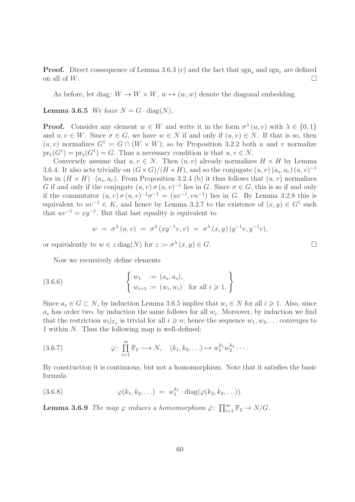**Proof.** Direct consequence of Lemma 3.6.3 (c) and the fact that  $sgn_s$  and  $sgn_s$  are defined on all of  $W$ .

As before, let diag:  $W \to W \times W$ ,  $w \mapsto (w, w)$  denote the diagonal embedding.

**Lemma 3.6.5** We have  $N = G \cdot diag(N)$ .

**Proof.** Consider any element  $w \in W$  and write it in the form  $\sigma^{\lambda}(u, v)$  with  $\lambda \in \{0, 1\}$ and  $u, v \in W$ . Since  $\sigma \in G$ , we have  $w \in N$  if and only if  $(u, v) \in N$ . If that is so, then  $(u, v)$  normalizes  $G^1 = G \cap (W \times W)$ ; so by Proposition 3.2.2 both u and v normalize  $pr_1(G^1) = pr_2(G^1) = G$ . Thus a necessary condition is that  $u, v \in N$ .

Conversely assume that  $u, v \in N$ . Then  $(u, v)$  already normalizes  $H \times H$  by Lemma 3.6.4. It also acts trivially on  $(G \times G)/(H \times H)$ , and so the conjugate  $(u, v)$   $(a_s, a_r)$   $(u, v)^{-1}$ lies in  $(H \times H) \cdot (a_s, a_r)$ . From Proposition 3.2.4 (b) it thus follows that  $(u, v)$  normalizes G if and only if the conjugate  $(u, v) \sigma (u, v)^{-1}$  lies in G. Since  $\sigma \in G$ , this is so if and only if the commutator  $(u, v) \sigma(u, v)^{-1} \sigma^{-1} = (uv^{-1}, vu^{-1})$  lies in G. By Lemma 3.2.8 this is equivalent to  $uv^{-1} \in K$ , and hence by Lemma 3.2.7 to the existence of  $(x, y) \in G<sup>1</sup>$  such that  $uv^{-1} = xy^{-1}$ . But that last equality is equivalent to

$$
w = \sigma^{\lambda}(u, v) = \sigma^{\lambda}(xy^{-1}v, v) = \sigma^{\lambda}(x, y) (y^{-1}v, y^{-1}v),
$$

or equivalently to  $w \in z \text{ diag}(N)$  for  $z := \sigma^{\lambda}(x, y) \in G$ .

Now we recursively define elements

(3.6.6) 
$$
\begin{cases} w_1 := (a_s, a_s), \\ w_{i+1} := (w_i, w_i) \text{ for all } i \geq 1. \end{cases}
$$

Since  $a_s \in G \subset N$ , by induction Lemma 3.6.5 implies that  $w_i \in N$  for all  $i \geq 1$ . Also, since  $a_s$  has order two, by induction the same follows for all  $w_i$ . Moreover, by induction we find that the restriction  $w_i|_{T_n}$  is trivial for all  $i \geq n$ ; hence the sequence  $w_1, w_2, \ldots$  converges to 1 within N. Thus the following map is well-defined:

(3.6.7) 
$$
\varphi: \prod_{i=1}^{\infty} \mathbb{F}_2 \longrightarrow N, \quad (k_1, k_2, \ldots) \mapsto w_1^{k_1} w_2^{k_2} \cdots
$$

By construction it is continuous, but not a homomorphism. Note that it satisfies the basic formula

(3.6.8) 
$$
\varphi(k_1, k_2, \ldots) = w_1^{k_1} \cdot \text{diag}(\varphi(k_2, k_3, \ldots)).
$$

**Lemma 3.6.9** The map  $\varphi$  induces a homomorphism  $\bar{\varphi}$ :  $\prod_{i=1}^{\infty} \mathbb{F}_2 \to N/G$ .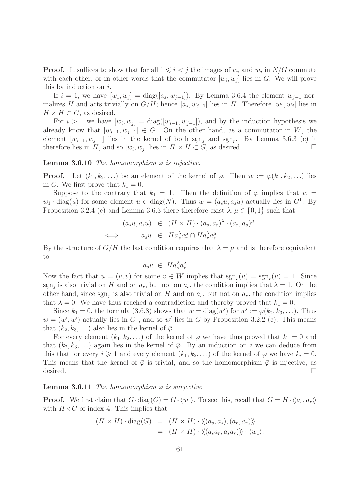**Proof.** It suffices to show that for all  $1 \leq i < j$  the images of  $w_i$  and  $w_j$  in  $N/G$  commute with each other, or in other words that the commutator  $[w_i, w_j]$  lies in G. We will prove this by induction on  $i$ .

If  $i = 1$ , we have  $[w_1, w_j] = \text{diag}([a_s, w_{j-1}])$ . By Lemma 3.6.4 the element  $w_{j-1}$  normalizes H and acts trivially on  $G/H$ ; hence  $[a_s, w_{j-1}]$  lies in H. Therefore  $[w_1, w_j]$  lies in  $H \times H \subset G$ , as desired.

For  $i > 1$  we have  $[w_i, w_j] = \text{diag}([w_{i-1}, w_{j-1}])$ , and by the induction hypothesis we already know that  $[w_{i-1}, w_{i-1}] \in G$ . On the other hand, as a commutator in W, the element  $[w_{i-1}, w_{j-1}]$  lies in the kernel of both  $sgn_s$  and  $sgn_r$ . By Lemma 3.6.3 (c) it therefore lies in H, and so  $[w_i, w_j]$  lies in  $H \times H \subset G$ , as desired.

**Lemma 3.6.10** The homomorphism  $\bar{\varphi}$  is injective.

**Proof.** Let  $(k_1, k_2, \ldots)$  be an element of the kernel of  $\bar{\varphi}$ . Then  $w := \varphi(k_1, k_2, \ldots)$  lies in G. We first prove that  $k_1 = 0$ .

Suppose to the contrary that  $k_1 = 1$ . Then the definition of  $\varphi$  implies that  $w =$  $w_1 \cdot \text{diag}(u)$  for some element  $u \in \text{diag}(N)$ . Thus  $w = (a_s u, a_s u)$  actually lies in  $G^1$ . By Proposition 3.2.4 (c) and Lemma 3.6.3 there therefore exist  $\lambda, \mu \in \{0, 1\}$  such that

$$
(a_s u, a_s u) \in (H \times H) \cdot (a_s, a_r)^\lambda \cdot (a_r, a_s)^\mu
$$
  

$$
\iff a_s u \in H a_s^\lambda a_r^\mu \cap H a_r^\lambda a_s^\mu.
$$

By the structure of  $G/H$  the last condition requires that  $\lambda = \mu$  and is therefore equivalent to

$$
a_s u \ \in \ Ha_s^{\lambda} a_r^{\lambda}.
$$

Now the fact that  $u = (v, v)$  for some  $v \in W$  implies that  $sgn_s(u) = sgn_r(u) = 1$ . Since sgn<sub>s</sub> is also trivial on H and on  $a_r$ , but not on  $a_s$ , the condition implies that  $\lambda = 1$ . On the other hand, since  $sgn_r$  is also trivial on H and on  $a_s$ , but not on  $a_r$ , the condition implies that  $\lambda = 0$ . We have thus reached a contradiction and thereby proved that  $k_1 = 0$ .

Since  $k_1 = 0$ , the formula (3.6.8) shows that  $w = \text{diag}(w')$  for  $w' := \varphi(k_2, k_3, \ldots)$ . Thus  $w = (w', w')$  actually lies in  $G<sup>1</sup>$ , and so w' lies in G by Proposition 3.2.2 (c). This means that  $(k_2, k_3, \ldots)$  also lies in the kernel of  $\overline{\varphi}$ .

For every element  $(k_1, k_2, \ldots)$  of the kernel of  $\overline{\varphi}$  we have thus proved that  $k_1 = 0$  and that  $(k_2, k_3, \ldots)$  again lies in the kernel of  $\overline{\varphi}$ . By an induction on i we can deduce from this that for every  $i \geq 1$  and every element  $(k_1, k_2, \ldots)$  of the kernel of  $\overline{\varphi}$  we have  $k_i = 0$ . This means that the kernel of  $\bar{\varphi}$  is trivial, and so the homomorphism  $\bar{\varphi}$  is injective, as desired.  $\Box$ 

#### **Lemma 3.6.11** The homomorphism  $\bar{\varphi}$  is surjective.

**Proof.** We first claim that  $G \cdot diag(G) = G \cdot \langle w_1 \rangle$ . To see this, recall that  $G = H \cdot \langle a_s, a_r \rangle$ with  $H \triangleleft G$  of index 4. This implies that

$$
(H \times H) \cdot \text{diag}(G) = (H \times H) \cdot \langle\langle (a_s, a_s), (a_r, a_r) \rangle\rangle
$$
  
= 
$$
(H \times H) \cdot \langle\langle (a_s a_r, a_s a_r) \rangle\rangle \cdot \langle w_1 \rangle.
$$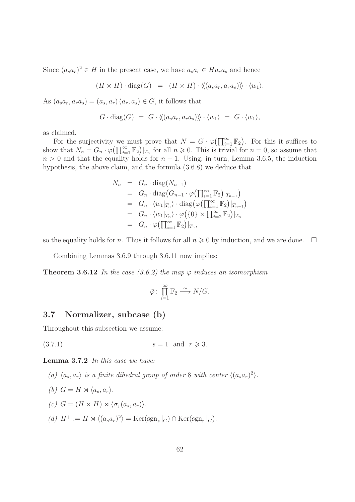Since  $(a_s a_r)^2 \in H$  in the present case, we have  $a_s a_r \in Ha_r a_s$  and hence

 $(H \times H) \cdot \text{diag}(G) = (H \times H) \cdot \langle (a_s a_r, a_r a_s) \rangle \rangle \cdot \langle w_1 \rangle.$ 

As  $(a_s a_r, a_r a_s) = (a_s, a_r) (a_r, a_s) \in G$ , it follows that

$$
G \cdot diag(G) = G \cdot \langle \langle (a_s a_r, a_r a_s) \rangle \rangle \cdot \langle w_1 \rangle = G \cdot \langle w_1 \rangle,
$$

as claimed.

For the surjectivity we must prove that  $N = G \cdot \varphi(\prod_{i=1}^{\infty} \mathbb{F}_2)$ . For this it suffices to show that  $N_n = G_n \cdot \varphi(\prod_{i=1}^{\infty} \mathbb{F}_2)|_{T_n}$  for all  $n \geq 0$ . This is trivial for  $n = 0$ , so assume that  $n > 0$  and that the equality holds for  $n - 1$ . Using, in turn, Lemma 3.6.5, the induction hypothesis, the above claim, and the formula (3.6.8) we deduce that

$$
N_n = G_n \cdot \text{diag}(N_{n-1})
$$
  
\n
$$
= G_n \cdot \text{diag}(G_{n-1} \cdot \varphi(\prod_{i=1}^{\infty} \mathbb{F}_2)|_{T_{n-1}})
$$
  
\n
$$
= G_n \cdot \langle w_1 |_{T_n} \rangle \cdot \text{diag}(\varphi(\prod_{i=1}^{\infty} \mathbb{F}_2)|_{T_{n-1}})
$$
  
\n
$$
= G_n \cdot \langle w_1 |_{T_n} \rangle \cdot \varphi(\{0\} \times \prod_{i=2}^{\infty} \mathbb{F}_2)|_{T_n}
$$
  
\n
$$
= G_n \cdot \varphi(\prod_{i=1}^{\infty} \mathbb{F}_2)|_{T_n},
$$

so the equality holds for *n*. Thus it follows for all  $n \geq 0$  by induction, and we are done.  $\Box$ 

Combining Lemmas 3.6.9 through 3.6.11 now implies:

**Theorem 3.6.12** In the case (3.6.2) the map  $\varphi$  induces an isomorphism

$$
\bar{\varphi}\colon \prod_{i=1}^{\infty} \mathbb{F}_2 \stackrel{\sim}{\longrightarrow} N/G.
$$

## 3.7 Normalizer, subcase (b)

Throughout this subsection we assume:

(3.7.1)  $s = 1$  and  $r \ge 3$ .

Lemma 3.7.2 In this case we have:

- (a)  $\langle a_s, a_r \rangle$  is a finite dihedral group of order 8 with center  $\langle (a_s a_r)^2 \rangle$ .
- (b)  $G = H \rtimes \langle a_s, a_r \rangle$ .
- (c)  $G = (H \times H) \rtimes \langle \sigma, (a_s, a_r) \rangle$ .
- (d)  $H^+ := H \rtimes \langle (a_s a_r)^2 \rangle = \text{Ker}(\text{sgn}_s|_G) \cap \text{Ker}(\text{sgn}_r|_G).$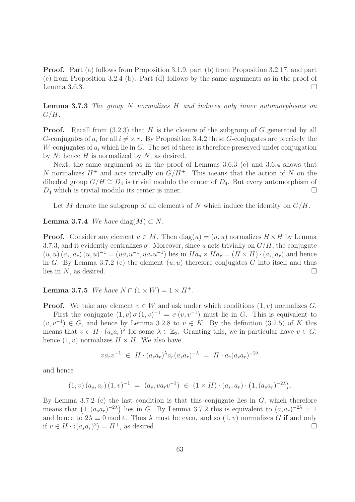Proof. Part (a) follows from Proposition 3.1.9, part (b) from Proposition 3.2.17, and part (c) from Proposition 3.2.4 (b). Part (d) follows by the same arguments as in the proof of Lemma 3.6.3.  $\Box$ 

**Lemma 3.7.3** The group N normalizes H and induces only inner automorphisms on  $G/H$ .

**Proof.** Recall from  $(3.2.3)$  that H is the closure of the subgroup of G generated by all G-conjugates of  $a_i$  for all  $i \neq s, r$ . By Proposition 3.4.2 these G-conjugates are precisely the W-conjugates of  $a_i$  which lie in G. The set of these is therefore preserved under conjugation by  $N$ ; hence  $H$  is normalized by  $N$ , as desired.

Next, the same argument as in the proof of Lemmas 3.6.3 (c) and 3.6.4 shows that N normalizes  $H^+$  and acts trivially on  $G/H^+$ . This means that the action of N on the dihedral group  $G/H \cong D_4$  is trivial modulo the center of  $D_4$ . But every automorphism of  $D_4$  which is trivial modulo its center is inner.

Let M denote the subgroup of all elements of N which induce the identity on  $G/H$ .

**Lemma 3.7.4** We have diag $(M) \subset N$ .

**Proof.** Consider any element  $u \in M$ . Then  $diag(u) = (u, u)$  normalizes  $H \times H$  by Lemma 3.7.3, and it evidently centralizes  $\sigma$ . Moreover, since u acts trivially on  $G/H$ , the conjugate  $(u, u)$   $(a_s, a_r)$   $(u, u)^{-1} = (ua_s u^{-1}, ua_r u^{-1})$  lies in  $Ha_s \times Ha_r = (H \times H) \cdot (a_s, a_r)$  and hence in G. By Lemma 3.7.2 (c) the element  $(u, u)$  therefore conjugates G into itself and thus lies in N, as desired.  $\square$ 

**Lemma 3.7.5** We have  $N \cap (1 \times W) = 1 \times H^+$ .

**Proof.** We take any element  $v \in W$  and ask under which conditions  $(1, v)$  normalizes G. First the conjugate  $(1, v) \sigma (1, v)^{-1} = \sigma (v, v^{-1})$  must lie in G. This is equivalent to  $(v, v^{-1}) \in G$ , and hence by Lemma 3.2.8 to  $v \in K$ . By the definition (3.2.5) of K this means that  $v \in H \cdot (a_s a_r)^\lambda$  for some  $\lambda \in \mathbb{Z}_2$ . Granting this, we in particular have  $v \in G$ ; hence  $(1, v)$  normalizes  $H \times H$ . We also have

$$
va_r v^{-1} \in H \cdot (a_s a_r)^{\lambda} a_r (a_s a_r)^{-\lambda} = H \cdot a_r (a_s a_r)^{-2\lambda}
$$

and hence

$$
(1,v) (a_s, a_r) (1,v)^{-1} = (a_s, va_rv^{-1}) \in (1 \times H) \cdot (a_s, a_r) \cdot (1, (a_s a_r)^{-2\lambda}).
$$

By Lemma 3.7.2 (c) the last condition is that this conjugate lies in  $G$ , which therefore means that  $(1, (a_s a_r)^{-2\lambda})$  lies in G. By Lemma 3.7.2 this is equivalent to  $(a_s a_r)^{-2\lambda} = 1$ and hence to  $2\lambda \equiv 0 \mod 4$ . Thus  $\lambda$  must be even, and so  $(1, v)$  normalizes G if and only if  $v \in H \cdot \langle (a_s a_r)^2 \rangle = H^+$ , as desired.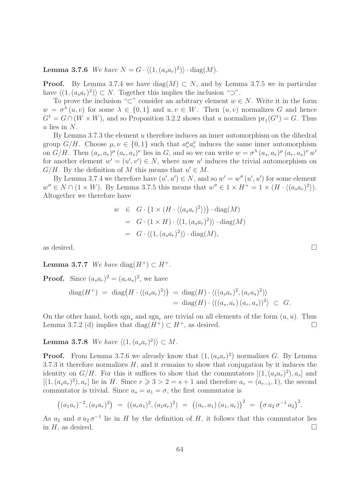**Lemma 3.7.6** We have  $N = G \cdot \langle (1, (a_s a_r)^2) \rangle \cdot diag(M)$ .

**Proof.** By Lemma 3.7.4 we have diag(M)  $\subset N$ , and by Lemma 3.7.5 we in particular have  $\langle (1, (a_s a_r)^2) \rangle \subset N$ . Together this implies the inclusion "⊃".

To prove the inclusion "⊂" consider an arbitrary element  $w \in N$ . Write it in the form  $w = \sigma^{\lambda}(u, v)$  for some  $\lambda \in \{0, 1\}$  and  $u, v \in W$ . Then  $(u, v)$  normalizes G and hence  $G<sup>1</sup> = G \cap (W \times W)$ , and so Proposition 3.2.2 shows that u normalizes  $pr_1(G<sup>1</sup>) = G$ . Thus  $u$  lies in  $N$ .

By Lemma 3.7.3 the element u therefore induces an inner automorphism on the dihedral group  $G/H$ . Choose  $\mu, \nu \in \{0,1\}$  such that  $a_s^{\mu} a_r^{\nu}$  induces the same inner automorphism on  $G/H$ . Then  $(a_s, a_r)^\mu (a_r, a_s)^\nu$  lies in G, and so we can write  $w = \sigma^{\lambda} (a_s, a_r)^\mu (a_r, a_s)^\nu w'$ for another element  $w' = (u', v') \in N$ , where now u' induces the trivial automorphism on  $G/H$ . By the definition of M this means that  $u' \in M$ .

By Lemma 3.7.4 we therefore have  $(u', u') \in N$ , and so  $w' = w''(u', u')$  for some element  $w'' \in N \cap (1 \times W)$ . By Lemma 3.7.5 this means that  $w'' \in 1 \times H^+ = 1 \times (H \cdot \langle (a_s a_r)^2 \rangle)$ . Altogether we therefore have

$$
w \in G \cdot (1 \times (H \cdot \langle (a_s a_r)^2 \rangle)) \cdot \text{diag}(M)
$$
  
=  $G \cdot (1 \times H) \cdot \langle (1, (a_s a_r)^2) \rangle \cdot \text{diag}(M)$   
=  $G \cdot \langle (1, (a_s a_r)^2) \rangle \cdot \text{diag}(M),$ 

as desired.  $\Box$ 

Lemma 3.7.7 We have diag( $H^+$ )  $\subset H^+$ .

**Proof.** Since  $(a_s a_r)^2 = (a_r a_s)^2$ , we have

$$
\begin{array}{rcl}\n\operatorname{diag}(H^+) &=& \operatorname{diag}\left(H \cdot \langle (a_s a_r)^2 \rangle \right) \\
&=& \operatorname{diag}(H) \cdot \langle ((a_s a_r)^2, (a_r a_s)^2) \rangle \\
&=& \operatorname{diag}(H) \cdot \langle ((a_s, a_r) (a_r, a_s))^2 \rangle \subset G.\n\end{array}
$$

On the other hand, both sgn, and sgn, are trivial on all elements of the form  $(u, u)$ . Thus Lemma 3.7.2 (d) implies that diag( $H^+$ ) ⊂  $H^+$ , as desired.

**Lemma 3.7.8** We have  $\langle (1, (a_s a_r)^2) \rangle \subset M$ .

**Proof.** From Lemma 3.7.6 we already know that  $(1, (a_s a_r)^2)$  normalizes G. By Lemma 3.7.3 it therefore normalizes  $H$ , and it remains to show that conjugation by it induces the identity on  $G/H$ . For this it suffices to show that the commutators  $[(1,(a_sa_r)^2),a_s]$  and  $[(1, (a<sub>s</sub>a<sub>r</sub>)<sup>2</sup>), a<sub>r</sub>]$  lie in H. Since  $r \ge 3 > 2 = s + 1$  and therefore  $a<sub>r</sub> = (a<sub>r-1</sub>, 1)$ , the second commutator is trivial. Since  $a_s = a_1 = \sigma$ , the first commutator is

$$
((a_1a_r)^{-2}, (a_1a_r)^2) = ((a_ra_1)^2, (a_1a_r)^2) = ((a_r, a_1) (a_1, a_r))^2 = (\sigma a_2 \sigma^{-1} a_2)^2.
$$

As  $a_2$  and  $\sigma a_2 \sigma^{-1}$  lie in H by the definition of H, it follows that this commutator lies in  $H$ , as desired.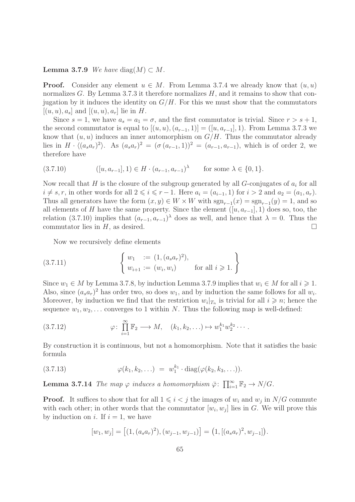**Lemma 3.7.9** We have diag $(M) \subset M$ .

**Proof.** Consider any element  $u \in M$ . From Lemma 3.7.4 we already know that  $(u, u)$ normalizes  $G$ . By Lemma 3.7.3 it therefore normalizes  $H$ , and it remains to show that conjugation by it induces the identity on  $G/H$ . For this we must show that the commutators  $[(u, u), a_s]$  and  $[(u, u), a_r]$  lie in H.

Since  $s = 1$ , we have  $a_s = a_1 = \sigma$ , and the first commutator is trivial. Since  $r > s + 1$ , the second commutator is equal to  $[(u, u), (a_{r-1}, 1)] = ([u, a_{r-1}], 1)$ . From Lemma 3.7.3 we know that  $(u, u)$  induces an inner automorphism on  $G/H$ . Thus the commutator already lies in  $H \cdot \langle (a_s a_r)^2 \rangle$ . As  $(a_s a_r)^2 = (\sigma (a_{r-1}, 1))^2 = (a_{r-1}, a_{r-1})$ , which is of order 2, we therefore have

$$
(3.7.10) \qquad ([u, a_{r-1}], 1) \in H \cdot (a_{r-1}, a_{r-1})^{\lambda} \qquad \text{for some } \lambda \in \{0, 1\}.
$$

Now recall that H is the closure of the subgroup generated by all  $G$ -conjugates of  $a_i$  for all  $i \neq s, r$ , in other words for all  $2 \leq i \leq r - 1$ . Here  $a_i = (a_{i-1}, 1)$  for  $i > 2$  and  $a_2 = (a_1, a_r)$ . Thus all generators have the form  $(x, y) \in W \times W$  with  $sgn_{r-1}(x) = sgn_{r-1}(y) = 1$ , and so all elements of H have the same property. Since the element  $([u, a_{r-1}], 1)$  does so, too, the relation (3.7.10) implies that  $(a_{r-1}, a_{r-1})^{\lambda}$  does as well, and hence that  $\lambda = 0$ . Thus the commutator lies in  $H$ , as desired.

Now we recursively define elements

(3.7.11) 
$$
\begin{cases} w_1 := (1, (a_s a_r)^2), \\ w_{i+1} := (w_i, w_i) \end{cases} \text{ for all } i \geq 1. \}
$$

Since  $w_1 \in M$  by Lemma 3.7.8, by induction Lemma 3.7.9 implies that  $w_i \in M$  for all  $i \geq 1$ . Also, since  $(a_s a_r)^2$  has order two, so does  $w_1$ , and by induction the same follows for all  $w_i$ . Moreover, by induction we find that the restriction  $w_i|_{T_n}$  is trivial for all  $i \geq n$ ; hence the sequence  $w_1, w_2, \ldots$  converges to 1 within N. Thus the following map is well-defined:

(3.7.12) 
$$
\varphi: \prod_{i=1}^{\infty} \mathbb{F}_2 \longrightarrow M, \quad (k_1, k_2, \ldots) \mapsto w_1^{k_1} w_2^{k_2} \cdots
$$

By construction it is continuous, but not a homomorphism. Note that it satisfies the basic formula

(3.7.13) 
$$
\varphi(k_1, k_2, \ldots) = w_1^{k_1} \cdot \text{diag}(\varphi(k_2, k_3, \ldots)).
$$

**Lemma 3.7.14** The map  $\varphi$  induces a homomorphism  $\bar{\varphi}$ :  $\prod_{i=1}^{\infty} \mathbb{F}_2 \to N/G$ .

**Proof.** It suffices to show that for all  $1 \leq i < j$  the images of  $w_i$  and  $w_j$  in  $N/G$  commute with each other; in other words that the commutator  $[w_i, w_j]$  lies in G. We will prove this by induction on i. If  $i = 1$ , we have

$$
[w_1, w_j] = [(1, (a_s a_r)^2), (w_{j-1}, w_{j-1})] = (1, [(a_s a_r)^2, w_{j-1}]).
$$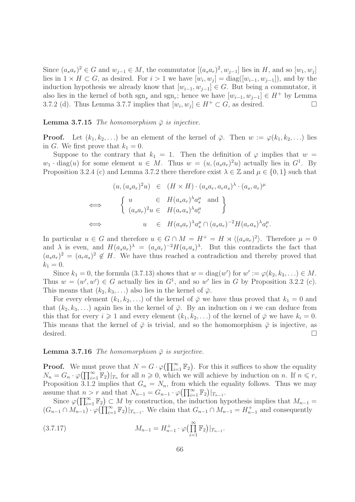Since  $(a_s a_r)^2 \in G$  and  $w_{j-1} \in M$ , the commutator  $[(a_s a_r)^2, w_{j-1}]$  lies in H, and so  $[w_1, w_j]$ lies in  $1 \times H \subset G$ , as desired. For  $i > 1$  we have  $[w_i, w_j] = \text{diag}([w_{i-1}, w_{j-1}])$ , and by the induction hypothesis we already know that  $[w_{i-1}, w_{i-1}] \in G$ . But being a commutator, it also lies in the kernel of both  $sgn_s$  and  $sgn_r$ ; hence we have  $[w_{i-1}, w_{j-1}] \in H^+$  by Lemma 3.7.2 (d). Thus Lemma 3.7.7 implies that  $[w_i, w_j] \in H^+ \subset G$ , as desired.

#### **Lemma 3.7.15** The homomorphism  $\bar{\varphi}$  is injective.

**Proof.** Let  $(k_1, k_2, \ldots)$  be an element of the kernel of  $\bar{\varphi}$ . Then  $w := \varphi(k_1, k_2, \ldots)$  lies in G. We first prove that  $k_1 = 0$ .

Suppose to the contrary that  $k_1 = 1$ . Then the definition of  $\varphi$  implies that  $w =$  $w_1 \cdot \text{diag}(u)$  for some element  $u \in M$ . Thus  $w = (u, (a_s a_r)^2 u)$  actually lies in  $G^1$ . By Proposition 3.2.4 (c) and Lemma 3.7.2 there therefore exist  $\lambda \in \mathbb{Z}$  and  $\mu \in \{0,1\}$  such that

$$
(u, (a_s a_r)^2 u) \in (H \times H) \cdot (a_s a_r, a_r a_s)^{\lambda} \cdot (a_s, a_r)^{\mu}
$$
  
\n
$$
\iff \begin{cases} u \in H(a_s a_r)^{\lambda} a_s^{\mu} \text{ and} \\ (a_s a_r)^2 u \in H(a_r a_s)^{\lambda} a_r^{\mu} \end{cases}
$$
  
\n
$$
\iff u \in H(a_s a_r)^{\lambda} a_s^{\mu} \cap (a_s a_r)^{-2} H(a_r a_s)^{\lambda} a_r^{\mu}.
$$

In particular  $u \in G$  and therefore  $u \in G \cap M = H^+ = H \rtimes \langle (a_s a_r)^2 \rangle$ . Therefore  $\mu = 0$ and  $\lambda$  is even, and  $H(a_s a_r)^{\lambda} = (a_s a_r)^{-2} H(a_r a_s)^{\lambda}$ . But this contradicts the fact that  $(a_s a_r)^2 = (a_r a_s)^2 \notin H$ . We have thus reached a contradiction and thereby proved that  $k_1 = 0$ .

Since  $k_1 = 0$ , the formula (3.7.13) shows that  $w = \text{diag}(w')$  for  $w' := \varphi(k_2, k_3, \ldots) \in M$ . Thus  $w = (w', w') \in G$  actually lies in  $G<sup>1</sup>$ , and so w' lies in G by Proposition 3.2.2 (c). This means that  $(k_2, k_3, ...)$  also lies in the kernel of  $\overline{\varphi}$ .

For every element  $(k_1, k_2, \ldots)$  of the kernel of  $\overline{\varphi}$  we have thus proved that  $k_1 = 0$  and that  $(k_2, k_3, \ldots)$  again lies in the kernel of  $\overline{\varphi}$ . By an induction on i we can deduce from this that for every  $i \geq 1$  and every element  $(k_1, k_2, \ldots)$  of the kernel of  $\overline{\varphi}$  we have  $k_i = 0$ . This means that the kernel of  $\bar{\varphi}$  is trivial, and so the homomorphism  $\bar{\varphi}$  is injective, as desired.  $\Box$ 

### **Lemma 3.7.16** The homomorphism  $\bar{\varphi}$  is surjective.

**Proof.** We must prove that  $N = G \cdot \varphi(\prod_{i=1}^{\infty} \mathbb{F}_2)$ . For this it suffices to show the equality  $N_n = G_n \cdot \varphi(\prod_{i=1}^{\infty} \mathbb{F}_2)|_{T_n}$  for all  $n \geqslant 0$ , which we will achieve by induction on n. If  $n \leqslant r$ , Proposition 3.1.2 implies that  $G_n = N_n$ , from which the equality follows. Thus we may assume that  $n > r$  and that  $N_{n-1} = G_{n-1} \cdot \varphi(\prod_{i=1}^{\infty} \mathbb{F}_2)|_{T_{n-1}}$ .

Since  $\varphi(\prod_{i=1}^{\infty} \mathbb{F}_2) \subset M$  by construction, the induction hypothesis implies that  $M_{n-1} =$  $(G_{n-1} \cap M_{n-1}) \cdot \varphi(\prod_{i=1}^{\infty} \mathbb{F}_2)|_{T_{n-1}}$ . We claim that  $G_{n-1} \cap M_{n-1} = H_{n-1}^+$  and consequently

(3.7.17) 
$$
M_{n-1} = H_{n-1}^+ \cdot \varphi\left(\prod_{i=1}^\infty \mathbb{F}_2\right)|_{T_{n-1}}.
$$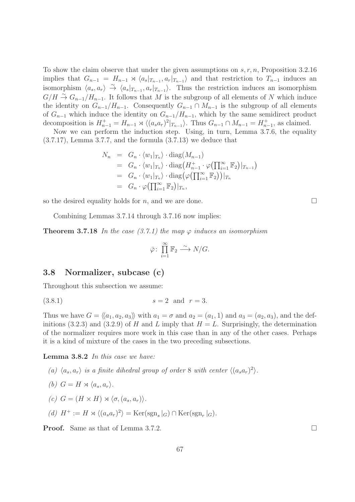To show the claim observe that under the given assumptions on  $s, r, n$ , Proposition 3.2.16 implies that  $G_{n-1} = H_{n-1} \rtimes \langle a_s |_{T_{n-1}}, a_r |_{T_{n-1}} \rangle$  and that restriction to  $T_{n-1}$  induces an isomorphism  $\langle a_s, a_r \rangle \stackrel{\sim}{\rightarrow} \langle a_s |_{T_{n-1}}, a_r |_{T_{n-1}} \rangle$ . Thus the restriction induces an isomorphism  $G/H \stackrel{\sim}{\to} G_{n-1}/H_{n-1}$ . It follows that M is the subgroup of all elements of N which induce the identity on  $G_{n-1}/H_{n-1}$ . Consequently  $G_{n-1} \cap M_{n-1}$  is the subgroup of all elements of  $G_{n-1}$  which induce the identity on  $G_{n-1}/H_{n-1}$ , which by the same semidirect product decomposition is  $H_{n-1}^+ = H_{n-1} \rtimes \langle (a_s a_r)^2 |_{T_{n-1}} \rangle$ . Thus  $G_{n-1} \cap M_{n-1} = H_{n-1}^+$ , as claimed.

Now we can perform the induction step. Using, in turn, Lemma 3.7.6, the equality (3.7.17), Lemma 3.7.7, and the formula (3.7.13) we deduce that

$$
N_n = G_n \cdot \langle w_1 |_{T_n} \rangle \cdot \text{diag}(M_{n-1})
$$
  
\n
$$
= G_n \cdot \langle w_1 |_{T_n} \rangle \cdot \text{diag}(H_{n-1}^+ \cdot \varphi(\prod_{i=1}^\infty \mathbb{F}_2) |_{T_{n-1}})
$$
  
\n
$$
= G_n \cdot \langle w_1 |_{T_n} \rangle \cdot \text{diag}(\varphi(\prod_{i=1}^\infty \mathbb{F}_2)) |_{T_n}
$$
  
\n
$$
= G_n \cdot \varphi(\prod_{i=1}^\infty \mathbb{F}_2) |_{T_n},
$$

so the desired equality holds for n, and we are done.

Combining Lemmas 3.7.14 through 3.7.16 now implies:

**Theorem 3.7.18** In the case (3.7.1) the map  $\varphi$  induces an isomorphism

$$
\bar{\varphi} \colon \prod_{i=1}^{\infty} \mathbb{F}_2 \xrightarrow{\sim} N/G.
$$

#### 3.8 Normalizer, subcase (c)

Throughout this subsection we assume:

$$
(3.8.1) \t\t s = 2 \t and \t r = 3.
$$

Thus we have  $G = \langle \langle a_1, a_2, a_3 \rangle \rangle$  with  $a_1 = \sigma$  and  $a_2 = (a_1, 1)$  and  $a_3 = (a_2, a_3)$ , and the definitions (3.2.3) and (3.2.9) of H and L imply that  $H = L$ . Surprisingly, the determination of the normalizer requires more work in this case than in any of the other cases. Perhaps it is a kind of mixture of the cases in the two preceding subsections.

Lemma 3.8.2 In this case we have:

(a)  $\langle a_s, a_r \rangle$  is a finite dihedral group of order 8 with center  $\langle (a_s a_r)^2 \rangle$ . (b)  $G = H \rtimes \langle a_s, a_r \rangle$ . (c)  $G = (H \times H) \rtimes \langle \sigma, (a_s, a_r) \rangle$ .

(d) 
$$
H^+ := H \rtimes \langle (a_s a_r)^2 \rangle = \text{Ker}(\text{sgn}_s|_G) \cap \text{Ker}(\text{sgn}_r|_G).
$$

**Proof.** Same as that of Lemma 3.7.2. □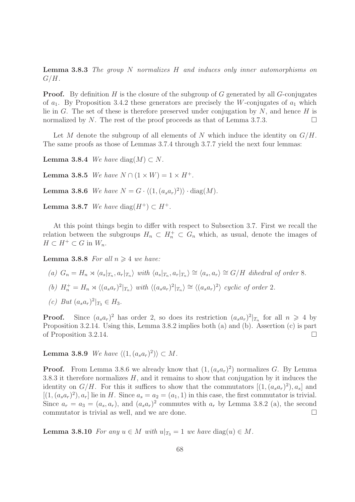Lemma 3.8.3 The group N normalizes H and induces only inner automorphisms on  $G/H$ .

**Proof.** By definition  $H$  is the closure of the subgroup of  $G$  generated by all  $G$ -conjugates of  $a_1$ . By Proposition 3.4.2 these generators are precisely the W-conjugates of  $a_1$  which lie in G. The set of these is therefore preserved under conjugation by  $N$ , and hence H is normalized by N. The rest of the proof proceeds as that of Lemma 3.7.3.

Let M denote the subgroup of all elements of N which induce the identity on  $G/H$ . The same proofs as those of Lemmas 3.7.4 through 3.7.7 yield the next four lemmas:

Lemma 3.8.4 We have diag $(M) \subset N$ .

**Lemma 3.8.5** We have  $N \cap (1 \times W) = 1 \times H^+$ .

**Lemma 3.8.6** We have  $N = G \cdot \langle (1, (a_s a_r)^2) \rangle \cdot diag(M)$ .

Lemma 3.8.7 We have diag( $H^+$ )  $\subset H^+$ .

At this point things begin to differ with respect to Subsection 3.7. First we recall the relation between the subgroups  $H_n \subset H_n^+ \subset G_n$  which, as usual, denote the images of  $H \subset H^+ \subset G$  in  $W_n$ .

**Lemma 3.8.8** For all  $n \geq 4$  we have:

(a) 
$$
G_n = H_n \rtimes \langle a_s |_{T_n}, a_r |_{T_n} \rangle
$$
 with  $\langle a_s |_{T_n}, a_r |_{T_n} \rangle \cong \langle a_s, a_r \rangle \cong G/H$  dihedral of order 8.

- (b)  $H_n^+ = H_n \rtimes \langle (a_s a_r)^2 |_{T_n} \rangle$  with  $\langle (a_s a_r)^2 |_{T_n} \rangle \cong \langle (a_s a_r)^2 \rangle$  cyclic of order 2.
- (c) But  $(a_s a_r)^2|_{T_3} \in H_3$ .

**Proof.** Since  $(a_s a_r)^2$  has order 2, so does its restriction  $(a_s a_r)^2|_{T_n}$  for all  $n \geq 4$  by Proposition 3.2.14. Using this, Lemma 3.8.2 implies both (a) and (b). Assertion (c) is part of Proposition 3.2.14.

**Lemma 3.8.9** We have  $\langle (1, (a_s a_r)^2) \rangle \subset M$ .

**Proof.** From Lemma 3.8.6 we already know that  $(1, (a_s a_r)^2)$  normalizes G. By Lemma 3.8.3 it therefore normalizes  $H$ , and it remains to show that conjugation by it induces the identity on  $G/H$ . For this it suffices to show that the commutators  $[(1,(a_sa_r)^2),a_s]$  and  $[(1, (a<sub>s</sub>a<sub>r</sub>)<sup>2</sup>), a<sub>r</sub>]$  lie in H. Since  $a<sub>s</sub> = a<sub>2</sub> = (a<sub>1</sub>, 1)$  in this case, the first commutator is trivial. Since  $a_r = a_3 = (a_s, a_r)$ , and  $(a_s a_r)^2$  commutes with  $a_r$  by Lemma 3.8.2 (a), the second commutator is trivial as well, and we are done.

**Lemma 3.8.10** For any  $u \in M$  with  $u|_{T_3} = 1$  we have  $diag(u) \in M$ .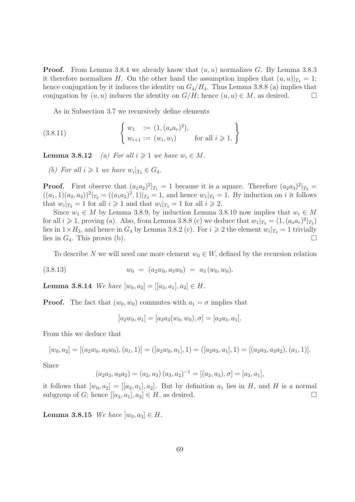**Proof.** From Lemma 3.8.4 we already know that  $(u, u)$  normalizes G. By Lemma 3.8.3 it therefore normalizes H. On the other hand the assumption implies that  $(u, u)|_{T_4} = 1$ ; hence conjugation by it induces the identity on  $G_4/H_4$ . Thus Lemma 3.8.8 (a) implies that conjugation by  $(u, u)$  induces the identity on  $G/H$ ; hence  $(u, u) \in M$ , as desired.

As in Subsection 3.7 we recursively define elements

(3.8.11) 
$$
\begin{cases} w_1 := (1, (a_s a_r)^2), \\ w_{i+1} := (w_i, w_i) \end{cases} \text{ for all } i \geq 1. \}
$$

**Lemma 3.8.12** (a) For all  $i \geq 1$  we have  $w_i \in M$ .

(b) For all  $i \geqslant 1$  we have  $w_i|_{T_4} \in G_4$ .

**Proof.** First observe that  $(a_1a_2)^2|_{T_1} = 1$  because it is a square. Therefore  $(a_2a_3)^2|_{T_2} =$  $((a_1, 1)(a_2, a_3))^2|_{T_2} = ((a_1a_2)^2, 1)|_{T_2} = 1$ , and hence  $w_1|_{T_3} = 1$ . By induction on *i* it follows that  $w_i|_{T_3} = 1$  for all  $i \geq 1$  and that  $w_i|_{T_4} = 1$  for all  $i \geq 2$ .

Since  $w_1 \in M$  by Lemma 3.8.9, by induction Lemma 3.8.10 now implies that  $w_i \in M$ for all  $i \geqslant 1$ , proving (a). Also, from Lemma 3.8.8 (c) we deduce that  $w_1|_{T_4} = (1, (a_s a_r)^2|_{T_3})$ lies in  $1 \times H_3$ , and hence in  $G_4$  by Lemma 3.8.2 (c). For  $i \geq 2$  the element  $w_i|_{T_4} = 1$  trivially lies in  $G_4$ . This proves (b).

To describe N we will need one more element  $w_0 \in W$ , defined by the recursion relation

$$
(3.8.13) \t w_0 = (a_2w_0, a_3w_0) = a_3(w_0, w_0).
$$

**Lemma 3.8.14** We have  $[w_0, a_2] = [[a_3, a_1], a_2] \in H$ .

**Proof.** The fact that  $(w_0, w_0)$  commutes with  $a_1 = \sigma$  implies that

$$
[a_2w_0, a_1] = [a_2a_3(w_0, w_0), \sigma] = [a_2a_3, a_1].
$$

From this we deduce that

$$
[w_0, a_2] = [(a_2w_0, a_3w_0), (a_1, 1)] = ([a_2w_0, a_1], 1) = ([a_2a_3, a_1], 1) = [(a_2a_3, a_3a_2), (a_1, 1)].
$$

Since

$$
(a_2a_3, a_3a_2) = (a_2, a_3) (a_3, a_2)^{-1} = [(a_2, a_3), \sigma] = [a_3, a_1],
$$

it follows that  $[w_0, a_2] = [[a_3, a_1], a_2]$ . But by definition  $a_1$  lies in H, and H is a normal subgroup of G; hence  $[[a_3, a_1], a_2] \in H$ , as desired.

**Lemma 3.8.15** We have  $[w_0, a_3] \in H$ .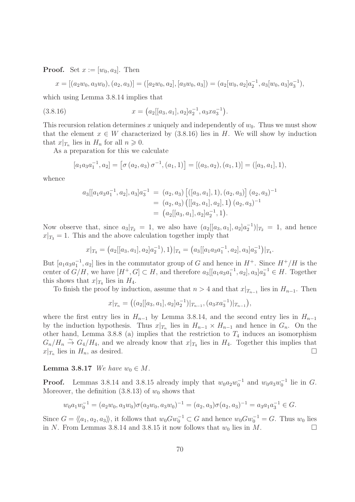**Proof.** Set  $x := [w_0, a_3]$ . Then

$$
x = [(a_2w_0, a_3w_0), (a_2, a_3)] = ([a_2w_0, a_2], [a_3w_0, a_3]) = (a_2[w_0, a_2]a_2^{-1}, a_3[w_0, a_3]a_3^{-1}),
$$

which using Lemma 3.8.14 implies that

(3.8.16) 
$$
x = (a_2[[a_3, a_1], a_2]a_2^{-1}, a_3xa_3^{-1}).
$$

This recursion relation determines x uniquely and independently of  $w_0$ . Thus we must show that the element  $x \in W$  characterized by (3.8.16) lies in H. We will show by induction that  $x|_{T_n}$  lies in  $H_n$  for all  $n \geqslant 0$ .

As a preparation for this we calculate

$$
[a_1a_3a_1^{-1}, a_2] = [\sigma(a_2, a_3)\sigma^{-1}, (a_1, 1)] = [(a_3, a_2), (a_1, 1)] = ([a_3, a_1], 1),
$$

whence

$$
a_3[[a_1a_3a_1^{-1}, a_2], a_3]a_3^{-1} = (a_2, a_3) [([a_3, a_1], 1), (a_2, a_3)] (a_2, a_3)^{-1}
$$
  
=  $(a_2, a_3) ([[a_3, a_1], a_2], 1) (a_2, a_3)^{-1}$   
=  $(a_2[[a_3, a_1], a_2]a_2^{-1}, 1).$ 

Now observe that, since  $a_3|_{T_2} = 1$ , we also have  $(a_2[[a_3, a_1], a_2]a_2^{-1})|_{T_2} = 1$ , and hence  $x|_{T_3} = 1$ . This and the above calculation together imply that

$$
x|_{T_4} = (a_2[[a_3, a_1], a_2]a_2^{-1}), 1)|_{T_4} = (a_3[[a_1a_3a_1^{-1}, a_2], a_3]a_3^{-1})|_{T_4}.
$$

But  $[a_1a_3a_1^{-1}, a_2]$  lies in the commutator group of G and hence in  $H^+$ . Since  $H^+/H$  is the center of  $G/H$ , we have  $[H^+, G] \subset H$ , and therefore  $a_3[[a_1a_3a_1^{-1}, a_2], a_3]a_3^{-1} \in H$ . Together this shows that  $x|_{T_4}$  lies in  $H_4$ .

To finish the proof by induction, assume that  $n > 4$  and that  $x|_{T_{n-1}}$  lies in  $H_{n-1}$ . Then

$$
x|_{T_n} = ((a_2[[a_3, a_1], a_2]a_2^{-1})|_{T_{n-1}}, (a_3xa_3^{-1})|_{T_{n-1}}),
$$

where the first entry lies in  $H_{n-1}$  by Lemma 3.8.14, and the second entry lies in  $H_{n-1}$ by the induction hypothesis. Thus  $x|_{T_n}$  lies in  $H_{n-1} \times H_{n-1}$  and hence in  $G_n$ . On the other hand, Lemma 3.8.8 (a) implies that the restriction to  $T_4$  induces an isomorphism  $G_n/H_n \stackrel{\sim}{\to} G_4/H_4$ , and we already know that  $x|_{T_4}$  lies in  $H_4$ . Together this implies that  $x|_{T_n}$  lies in  $H_n$ , as desired.

#### Lemma 3.8.17 We have  $w_0 \in M$ .

**Proof.** Lemmas 3.8.14 and 3.8.15 already imply that  $w_0 a_2 w_0^{-1}$  and  $w_0 a_3 w_0^{-1}$  lie in G. Moreover, the definition  $(3.8.13)$  of  $w_0$  shows that

$$
w_0 a_1 w_0^{-1} = (a_2 w_0, a_3 w_0) \sigma (a_2 w_0, a_3 w_0)^{-1} = (a_2, a_3) \sigma (a_2, a_3)^{-1} = a_3 a_1 a_3^{-1} \in G.
$$

Since  $G = \langle\langle a_1, a_2, a_3 \rangle\rangle$ , it follows that  $w_0 G w_0^{-1} \subset G$  and hence  $w_0 G w_0^{-1} = G$ . Thus  $w_0$  lies in N. From Lemmas 3.8.14 and 3.8.15 it now follows that  $w_0$  lies in M.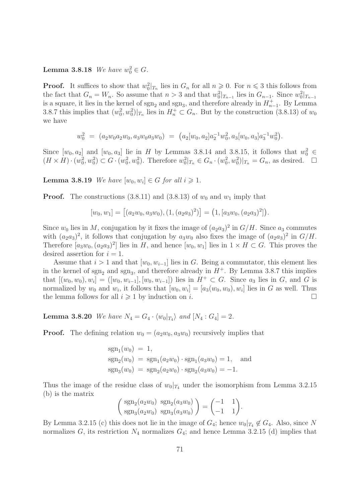# **Lemma 3.8.18** We have  $w_0^2 \in G$ .

**Proof.** It suffices to show that  $w_0^2|_{T_n}$  lies in  $G_n$  for all  $n \geq 0$ . For  $n \leq 3$  this follows from the fact that  $G_n = W_n$ . So assume that  $n > 3$  and that  $w_0^2|_{T_{n-1}}$  lies in  $G_{n-1}$ . Since  $w_0^2|_{T_{n-1}}$ is a square, it lies in the kernel of  $sgn_2$  and  $sgn_3$ , and therefore already in  $H_{n-1}^+$ . By Lemma 3.8.7 this implies that  $(w_0^2, w_0^2)|_{T_n}$  lies in  $H_n^+ \subset G_n$ . But by the construction (3.8.13) of  $w_0$ we have

$$
w_0^2 = (a_2w_0a_2w_0, a_3w_0a_3w_0) = (a_2[w_0, a_2]a_2^{-1}w_0^2, a_3[w_0, a_3]a_3^{-1}w_0^2).
$$

Since  $[w_0, a_2]$  and  $[w_0, a_3]$  lie in H by Lemmas 3.8.14 and 3.8.15, it follows that  $w_0^2 \in$  $(H \times H) \cdot (w_0^2, w_0^2) \subset G \cdot (w_0^2, w_0^2)$ . Therefore  $w_0^2 |_{T_n} \in G_n \cdot (w_0^2, w_0^2) |_{T_n} = G_n$ , as desired.  $\Box$ 

**Lemma 3.8.19** We have  $[w_0, w_i] \in G$  for all  $i \geq 1$ .

**Proof.** The constructions (3.8.11) and (3.8.13) of  $w_0$  and  $w_1$  imply that

$$
[w_0, w_1] = [(a_2w_0, a_3w_0), (1, (a_2a_3)^2)] = (1, [a_3w_0, (a_2a_3)^2]).
$$

Since  $w_0$  lies in M, conjugation by it fixes the image of  $(a_2a_3)^2$  in  $G/H$ . Since  $a_3$  commutes with  $(a_2a_3)^2$ , it follows that conjugation by  $a_3w_0$  also fixes the image of  $(a_2a_3)^2$  in  $G/H$ . Therefore  $[a_3w_0, (a_2a_3)^2]$  lies in H, and hence  $[w_0, w_1]$  lies in  $1 \times H \subset G$ . This proves the desired assertion for  $i = 1$ .

Assume that  $i > 1$  and that  $[w_0, w_{i-1}]$  lies in G. Being a commutator, this element lies in the kernel of  $sgn_2$  and  $sgn_3$ , and therefore already in  $H^+$ . By Lemma 3.8.7 this implies that  $[(w_0, w_0), w_i] = ([w_0, w_{i-1}], [w_0, w_{i-1}])$  lies in  $H^+ \subset G$ . Since  $a_3$  lies in  $G$ , and  $G$  is normalized by  $w_0$  and  $w_i$ , it follows that  $[w_0, w_i] = [a_3(w_0, w_0), w_i]$  lies in G as well. Thus the lemma follows for all  $i \geqslant 1$  by induction on i.

**Lemma 3.8.20** We have  $N_4 = G_4 \cdot \langle w_0 |_{T_4} \rangle$  and  $[N_4 : G_4] = 2$ .

**Proof.** The defining relation  $w_0 = (a_2w_0, a_3w_0)$  recursively implies that

$$
sgn_1(w_0) = 1,
$$
  
\n
$$
sgn_2(w_0) = sgn_1(a_2w_0) \cdot sgn_1(a_3w_0) = 1,
$$
 and  
\n
$$
sgn_3(w_0) = sgn_2(a_2w_0) \cdot sgn_2(a_3w_0) = -1.
$$

Thus the image of the residue class of  $w_0|_{T_4}$  under the isomorphism from Lemma 3.2.15 (b) is the matrix

$$
\begin{pmatrix} \text{sgn}_2(a_2w_0) & \text{sgn}_2(a_3w_0) \\ \text{sgn}_3(a_2w_0) & \text{sgn}_3(a_3w_0) \end{pmatrix} = \begin{pmatrix} -1 & 1 \\ -1 & 1 \end{pmatrix}.
$$

By Lemma 3.2.15 (c) this does not lie in the image of  $G_4$ ; hence  $w_0|_{T_4} \notin G_4$ . Also, since N normalizes  $G$ , its restriction  $N_4$  normalizes  $G_4$ ; and hence Lemma 3.2.15 (d) implies that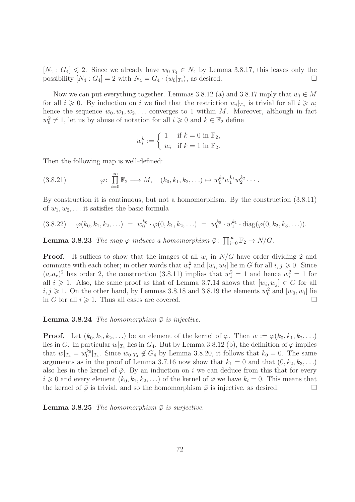$[N_4: G_4] \leq 2$ . Since we already have  $w_0|_{T_4} \in N_4$  by Lemma 3.8.17, this leaves only the possibility  $[N_4:G_4]=2$  with  $N_4=G_4\cdot \langle w_0|_{T_4}\rangle$ , as desired.

Now we can put everything together. Lemmas 3.8.12 (a) and 3.8.17 imply that  $w_i \in M$ for all  $i \geqslant 0$ . By induction on i we find that the restriction  $w_i|_{T_n}$  is trivial for all  $i \geqslant n$ ; hence the sequence  $w_0, w_1, w_2, \ldots$  converges to 1 within M. Moreover, although in fact  $w_0^2 \neq 1$ , let us by abuse of notation for all  $i \geq 0$  and  $k \in \mathbb{F}_2$  define

$$
w_i^k := \begin{cases} 1 & \text{if } k = 0 \text{ in } \mathbb{F}_2, \\ w_i & \text{if } k = 1 \text{ in } \mathbb{F}_2. \end{cases}
$$

Then the following map is well-defined:

$$
(3.8.21) \qquad \varphi: \prod_{i=0}^{\infty} \mathbb{F}_2 \longrightarrow M, \quad (k_0, k_1, k_2, \ldots) \mapsto w_0^{k_0} w_1^{k_1} w_2^{k_2} \cdots
$$

By construction it is continuous, but not a homomorphism. By the construction (3.8.11) of  $w_1, w_2, \ldots$  it satisfies the basic formula

$$
(3.8.22) \quad \varphi(k_0, k_1, k_2, \ldots) = w_0^{k_0} \cdot \varphi(0, k_1, k_2, \ldots) = w_0^{k_0} \cdot w_1^{k_1} \cdot \text{diag}(\varphi(0, k_2, k_3, \ldots)).
$$

**Lemma 3.8.23** The map  $\varphi$  induces a homomorphism  $\bar{\varphi}$ :  $\prod_{i=0}^{\infty} \mathbb{F}_2 \to N/G$ .

**Proof.** It suffices to show that the images of all  $w_i$  in  $N/G$  have order dividing 2 and commute with each other; in other words that  $w_i^2$  and  $[w_i, w_j]$  lie in G for all  $i, j \geqslant 0$ . Since  $(a_s a_r)^2$  has order 2, the construction (3.8.11) implies that  $w_1^2 = 1$  and hence  $w_i^2 = 1$  for all  $i \geqslant 1$ . Also, the same proof as that of Lemma 3.7.14 shows that  $[w_i, w_j] \in G$  for all  $i, j \geqslant 1$ . On the other hand, by Lemmas 3.8.18 and 3.8.19 the elements  $w_0^2$  and  $[w_0, w_i]$  lie in G for all  $i \geqslant 1$ . Thus all cases are covered.

**Lemma 3.8.24** The homomorphism  $\bar{\varphi}$  is injective.

**Proof.** Let  $(k_0, k_1, k_2, \ldots)$  be an element of the kernel of  $\overline{\varphi}$ . Then  $w := \varphi(k_0, k_1, k_2, \ldots)$ lies in G. In particular  $w|_{T_4}$  lies in  $G_4$ . But by Lemma 3.8.12 (b), the definition of  $\varphi$  implies that  $w|_{T_4} = w_0^{k_0}|_{T_4}$ . Since  $w_0|_{T_4} \notin G_4$  by Lemma 3.8.20, it follows that  $k_0 = 0$ . The same arguments as in the proof of Lemma 3.7.16 now show that  $k_1 = 0$  and that  $(0, k_2, k_3, ...)$ also lies in the kernel of  $\bar{\varphi}$ . By an induction on i we can deduce from this that for every  $i \geq 0$  and every element  $(k_0, k_1, k_2, ...)$  of the kernel of  $\overline{\varphi}$  we have  $k_i = 0$ . This means that the kernel of  $\bar{\varphi}$  is trivial, and so the homomorphism  $\bar{\varphi}$  is injective, as desired.

**Lemma 3.8.25** The homomorphism  $\bar{\varphi}$  is surjective.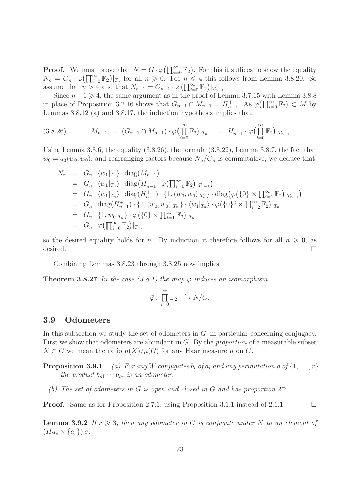**Proof.** We must prove that  $N = G \cdot \varphi(\prod_{i=0}^{\infty} \mathbb{F}_2)$ . For this it suffices to show the equality  $N_n = G_n \cdot \varphi(\prod_{i=0}^{\infty} \mathbb{F}_2)|_{T_n}$  for all  $n \geqslant 0$ . For  $n \leqslant 4$  this follows from Lemma 3.8.20. So assume that  $n > 4$  and that  $N_{n-1} = G_{n-1} \cdot \varphi(\prod_{i=0}^{\infty} \mathbb{F}_2)|_{T_{n-1}}$ .

Since  $n-1 \geq 4$ , the same argument as in the proof of Lemma 3.7.15 with Lemma 3.8.8 in place of Proposition 3.2.16 shows that  $G_{n-1} \cap M_{n-1} = H_{n-1}^+$ . As  $\varphi(\prod_{i=0}^{\infty} \mathbb{F}_2) \subset M$  by Lemmas 3.8.12 (a) and 3.8.17, the induction hypothesis implies that

$$
(3.8.26) \t\t M_{n-1} = (G_{n-1} \cap M_{n-1}) \cdot \varphi\left(\prod_{i=0}^{\infty} \mathbb{F}_2\right)|_{T_{n-1}} = H_{n-1}^+ \cdot \varphi\left(\prod_{i=0}^{\infty} \mathbb{F}_2\right)|_{T_{n-1}}.
$$

Using Lemma 3.8.6, the equality (3.8.26), the formula (3.8.22), Lemma 3.8.7, the fact that  $w_0 = a_3(w_0, w_0)$ , and rearranging factors because  $N_n/G_n$  is commutative, we deduce that

$$
N_n = G_n \cdot \langle w_1 |_{T_n} \rangle \cdot \text{diag}(M_{n-1})
$$
  
\n
$$
= G_n \cdot \langle w_1 |_{T_n} \rangle \cdot \text{diag}(H_{n-1}^+ \cdot \varphi(\prod_{i=0}^{\infty} \mathbb{F}_2) |_{T_{n-1}})
$$
  
\n
$$
= G_n \cdot \langle w_1 |_{T_n} \rangle \cdot \text{diag}(H_{n-1}^+) \cdot \{1, (w_0, w_0) |_{T_n}\} \cdot \text{diag}(\varphi(\{0\} \times \prod_{i=1}^{\infty} \mathbb{F}_2) |_{T_{n-1}})
$$
  
\n
$$
= G_n \cdot \text{diag}(H_{n-1}^+) \cdot \{1, (w_0, w_0) |_{T_n}\} \cdot \langle w_1 |_{T_n} \rangle \cdot \varphi(\{0\}^2 \times \prod_{i=2}^{\infty} \mathbb{F}_2) |_{T_n}
$$
  
\n
$$
= G_n \cdot \{1, w_0 |_{T_n}\} \cdot \varphi(\{0\} \times \prod_{i=1}^{\infty} \mathbb{F}_2) |_{T_n}
$$
  
\n
$$
= G_n \cdot \varphi(\prod_{i=0}^{\infty} \mathbb{F}_2) |_{T_n},
$$

so the desired equality holds for n. By induction it therefore follows for all  $n \geq 0$ , as desired.  $\Box$ 

Combining Lemmas 3.8.23 through 3.8.25 now implies:

**Theorem 3.8.27** In the case (3.8.1) the map  $\varphi$  induces an isomorphism

$$
\bar{\varphi}\colon \prod_{i=0}^{\infty} \mathbb{F}_2 \stackrel{\sim}{\longrightarrow} N/G.
$$

## 3.9 Odometers

In this subsection we study the set of odometers in  $G$ , in particular concerning conjugacy. First we show that odometers are abundant in G. By the proportion of a measurable subset  $X \subset G$  we mean the ratio  $\mu(X)/\mu(G)$  for any Haar measure  $\mu$  on G.

**Proposition 3.9.1** (a) For any W-conjugates  $b_i$  of  $a_i$  and any permutation  $\rho$  of  $\{1, \ldots, r\}$ the product  $b_{\rho 1} \cdots b_{\rho r}$  is an odometer.

(b) The set of odometers in G is open and closed in G and has proportion  $2^{-r}$ .

**Proof.** Same as for Proposition 2.7.1, using Proposition 3.1.1 instead of 2.1.1.  $\Box$ 

**Lemma 3.9.2** If  $r \geq 3$ , then any odometer in G is conjugate under N to an element of  $(Ha_s \times \{a_r\})\sigma.$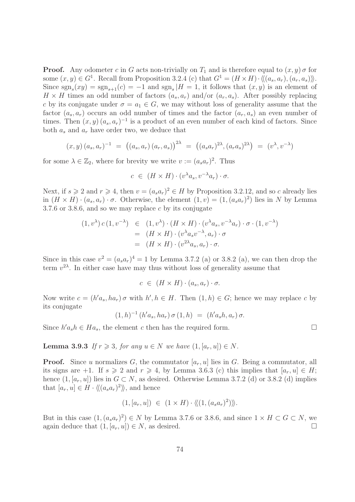**Proof.** Any odometer c in G acts non-trivially on  $T_1$  and is therefore equal to  $(x, y)$  of for some  $(x, y) \in G^1$ . Recall from Proposition 3.2.4 (c) that  $G^1 = (H \times H) \cdot \langle\langle (a_s, a_r), (a_r, a_s) \rangle\rangle$ . Since  $sgn_s(xy) = sgn_{s+1}(c) = -1$  and  $sgn_s$  |H = 1, it follows that  $(x, y)$  is an element of  $H \times H$  times an odd number of factors  $(a_s, a_r)$  and/or  $(a_r, a_s)$ . After possibly replacing c by its conjugate under  $\sigma = a_1 \in G$ , we may without loss of generality assume that the factor  $(a_s, a_r)$  occurs an odd number of times and the factor  $(a_r, a_s)$  an even number of times. Then  $(x, y)$   $(a_s, a_r)^{-1}$  is a product of an even number of each kind of factors. Since both  $a_s$  and  $a_r$  have order two, we deduce that

$$
(x, y) (a_s, a_r)^{-1} = ((a_s, a_r) (a_r, a_s))^{2\lambda} = ((a_s a_r)^{2\lambda}, (a_r a_s)^{2\lambda}) = (v^{\lambda}, v^{-\lambda})
$$

for some  $\lambda \in \mathbb{Z}_2$ , where for brevity we write  $v := (a_s a_r)^2$ . Thus

$$
c \in (H \times H) \cdot (v^{\lambda} a_s, v^{-\lambda} a_r) \cdot \sigma.
$$

Next, if  $s \geqslant 2$  and  $r \geqslant 4$ , then  $v = (a_s a_r)^2 \in H$  by Proposition 3.2.12, and so c already lies in  $(H \times H) \cdot (a_s, a_r) \cdot \sigma$ . Otherwise, the element  $(1, v) = (1, (a_s a_r)^2)$  lies in N by Lemma 3.7.6 or 3.8.6, and so we may replace c by its conjugate

$$
(1, v^{\lambda}) c (1, v^{-\lambda}) \in (1, v^{\lambda}) \cdot (H \times H) \cdot (v^{\lambda} a_s, v^{-\lambda} a_r) \cdot \sigma \cdot (1, v^{-\lambda})
$$
  
= 
$$
(H \times H) \cdot (v^{\lambda} a_s v^{-\lambda}, a_r) \cdot \sigma
$$
  
= 
$$
(H \times H) \cdot (v^{2\lambda} a_s, a_r) \cdot \sigma.
$$

Since in this case  $v^2 = (a_s a_r)^4 = 1$  by Lemma 3.7.2 (a) or 3.8.2 (a), we can then drop the term  $v^{2\lambda}$ . In either case have may thus without loss of generality assume that

$$
c \in (H \times H) \cdot (a_s, a_r) \cdot \sigma.
$$

Now write  $c = (h'a_s, ha_r)\sigma$  with  $h', h \in H$ . Then  $(1,h) \in G$ ; hence we may replace c by its conjugate

$$
(1,h)^{-1} (h'a_s, ha_r) \sigma (1,h) = (h'a_s h, a_r) \sigma.
$$

Since  $h'a_s h \in Ha_s$ , the element c then has the required form.

**Lemma 3.9.3** If  $r \geq 3$ , for any  $u \in N$  we have  $(1, [a_r, u]) \in N$ .

**Proof.** Since u normalizes G, the commutator  $[a_r, u]$  lies in G. Being a commutator, all its signs are +1. If  $s \ge 2$  and  $r \ge 4$ , by Lemma 3.6.3 (c) this implies that  $[a_r, u] \in H$ ; hence  $(1, [a_r, u])$  lies in  $G \subset N$ , as desired. Otherwise Lemma 3.7.2 (d) or 3.8.2 (d) implies that  $[a_r, u] \in H \cdot \langle \langle (a_s a_r)^2 \rangle \rangle$ , and hence

$$
(1, [a_r, u]) \in (1 \times H) \cdot \langle (1, (a_s a_r)^2) \rangle \rangle.
$$

But in this case  $(1, (a_s a_r)^2) \in N$  by Lemma 3.7.6 or 3.8.6, and since  $1 \times H \subset G \subset N$ , we again deduce that  $(1, [a_r, u]) \in N$ , as desired.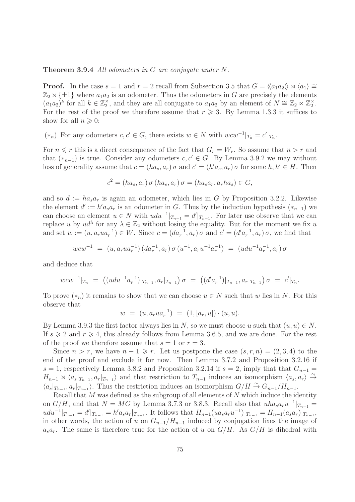#### Theorem 3.9.4 All odometers in G are conjugate under N.

**Proof.** In the case  $s = 1$  and  $r = 2$  recall from Subsection 3.5 that  $G = \langle a_1 a_2 \rangle \rangle \rtimes \langle a_1 \rangle \cong$  $\mathbb{Z}_2 \rtimes {\pm 1}$  where  $a_1 a_2$  is an odometer. Thus the odometers in G are precisely the elements  $(a_1a_2)^k$  for all  $k \in \mathbb{Z}_2^{\times}$ , and they are all conjugate to  $a_1a_2$  by an element of  $N \cong \mathbb{Z}_2 \ltimes \mathbb{Z}_2^{\times}$ . For the rest of the proof we therefore assume that  $r \geq 3$ . By Lemma 1.3.3 it suffices to show for all  $n \geqslant 0$ :

 $(*_n)$  For any odometers  $c, c' \in G$ , there exists  $w \in N$  with  $wcw^{-1}|_{T_n} = c'|_{T_n}$ .

For  $n \leq r$  this is a direct consequence of the fact that  $G_r = W_r$ . So assume that  $n > r$  and that  $(*_{n-1})$  is true. Consider any odometers  $c, c' \in G$ . By Lemma 3.9.2 we may without loss of generality assume that  $c = (ha_s, a_r) \sigma$  and  $c' = (h'a_s, a_r) \sigma$  for some  $h, h' \in H$ . Then

$$
c2 = (has, ar) \sigma (has, ar) \sigma = (hasar, arhas) \in G,
$$

and so  $d := ha<sub>s</sub>a<sub>r</sub>$  is again an odometer, which lies in G by Proposition 3.2.2. Likewise the element  $d' := h'a_s a_r$  is an odometer in G. Thus by the induction hypothesis  $(*_{n-1})$  we can choose an element  $u \in N$  with  $udu^{-1}|_{T_{n-1}} = d'|_{T_{n-1}}$ . For later use observe that we can replace u by  $ud^{\lambda}$  for any  $\lambda \in \mathbb{Z}_2$  without losing the equality. But for the moment we fix u and set  $w := (u, a_r u a_r^{-1}) \in W$ . Since  $c = (da_r^{-1}, a_r) \sigma$  and  $c' = (d' a_r^{-1}, a_r) \sigma$ , we find that

$$
wcw^{-1} = (u, a_rua_r^{-1}) (da_r^{-1}, a_r) \sigma (u^{-1}, a_ru^{-1}a_r^{-1}) = (udu^{-1}a_r^{-1}, a_r) \sigma
$$

and deduce that

$$
wcw^{-1}|_{T_n} = ((udu^{-1}a_r^{-1})|_{T_{n-1}}, a_r|_{T_{n-1}}) \sigma = ((d'a_r^{-1})|_{T_{n-1}}, a_r|_{T_{n-1}}) \sigma = c'|_{T_n}.
$$

To prove  $(*_n)$  it remains to show that we can choose  $u \in N$  such that w lies in N. For this observe that

$$
w = (u, a_r u a_r^{-1}) = (1, [a_r, u]) \cdot (u, u).
$$

By Lemma 3.9.3 the first factor always lies in N, so we must choose u such that  $(u, u) \in N$ . If  $s \geqslant 2$  and  $r \geqslant 4$ , this already follows from Lemma 3.6.5, and we are done. For the rest of the proof we therefore assume that  $s = 1$  or  $r = 3$ .

Since  $n > r$ , we have  $n - 1 \geq r$ . Let us postpone the case  $(s, r, n) = (2, 3, 4)$  to the end of the proof and exclude it for now. Then Lemma 3.7.2 and Proposition 3.2.16 if s = 1, respectively Lemma 3.8.2 and Proposition 3.2.14 if  $s = 2$ , imply that that  $G_{n-1}$  $H_{n-1} \rtimes \langle a_s |_{T_{n-1}}, a_r |_{T_{n-1}} \rangle$  and that restriction to  $T_{n-1}$  induces an isomorphism  $\langle a_s, a_r \rangle \overset{\sim}{\rightarrow}$  $\langle a_s|_{T_{n-1}}, a_r|_{T_{n-1}}\rangle$ . Thus the restriction induces an isomorphism  $G/H \stackrel{\sim}{\to} G_{n-1}/H_{n-1}$ .

Recall that  $M$  was defined as the subgroup of all elements of  $N$  which induce the identity on  $G/H$ , and that  $N = MG$  by Lemma 3.7.3 or 3.8.3. Recall also that  $uha_sa_ru^{-1}|_{T_{n-1}} =$  $udu^{-1}|_{T_{n-1}} = d'|_{T_{n-1}} = h'a_s a_r|_{T_{n-1}}$ . It follows that  $H_{n-1}(ua_sa_ru^{-1})|_{T_{n-1}} = H_{n-1}(a_sa_r)|_{T_{n-1}}$ , in other words, the action of u on  $G_{n-1}/H_{n-1}$  induced by conjugation fixes the image of  $a_s a_r$ . The same is therefore true for the action of u on  $G/H$ . As  $G/H$  is dihedral with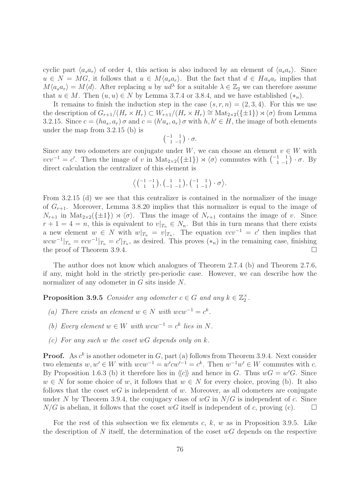cyclic part  $\langle a_s a_r \rangle$  of order 4, this action is also induced by an element of  $\langle a_s a_r \rangle$ . Since  $u \in N = MG$ , it follows that  $u \in M\langle a_s a_r \rangle$ . But the fact that  $d \in Ha_s a_r$  implies that  $M\langle a_s a_r\rangle = M\langle d\rangle$ . After replacing u by  $ud^{\lambda}$  for a suitable  $\lambda \in \mathbb{Z}_2$  we can therefore assume that  $u \in M$ . Then  $(u, u) \in N$  by Lemma 3.7.4 or 3.8.4, and we have established  $(*_n)$ .

It remains to finish the induction step in the case  $(s, r, n) = (2, 3, 4)$ . For this we use the description of  $G_{r+1}/(H_r \times H_r) \subset W_{r+1}/(H_r \times H_r) \cong \text{Mat}_{2 \times 2}(\{\pm 1\}) \rtimes \langle \sigma \rangle$  from Lemma 3.2.15. Since  $c = (ha_s, a_r)\sigma$  and  $c = (h'a_s, a_r)\sigma$  with  $h, h' \in H$ , the image of both elements under the map from 3.2.15 (b) is

$$
\begin{pmatrix} -1 & 1 \\ 1 & -1 \end{pmatrix} \cdot \sigma.
$$

Since any two odometers are conjugate under W, we can choose an element  $v \in W$  with  $vcv^{-1} = c'$ . Then the image of v in Mat<sub>2×2</sub>({ $\pm 1$ })  $\rtimes \langle \sigma \rangle$  commutes with  $\begin{pmatrix} -1 & 1 \\ 1 & -1 \end{pmatrix} \cdot \sigma$ . By direct calculation the centralizer of this element is

$$
\left\langle \begin{pmatrix} -1 & -1 \\ 1 & 1 \end{pmatrix}, \begin{pmatrix} 1 & 1 \\ -1 & -1 \end{pmatrix}, \begin{pmatrix} -1 & 1 \\ 1 & -1 \end{pmatrix} \cdot \sigma \right\rangle.
$$

From 3.2.15 (d) we see that this centralizer is contained in the normalizer of the image of  $G_{r+1}$ . Moreover, Lemma 3.8.20 implies that this normalizer is equal to the image of  $N_{r+1}$  in  $\text{Mat}_{2\times 2}(\{\pm 1\}) \rtimes \langle \sigma \rangle$ . Thus the image of  $N_{r+1}$  contains the image of v. Since  $r + 1 = 4 = n$ , this is equivalent to  $v|_{T_n} \in N_n$ . But this in turn means that there exists a new element  $w \in N$  with  $w|_{T_n} = v|_{T_n}$ . The equation  $vcv^{-1} = c'$  then implies that  $wcw^{-1}|_{T_n} = vcv^{-1}|_{T_n} = c'|_{T_n}$ , as desired. This proves  $(*_n)$  in the remaining case, finishing the proof of Theorem 3.9.4.

The author does not know which analogues of Theorem 2.7.4 (b) and Theorem 2.7.6, if any, might hold in the strictly pre-periodic case. However, we can describe how the normalizer of any odometer in G sits inside N.

**Proposition 3.9.5** Consider any odometer  $c \in G$  and any  $k \in \mathbb{Z}_2^{\times}$ .

- (a) There exists an element  $w \in N$  with  $wcw^{-1} = c^k$ .
- (b) Every element  $w \in W$  with  $wcw^{-1} = c^k$  lies in N.
- (c) For any such w the coset  $wG$  depends only on k.

**Proof.** As  $c^k$  is another odometer in G, part (a) follows from Theorem 3.9.4. Next consider two elements  $w, w' \in W$  with  $wcw^{-1} = w'cw'^{-1} = c^k$ . Then  $w^{-1}w' \in W$  commutes with c. By Proposition 1.6.3 (b) it therefore lies in  $\langle c \rangle$  and hence in G. Thus  $wG = w'G$ . Since  $w \in N$  for some choice of w, it follows that  $w \in N$  for every choice, proving (b). It also follows that the coset  $wG$  is independent of w. Moreover, as all odometers are conjugate under N by Theorem 3.9.4, the conjugacy class of  $wG$  in  $N/G$  is independent of c. Since  $N/G$  is abelian, it follows that the coset wG itself is independent of c, proving (c).

For the rest of this subsection we fix elements c, k, w as in Proposition 3.9.5. Like the description of N itself, the determination of the coset  $wG$  depends on the respective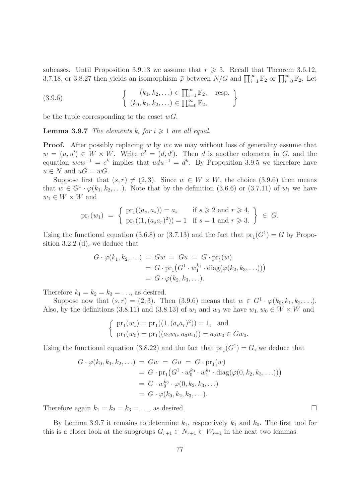subcases. Until Proposition 3.9.13 we assume that  $r \geq 3$ . Recall that Theorem 3.6.12, 3.7.18, or 3.8.27 then yields an isomorphism  $\bar{\varphi}$  between  $N/G$  and  $\prod_{i=1}^{\infty} \mathbb{F}_2$  or  $\prod_{i=0}^{\infty} \mathbb{F}_2$ . Let

(3.9.6) 
$$
\begin{cases} (k_1, k_2, \ldots) \in \prod_{i=1}^{\infty} \mathbb{F}_2, \text{ resp.} \\ (k_0, k_1, k_2, \ldots) \in \prod_{i=0}^{\infty} \mathbb{F}_2, \end{cases}
$$

be the tuple corresponding to the coset  $wG$ .

**Lemma 3.9.7** The elements  $k_i$  for  $i \geq 1$  are all equal.

**Proof.** After possibly replacing w by wc we may without loss of generality assume that  $w = (u, u') \in W \times W$ . Write  $c^2 = (d, d')$ . Then d is another odometer in G, and the equation  $wcw^{-1} = c^k$  implies that  $udu^{-1} = d^k$ . By Proposition 3.9.5 we therefore have  $u \in N$  and  $uG = wG$ .

Suppose first that  $(s, r) \neq (2, 3)$ . Since  $w \in W \times W$ , the choice (3.9.6) then means that  $w \in G^1 \cdot \varphi(k_1, k_2, \ldots)$ . Note that by the definition (3.6.6) or (3.7.11) of  $w_1$  we have  $w_1 \in W \times W$  and

$$
\text{pr}_1(w_1) = \left\{ \begin{array}{ll} \text{pr}_1((a_s, a_s)) = a_s & \text{if } s \geq 2 \text{ and } r \geq 4, \\ \text{pr}_1((1, (a_s a_r)^2)) = 1 & \text{if } s = 1 \text{ and } r \geq 3. \end{array} \right\} \in G.
$$

Using the functional equation (3.6.8) or (3.7.13) and the fact that  $pr_1(G^1) = G$  by Proposition 3.2.2 (d), we deduce that

$$
G \cdot \varphi(k_1, k_2, \ldots) = Gw = Gu = G \cdot \text{pr}_1(w)
$$
  
=  $G \cdot \text{pr}_1(G^1 \cdot w_1^{k_1} \cdot \text{diag}(\varphi(k_2, k_3, \ldots)))$   
=  $G \cdot \varphi(k_2, k_3, \ldots).$ 

Therefore  $k_1 = k_2 = k_3 = \ldots$ , as desired.

Suppose now that  $(s, r) = (2, 3)$ . Then  $(3.9.6)$  means that  $w \in G^1 \cdot \varphi(k_0, k_1, k_2, \ldots)$ . Also, by the definitions (3.8.11) and (3.8.13) of  $w_1$  and  $w_0$  we have  $w_1, w_0 \in W \times W$  and

$$
\begin{cases} \text{pr}_1(w_1) = \text{pr}_1((1, (a_s a_r)^2)) = 1, \text{ and} \\ \text{pr}_1(w_0) = \text{pr}_1((a_2 w_0, a_3 w_0)) = a_2 w_0 \in G w_0. \end{cases}
$$

Using the functional equation (3.8.22) and the fact that  $pr_1(G^1) = G$ , we deduce that

$$
G \cdot \varphi(k_0, k_1, k_2, \ldots) = Gw = Gu = G \cdot pr_1(w)
$$
  
=  $G \cdot pr_1(G^1 \cdot w_0^{k_0} \cdot w_1^{k_1} \cdot diag(\varphi(0, k_2, k_3, \ldots)))$   
=  $G \cdot w_0^{k_0} \cdot \varphi(0, k_2, k_3, \ldots)$   
=  $G \cdot \varphi(k_0, k_2, k_3, \ldots).$ 

Therefore again  $k_1 = k_2 = k_3 = \ldots$ , as desired.

By Lemma 3.9.7 it remains to determine  $k_1$ , respectively  $k_1$  and  $k_0$ . The first tool for this is a closer look at the subgroups  $G_{r+1} \subset N_{r+1} \subset W_{r+1}$  in the next two lemmas: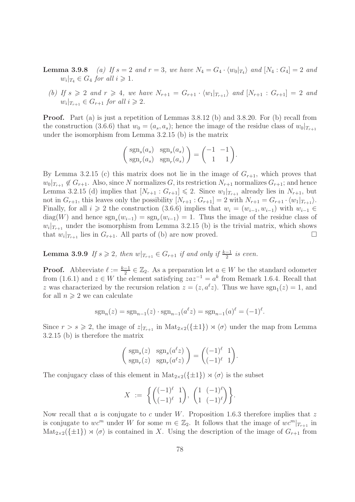- **Lemma 3.9.8** (a) If  $s = 2$  and  $r = 3$ , we have  $N_4 = G_4 \cdot \langle w_0 |_{T_4} \rangle$  and  $[N_4 : G_4] = 2$  and  $w_i|_{T_4} \in G_4$  for all  $i \geqslant 1$ .
	- (b) If  $s \geq 2$  and  $r \geq 4$ , we have  $N_{r+1} = G_{r+1} \cdot \langle w_1 |_{T_{r+1}} \rangle$  and  $[N_{r+1} : G_{r+1}] = 2$  and  $w_i|_{T_{r+1}} \in G_{r+1}$  for all  $i \geqslant 2$ .

Proof. Part (a) is just a repetition of Lemmas 3.8.12 (b) and 3.8.20. For (b) recall from the construction (3.6.6) that  $w_0 = (a_s, a_s)$ ; hence the image of the residue class of  $w_0|_{T_{r+1}}$ under the isomorphism from Lemma 3.2.15 (b) is the matrix

$$
\begin{pmatrix} \operatorname{sgn}_s(a_s) & \operatorname{sgn}_s(a_s) \\ \operatorname{sgn}_r(a_s) & \operatorname{sgn}_r(a_s) \end{pmatrix} = \begin{pmatrix} -1 & -1 \\ 1 & 1 \end{pmatrix}.
$$

By Lemma 3.2.15 (c) this matrix does not lie in the image of  $G_{r+1}$ , which proves that  $w_0|_{T_{r+1}} \notin G_{r+1}$ . Also, since N normalizes G, its restriction  $N_{r+1}$  normalizes  $G_{r+1}$ ; and hence Lemma 3.2.15 (d) implies that  $[N_{r+1}: G_{r+1}] \leq 2$ . Since  $w_1|_{T_{r+1}}$  already lies in  $N_{r+1}$ , but not in  $G_{r+1}$ , this leaves only the possibility  $[N_{r+1}: G_{r+1}] = 2$  with  $N_{r+1} = G_{r+1} \cdot \langle w_1 |_{T_{r+1}} \rangle$ . Finally, for all  $i \geq 2$  the construction (3.6.6) implies that  $w_i = (w_{i-1}, w_{i-1})$  with  $w_{i-1} \in$  $diag(W)$  and hence  $sgn_s(w_{i-1}) = sgn_r(w_{i-1}) = 1$ . Thus the image of the residue class of  $w_i|_{T_{r+1}}$  under the isomorphism from Lemma 3.2.15 (b) is the trivial matrix, which shows that  $w_i|_{T_{r+1}}$  lies in  $G_{r+1}$ . All parts of (b) are now proved.

**Lemma 3.9.9** If  $s \geq 2$ , then  $w|_{T_{r+1}} \in G_{r+1}$  if and only if  $\frac{k-1}{2}$  is even.

**Proof.** Abbreviate  $\ell := \frac{k-1}{2} \in \mathbb{Z}_2$ . As a preparation let  $a \in W$  be the standard odometer from (1.6.1) and  $z \in W$  the element satisfying  $zaz^{-1} = a^k$  from Remark 1.6.4. Recall that z was characterized by the recursion relation  $z = (z, a^{\ell}z)$ . Thus we have  $sgn_1(z) = 1$ , and for all  $n \geqslant 2$  we can calculate

$$
sgn_n(z) = sgn_{n-1}(z) \cdot sgn_{n-1}(a^{\ell}z) = sgn_{n-1}(a)^{\ell} = (-1)^{\ell}.
$$

Since  $r > s \geq 2$ , the image of  $z|_{T_{r+1}}$  in  $\text{Mat}_{2\times 2}(\{\pm 1\}) \rtimes \langle \sigma \rangle$  under the map from Lemma 3.2.15 (b) is therefore the matrix

$$
\begin{pmatrix} \operatorname{sgn}_s(z) & \operatorname{sgn}_s(a^{\ell}z) \\ \operatorname{sgn}_r(z) & \operatorname{sgn}_r(a^{\ell}z) \end{pmatrix} = \begin{pmatrix} (-1)^{\ell} & 1 \\ (-1)^{\ell} & 1 \end{pmatrix}.
$$

The conjugacy class of this element in  $\text{Mat}_{2\times 2}(\{\pm 1\}) \rtimes \langle \sigma \rangle$  is the subset

$$
X := \left\{ \begin{pmatrix} (-1)^{\ell} & 1 \\ (-1)^{\ell} & 1 \end{pmatrix}, \begin{pmatrix} 1 & (-1)^{\ell} \\ 1 & (-1)^{\ell} \end{pmatrix} \right\}.
$$

Now recall that a is conjugate to c under W. Proposition 1.6.3 therefore implies that z is conjugate to wc<sup>m</sup> under W for some  $m \in \mathbb{Z}_2$ . It follows that the image of  $wc^m|_{T_{r+1}}$  in  $\text{Mat}_{2\times 2}(\{\pm 1\}) \rtimes \langle \sigma \rangle$  is contained in X. Using the description of the image of  $G_{r+1}$  from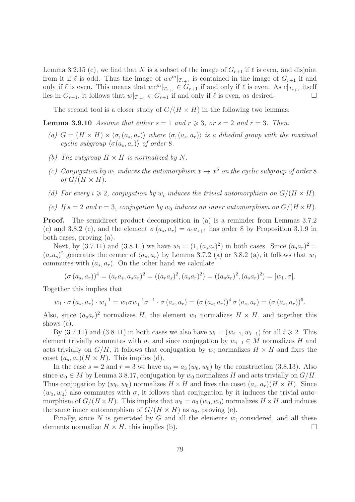Lemma 3.2.15 (c), we find that X is a subset of the image of  $G_{r+1}$  if  $\ell$  is even, and disjoint from it if  $\ell$  is odd. Thus the image of  $wc^{m} |_{T_{r+1}}$  is contained in the image of  $G_{r+1}$  if and only if  $\ell$  is even. This means that  $wc^m|_{T_{r+1}} \in G_{r+1}$  if and only if  $\ell$  is even. As  $c|_{T_{r+1}}$  itself lies in  $G_{r+1}$ , it follows that  $w|_{T_{r+1}} \in G_{r+1}$  if and only if  $\ell$  is even, as desired.

The second tool is a closer study of  $G/(H \times H)$  in the following two lemmas:

**Lemma 3.9.10** Assume that either  $s = 1$  and  $r \ge 3$ , or  $s = 2$  and  $r = 3$ . Then:

- (a)  $G = (H \times H) \rtimes \langle \sigma, (a_s, a_r) \rangle$  where  $\langle \sigma, (a_s, a_r) \rangle$  is a dihedral group with the maximal cyclic subgroup  $\langle \sigma(a_s, a_r) \rangle$  of order 8.
- (b) The subgroup  $H \times H$  is normalized by N.
- (c) Conjugation by  $w_1$  induces the automorphism  $x \mapsto x^5$  on the cyclic subgroup of order 8 of  $G/(H \times H)$ .
- (d) For every  $i \geqslant 2$ , conjugation by  $w_i$  induces the trivial automorphism on  $G/(H \times H)$ .
- (e) If  $s = 2$  and  $r = 3$ , conjugation by  $w_0$  induces an inner automorphism on  $G/(H \times H)$ .

Proof. The semidirect product decomposition in (a) is a reminder from Lemmas 3.7.2 (c) and 3.8.2 (c), and the element  $\sigma(a_s, a_r) = a_1 a_{s+1}$  has order 8 by Proposition 3.1.9 in both cases, proving (a).

Next, by (3.7.11) and (3.8.11) we have  $w_1 = (1, (a_s a_r)^2)$  in both cases. Since  $(a_s a_r)^2$  =  $(a_ra_s)^2$  generates the center of  $\langle a_s, a_r \rangle$  by Lemma 3.7.2 (a) or 3.8.2 (a), it follows that  $w_1$ commutes with  $(a_s, a_r)$ . On the other hand we calculate

$$
(\sigma(a_s, a_r))^4 = (a_r a_s, a_s a_r)^2 = ((a_r a_s)^2, (a_s a_r)^2) = ((a_s a_r)^2, (a_s a_r)^2) = [w_1, \sigma].
$$

Together this implies that

$$
w_1 \cdot \sigma(a_s, a_r) \cdot w_1^{-1} = w_1 \sigma w_1^{-1} \sigma^{-1} \cdot \sigma(a_s, a_r) = (\sigma(a_s, a_r))^4 \sigma(a_s, a_r) = (\sigma(a_s, a_r))^5.
$$

Also, since  $(a_s a_r)^2$  normalizes H, the element  $w_1$  normalizes  $H \times H$ , and together this shows (c).

By (3.7.11) and (3.8.11) in both cases we also have  $w_i = (w_{i-1}, w_{i-1})$  for all  $i \ge 2$ . This element trivially commutes with  $\sigma$ , and since conjugation by  $w_{i-1} \in M$  normalizes H and acts trivially on  $G/H$ , it follows that conjugation by  $w_i$  normalizes  $H \times H$  and fixes the coset  $(a_s, a_r)(H \times H)$ . This implies (d).

In the case  $s = 2$  and  $r = 3$  we have  $w_0 = a_3(w_0, w_0)$  by the construction (3.8.13). Also since  $w_0 \in M$  by Lemma 3.8.17, conjugation by  $w_0$  normalizes H and acts trivially on  $G/H$ . Thus conjugation by  $(w_0, w_0)$  normalizes  $H \times H$  and fixes the coset  $(a_s, a_r)(H \times H)$ . Since  $(w_0, w_0)$  also commutes with  $\sigma$ , it follows that conjugation by it induces the trivial automorphism of  $G/(H \times H)$ . This implies that  $w_0 = a_3(w_0, w_0)$  normalizes  $H \times H$  and induces the same inner automorphism of  $G/(H \times H)$  as  $a_3$ , proving (e).

Finally, since N is generated by G and all the elements  $w_i$  considered, and all these elements normalize  $H \times H$ , this implies (b).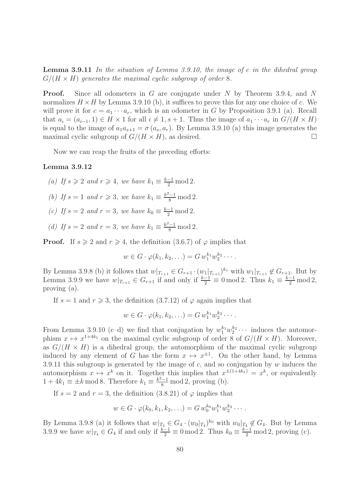**Lemma 3.9.11** In the situation of Lemma 3.9.10, the image of c in the dihedral group  $G/(H \times H)$  generates the maximal cyclic subgroup of order 8.

**Proof.** Since all odometers in G are conjugate under N by Theorem 3.9.4, and N normalizes  $H \times H$  by Lemma 3.9.10 (b), it suffices to prove this for any one choice of c. We will prove it for  $c = a_1 \cdots a_r$ , which is an odometer in G by Proposition 3.9.1 (a). Recall that  $a_i = (a_{i-1}, 1) \in H \times 1$  for all  $i \neq 1, s + 1$ . Thus the image of  $a_1 \cdots a_r$  in  $G/(H \times H)$ is equal to the image of  $a_1a_{s+1} = \sigma(a_s, a_r)$ . By Lemma 3.9.10 (a) this image generates the maximal cyclic subgroup of  $G/(H \times H)$ , as desired.

Now we can reap the fruits of the preceding efforts:

#### Lemma 3.9.12

(a) If  $s \geqslant 2$  and  $r \geqslant 4$ , we have  $k_1 \equiv \frac{k-1}{2} \mod 2$ .

- (b) If  $s = 1$  and  $r \geq 3$ , we have  $k_1 \equiv \frac{k^2 1}{8} \mod 2$ .
- (c) If  $s = 2$  and  $r = 3$ , we have  $k_0 \equiv \frac{k-1}{2} \mod 2$ .
- (d) If  $s = 2$  and  $r = 3$ , we have  $k_1 \equiv \frac{k^2 1}{8} \mod 2$ .

**Proof.** If  $s \ge 2$  and  $r \ge 4$ , the definition (3.6.7) of  $\varphi$  implies that

$$
w\in G\cdot\varphi(k_1,k_2,\ldots)=G\,w_1^{k_1}w_2^{k_2}\cdots.
$$

By Lemma 3.9.8 (b) it follows that  $w|_{T_{r+1}} \in G_{r+1} \cdot (w_1|_{T_{r+1}})^{k_1}$  with  $w_1|_{T_{r+1}} \notin G_{r+1}$ . But by Lemma 3.9.9 we have  $w|_{T_{r+1}} \in G_{r+1}$  if and only if  $\frac{k-1}{2} \equiv 0 \mod 2$ . Thus  $k_1 \equiv \frac{k-1}{2} \mod 2$ , proving (a).

If  $s = 1$  and  $r \ge 3$ , the definition  $(3.7.12)$  of  $\varphi$  again implies that

$$
w \in G \cdot \varphi(k_1, k_2, \ldots) = G w_1^{k_1} w_2^{k_2} \cdots
$$

From Lemma 3.9.10 (c-d) we find that conjugation by  $w_1^{k_1} w_2^{k_2} \cdots$  induces the automorphism  $x \mapsto x^{1+4k_1}$  on the maximal cyclic subgroup of order 8 of  $G/(H \times H)$ . Moreover, as  $G/(H \times H)$  is a dihedral group, the automorphism of the maximal cyclic subgroup induced by any element of G has the form  $x \mapsto x^{\pm 1}$ . On the other hand, by Lemma 3.9.11 this subgroup is generated by the image of  $c$ , and so conjugation by  $w$  induces the automorphism  $x \mapsto x^k$  on it. Together this implies that  $x^{\pm (1+4k_1)} = x^k$ , or equivalently  $1 + 4k_1 \equiv \pm k \mod 8$ . Therefore  $k_1 \equiv \frac{k^2 - 1}{8} \mod 2$ , proving (b).

If  $s = 2$  and  $r = 3$ , the definition  $(3.8.21)$  of  $\varphi$  implies that

$$
w \in G \cdot \varphi(k_0, k_1, k_2, \ldots) = G w_0^{k_0} w_1^{k_1} w_2^{k_2} \cdots
$$

By Lemma 3.9.8 (a) it follows that  $w|_{T_4} \in G_4 \cdot (w_0|_{T_4})^{k_0}$  with  $w_0|_{T_4} \notin G_4$ . But by Lemma 3.9.9 we have  $w|_{T_4} \in G_4$  if and only if  $\frac{k-1}{2} \equiv 0 \mod 2$ . Thus  $k_0 \equiv \frac{k-1}{2} \mod 2$ , proving (c).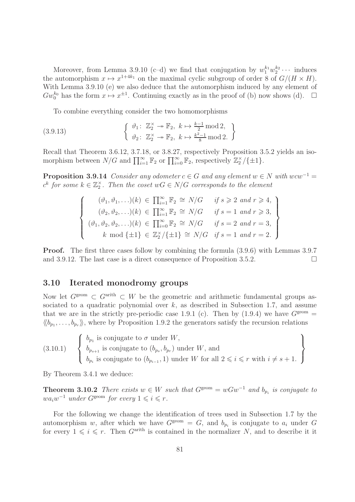Moreover, from Lemma 3.9.10 (c-d) we find that conjugation by  $w_1^{k_1}w_2^{k_2}\cdots$  induces the automorphism  $x \mapsto x^{1+4k_1}$  on the maximal cyclic subgroup of order 8 of  $G/(H \times H)$ . With Lemma 3.9.10 (e) we also deduce that the automorphism induced by any element of  $Gw_0^{k_0}$  has the form  $x \mapsto x^{\pm 1}$ . Continuing exactly as in the proof of (b) now shows (d).  $\Box$ 

To combine everything consider the two homomorphisms

(3.9.13) 
$$
\begin{cases} \n\vartheta_1: \mathbb{Z}_2^{\times} \to \mathbb{F}_2, \ k \mapsto \frac{k-1}{2} \mod 2, \\ \n\vartheta_2: \mathbb{Z}_2^{\times} \to \mathbb{F}_2, \ k \mapsto \frac{k^2-1}{8} \mod 2. \n\end{cases}
$$

Recall that Theorem 3.6.12, 3.7.18, or 3.8.27, respectively Proposition 3.5.2 yields an isomorphism between  $N/G$  and  $\prod_{i=1}^{\infty} \mathbb{F}_2$  or  $\prod_{i=0}^{\infty} \mathbb{F}_2$ , respectively  $\mathbb{Z}_2^{\times}/\{\pm 1\}$ .

**Proposition 3.9.14** Consider any odometer  $c \in G$  and any element  $w \in N$  with  $wcw^{-1} =$  $c^k$  for some  $k \in \mathbb{Z}_2^{\times}$ . Then the coset  $wG \in N/G$  corresponds to the element

$$
\begin{cases}\n(\vartheta_1, \vartheta_1, \ldots)(k) \in \prod_{i=1}^{\infty} \mathbb{F}_2 \cong N/G & \text{if } s \geqslant 2 \text{ and } r \geqslant 4, \\
(\vartheta_2, \vartheta_2, \ldots)(k) \in \prod_{i=1}^{\infty} \mathbb{F}_2 \cong N/G & \text{if } s = 1 \text{ and } r \geqslant 3, \\
(\vartheta_1, \vartheta_2, \vartheta_2, \ldots)(k) \in \prod_{i=0}^{\infty} \mathbb{F}_2 \cong N/G & \text{if } s = 2 \text{ and } r = 3, \\
k \mod \{\pm 1\} \in \mathbb{Z}_2^{\times}/\{\pm 1\} \cong N/G & \text{if } s = 1 \text{ and } r = 2.\n\end{cases}
$$

Proof. The first three cases follow by combining the formula (3.9.6) with Lemmas 3.9.7 and 3.9.12. The last case is a direct consequence of Proposition 3.5.2.

### 3.10 Iterated monodromy groups

Now let  $G^{\text{geom}} \subset G^{\text{arith}} \subset W$  be the geometric and arithmetic fundamental groups associated to a quadratic polynomial over  $k$ , as described in Subsection 1.7, and assume that we are in the strictly pre-periodic case 1.9.1 (c). Then by  $(1.9.4)$  we have  $G^{\text{geom}} =$  $\langle b_{p_1}, \ldots, b_{p_r} \rangle$ , where by Proposition 1.9.2 the generators satisfy the recursion relations

(3.10.1)  $\sqrt{ }$  $\int$  $\overline{\mathcal{L}}$  $b_{p_1}$  is conjugate to  $\sigma$  under  $W$ ,  $b_{p_{s+1}}$  is conjugate to  $(b_{p_s}, b_{p_r})$  under W, and  $b_{p_i}$  is conjugate to  $(b_{p_{i-1}}, 1)$  under W for all  $2 \leqslant i \leqslant r$  with  $i \neq s+1$ .  $\mathcal{L}$  $\overline{\mathcal{L}}$  $\int$ 

By Theorem 3.4.1 we deduce:

**Theorem 3.10.2** There exists  $w \in W$  such that  $G^{\text{geom}} = wGw^{-1}$  and  $b_{p_i}$  is conjugate to  $wa_iw^{-1}$  under  $G^{\text{geom}}$  for every  $1 \leq i \leq r$ .

For the following we change the identification of trees used in Subsection 1.7 by the automorphism w, after which we have  $G^{\text{geom}} = G$ , and  $b_{p_i}$  is conjugate to  $a_i$  under G for every  $1 \leqslant i \leqslant r$ . Then  $G^{\text{arith}}$  is contained in the normalizer N, and to describe it it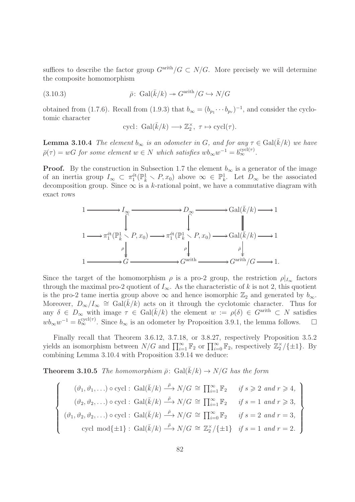suffices to describe the factor group  $G^{\text{arith}}/G \subset N/G$ . More precisely we will determine the composite homomorphism

(3.10.3) 
$$
\bar{\rho} \colon \operatorname{Gal}(\bar{k}/k) \twoheadrightarrow G^{\operatorname{arith}}/G \hookrightarrow N/G
$$

obtained from (1.7.6). Recall from (1.9.3) that  $b_{\infty} = (b_{p_1} \cdots b_{p_r})^{-1}$ , and consider the cyclotomic character

$$
\text{cycl}\colon \operatorname{Gal}(\bar{k}/k) \longrightarrow \mathbb{Z}_2^{\times}, \ \tau \mapsto \text{cycl}(\tau).
$$

**Lemma 3.10.4** The element  $b_{\infty}$  is an odometer in G, and for any  $\tau \in \text{Gal}(\bar{k}/k)$  we have  $\bar{\rho}(\tau) = wG$  for some element  $w \in N$  which satisfies  $wb_{\infty}w^{-1} = b_{\infty}^{\text{cycl}(\tau)}$ .

**Proof.** By the construction in Subsection 1.7 the element  $b_{\infty}$  is a generator of the image of an inertia group  $I_{\infty} \subset \pi_1^{\text{\'et}}(\mathbb{P}_{\bar{k}}^1 \setminus P, x_0)$  above  $\infty \in \mathbb{P}_{k}^1$ . Let  $D_{\infty}$  be the associated decomposition group. Since  $\infty$  is a k-rational point, we have a commutative diagram with exact rows



Since the target of the homomorphism  $\rho$  is a pro-2 group, the restriction  $\rho|_{I_{\infty}}$  factors through the maximal pro-2 quotient of  $I_{\infty}$ . As the characteristic of k is not 2, this quotient is the pro-2 tame inertia group above  $\infty$  and hence isomorphic  $\mathbb{Z}_2$  and generated by  $b_{\infty}$ . Moreover,  $D_{\infty}/I_{\infty} \cong \text{Gal}(\overline{k}/k)$  acts on it through the cyclotomic character. Thus for any  $\delta \in D_{\infty}$  with image  $\tau \in \text{Gal}(\bar{k}/k)$  the element  $w := \rho(\delta) \in G^{\text{arith}} \subset N$  satisfies  $wb_{\infty}w^{-1} = b_{\infty}^{\text{cycl}(\tau)}$ . Since  $b_{\infty}$  is an odometer by Proposition 3.9.1, the lemma follows.  $\square$ 

Finally recall that Theorem 3.6.12, 3.7.18, or 3.8.27, respectively Proposition 3.5.2 yields an isomorphism between  $N/G$  and  $\prod_{i=1}^{\infty} \mathbb{F}_2$  or  $\prod_{i=0}^{\infty} \mathbb{F}_2$ , respectively  $\mathbb{Z}_2^{\times}/\{\pm 1\}$ . By combining Lemma 3.10.4 with Proposition 3.9.14 we deduce:

**Theorem 3.10.5** The homomorphism  $\bar{\rho}$ : Gal( $\bar{k}/k$ )  $\rightarrow$  N/G has the form

$$
\begin{cases}\n(\vartheta_1, \vartheta_1, \ldots) \circ \text{cycl}: \text{Gal}(\bar{k}/k) \stackrel{\bar{\rho}}{\longrightarrow} N/G \cong \prod_{i=1}^{\infty} \mathbb{F}_2 & \text{if } s \geqslant 2 \text{ and } r \geqslant 4, \\
(\vartheta_2, \vartheta_2, \ldots) \circ \text{cycl}: \text{Gal}(\bar{k}/k) \stackrel{\bar{\rho}}{\longrightarrow} N/G \cong \prod_{i=1}^{\infty} \mathbb{F}_2 & \text{if } s = 1 \text{ and } r \geqslant 3, \\
(\vartheta_1, \vartheta_2, \vartheta_2, \ldots) \circ \text{cycl}: \text{Gal}(\bar{k}/k) \stackrel{\bar{\rho}}{\longrightarrow} N/G \cong \prod_{i=0}^{\infty} \mathbb{F}_2 & \text{if } s = 2 \text{ and } r = 3, \\
\text{cycl mod}\{\pm 1\}: \text{Gal}(\bar{k}/k) \stackrel{\bar{\rho}}{\longrightarrow} N/G \cong \mathbb{Z}_2^{\times}/\{\pm 1\} & \text{if } s = 1 \text{ and } r = 2.\n\end{cases}
$$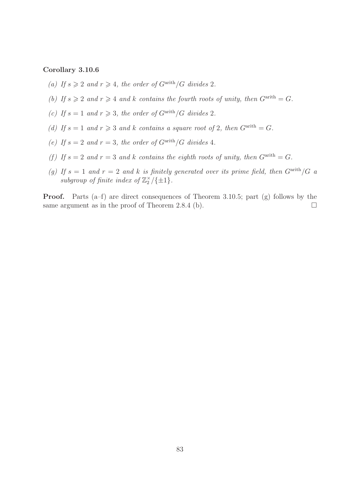# Corollary 3.10.6

- (a) If  $s \geqslant 2$  and  $r \geqslant 4$ , the order of  $G^{\text{arith}}/G$  divides 2.
- (b) If  $s \geq 2$  and  $r \geq 4$  and k contains the fourth roots of unity, then  $G^{\text{arith}} = G$ .
- (c) If  $s = 1$  and  $r \geq 3$ , the order of  $G^{\text{arith}}/G$  divides 2.
- (d) If  $s = 1$  and  $r \geq 3$  and k contains a square root of 2, then  $G^{\text{arith}} = G$ .
- (e) If  $s = 2$  and  $r = 3$ , the order of  $G^{\text{arith}}/G$  divides 4.
- (f) If  $s = 2$  and  $r = 3$  and k contains the eighth roots of unity, then  $G^{\text{arith}} = G$ .
- (g) If  $s = 1$  and  $r = 2$  and k is finitely generated over its prime field, then  $G^{\text{arith}}/G$  a subgroup of finite index of  $\mathbb{Z}_2^{\times}/\{\pm 1\}$ .

Proof. Parts (a–f) are direct consequences of Theorem 3.10.5; part (g) follows by the same argument as in the proof of Theorem 2.8.4 (b).  $\Box$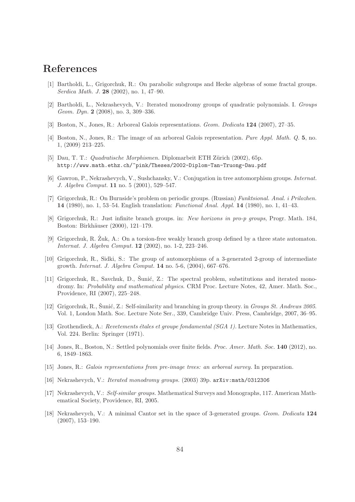# References

- [1] Bartholdi, L., Grigorchuk, R.: On parabolic subgroups and Hecke algebras of some fractal groups. Serdica Math. J. 28 (2002), no. 1, 47–90.
- [2] Bartholdi, L., Nekrashevych, V.: Iterated monodromy groups of quadratic polynomials. I. Groups Geom. Dyn. **2** (2008), no. 3, 309–336.
- [3] Boston, N., Jones, R.: Arboreal Galois representations. Geom. Dedicata 124 (2007), 27–35.
- [4] Boston, N., Jones, R.: The image of an arboreal Galois representation. Pure Appl. Math. Q. 5, no. 1, (2009) 213–225.
- [5] Dau, T. T.: *Quadratische Morphismen.* Diplomarbeit ETH Zürich (2002), 65p. http://www.math.ethz.ch/~pink/Theses/2002-Diplom-Tan-Truong-Dau.pdf
- [6] Gawron, P., Nekrashevych, V., Sushchansky, V.: Conjugation in tree automorphism groups. Internat. J. Algebra Comput. 11 no. 5 (2001), 529–547.
- [7] Grigorchuk, R.: On Burnside's problem on periodic groups. (Russian) Funktsional. Anal. i Prilozhen. 14 (1980), no. 1, 53–54. English translation: Functional Anal. Appl. 14 (1980), no. 1, 41–43.
- [8] Grigorchuk, R.: Just infinite branch groups. in: New horizons in pro-p groups, Progr. Math. 184, Boston: Birkhäuser (2000), 121–179.
- [9] Grigorchuk, R. Zuk, A.: On a torsion-free weakly branch group defined by a three state automaton. Internat. J. Algebra Comput. 12 (2002), no. 1-2, 223–246.
- [10] Grigorchuk, R., Sidki, S.: The group of automorphisms of a 3-generated 2-group of intermediate growth. Internat. J. Algebra Comput. 14 no. 5-6, (2004), 667–676.
- [11] Grigorchuk, R., Savchuk, D., Sunić, Z.: The spectral problem, substitutions and iterated monodromy. In: Probability and mathematical physics. CRM Proc. Lecture Notes, 42, Amer. Math. Soc., Providence, RI (2007), 225–248.
- [12] Grigorchuk, R., Šunić, Z.: Self-similarity and branching in group theory. in *Groups St. Andrews 2005*. Vol. 1, London Math. Soc. Lecture Note Ser., 339, Cambridge Univ. Press, Cambridge, 2007, 36–95.
- [13] Grothendieck, A.: Revetements étales et groupe fondamental ( $SGA$  1). Lecture Notes in Mathematics, Vol. 224. Berlin: Springer (1971).
- [14] Jones, R., Boston, N.: Settled polynomials over finite fields. Proc. Amer. Math. Soc. 140 (2012), no. 6, 1849–1863.
- [15] Jones, R.: Galois representations from pre-image trees: an arboreal survey. In preparation.
- [16] Nekrashevych, V.: Iterated monodromy groups. (2003) 39p. arXiv:math/0312306
- [17] Nekrashevych, V.: Self-similar groups. Mathematical Surveys and Monographs, 117. American Mathematical Society, Providence, RI, 2005.
- [18] Nekrashevych, V.: A minimal Cantor set in the space of 3-generated groups. Geom. Dedicata 124 (2007), 153–190.